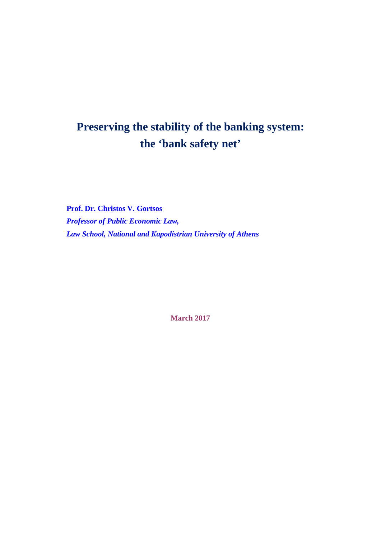# **Preserving the stability of the banking system: the 'bank safety net'**

**Prof. Dr. Christos V. Gortsos**  *Professor of Public Economic Law, Law School, National and Kapodistrian University of Athens*

**March 2017**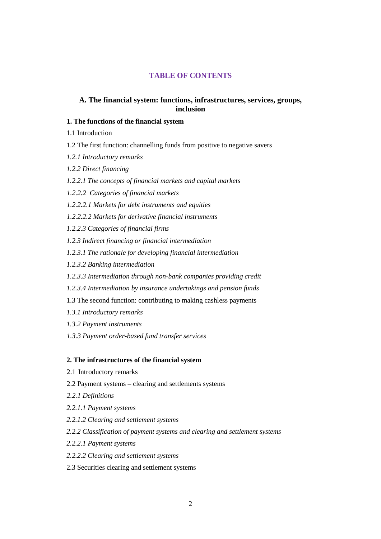## **TABLE OF CONTENTS**

## **A. The financial system: functions, infrastructures, services, groups, inclusion**

## **1. The functions of the financial system**

- 1.1 Introduction
- 1.2 The first function: channelling funds from positive to negative savers
- *1.2.1 Introductory remarks*
- *1.2.2 Direct financing*
- *1.2.2.1 The concepts of financial markets and capital markets*
- *1.2.2.2 Categories of financial markets*
- *1.2.2.2.1 Markets for debt instruments and equities*
- *1.2.2.2.2 Markets for derivative financial instruments*
- *1.2.2.3 Categories of financial firms*
- *1.2.3 Indirect financing or financial intermediation*
- *1.2.3.1 The rationale for developing financial intermediation*
- *1.2.3.2 Banking intermediation*
- *1.2.3.3 Intermediation through non-bank companies providing credit*
- *1.2.3.4 Intermediation by insurance undertakings and pension funds*
- 1.3 The second function: contributing to making cashless payments
- *1.3.1 Introductory remarks*
- *1.3.2 Payment instruments*
- *1.3.3 Payment order-based fund transfer services*

## **2. The infrastructures of the financial system**

- 2.1 Introductory remarks
- 2.2 Payment systems clearing and settlements systems
- *2.2.1 Definitions*
- *2.2.1.1 Payment systems*
- *2.2.1.2 Clearing and settlement systems*
- *2.2.2 Classification of payment systems and clearing and settlement systems*
- *2.2.2.1 Payment systems*
- *2.2.2.2 Clearing and settlement systems*
- 2.3 Securities clearing and settlement systems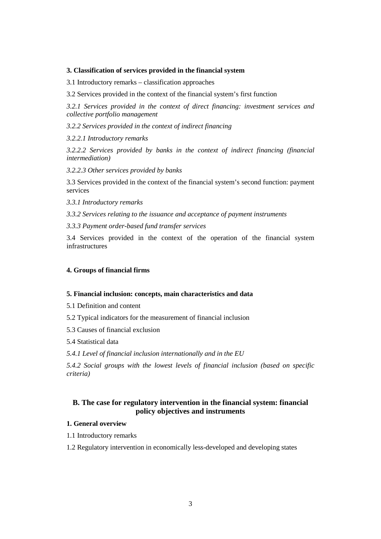## **3. Classification of services provided in the financial system**

3.1 Introductory remarks – classification approaches

3.2 Services provided in the context of the financial system's first function

*3.2.1 Services provided in the context of direct financing: investment services and collective portfolio management*

*3.2.2 Services provided in the context of indirect financing*

*3.2.2.1 Introductory remarks*

*3.2.2.2 Services provided by banks in the context of indirect financing (financial intermediation)*

*3.2.2.3 Other services provided by banks*

3.3 Services provided in the context of the financial system's second function: payment services

*3.3.1 Introductory remarks*

*3.3.2 Services relating to the issuance and acceptance of payment instruments*

*3.3.3 Payment order-based fund transfer services*

3.4 Services provided in the context of the operation of the financial system infrastructures

## **4. Groups of financial firms**

#### **5. Financial inclusion: concepts, main characteristics and data**

- 5.1 Definition and content
- 5.2 Typical indicators for the measurement of financial inclusion
- 5.3 Causes of financial exclusion

5.4 Statistical data

*5.4.1 Level of financial inclusion internationally and in the EU*

*5.4.2 Social groups with the lowest levels of financial inclusion (based on specific criteria)*

## **B. The case for regulatory intervention in the financial system: financial policy objectives and instruments**

#### **1. General overview**

- 1.1 Introductory remarks
- 1.2 Regulatory intervention in economically less-developed and developing states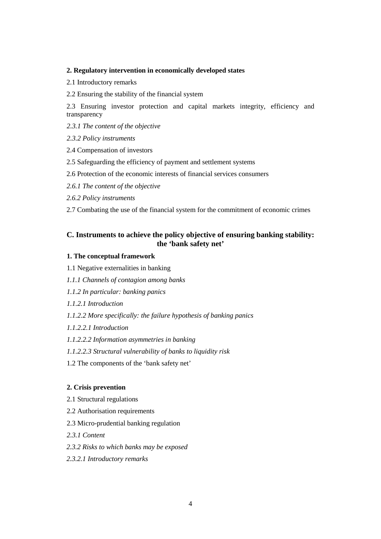#### **2. Regulatory intervention in economically developed states**

- 2.1 Introductory remarks
- 2.2 Ensuring the stability of the financial system

2.3 Ensuring investor protection and capital markets integrity, efficiency and transparency

- *2.3.1 The content of the objective*
- *2.3.2 Policy instruments*
- 2.4 Compensation of investors
- 2.5 Safeguarding the efficiency of payment and settlement systems
- 2.6 Protection of the economic interests of financial services consumers
- *2.6.1 The content of the objective*
- *2.6.2 Policy instruments*
- 2.7 Combating the use of the financial system for the commitment of economic crimes

## **C. Instruments to achieve the policy objective of ensuring banking stability: the 'bank safety net'**

## **1. The conceptual framework**

- 1.1 Negative externalities in banking
- *1.1.1 Channels of contagion among banks*
- *1.1.2 In particular: banking panics*
- *1.1.2.1 Introduction*
- *1.1.2.2 More specifically: the failure hypothesis of banking panics*
- *1.1.2.2.1 Introduction*

## *1.1.2.2.2 Information asymmetries in banking*

- *1.1.2.2.3 Structural vulnerability of banks to liquidity risk*
- 1.2 The components of the 'bank safety net'

#### **2. Crisis prevention**

- 2.1 Structural regulations
- 2.2 Authorisation requirements
- 2.3 Micro-prudential banking regulation
- *2.3.1 Content*
- *2.3.2 Risks to which banks may be exposed*
- *2.3.2.1 Introductory remarks*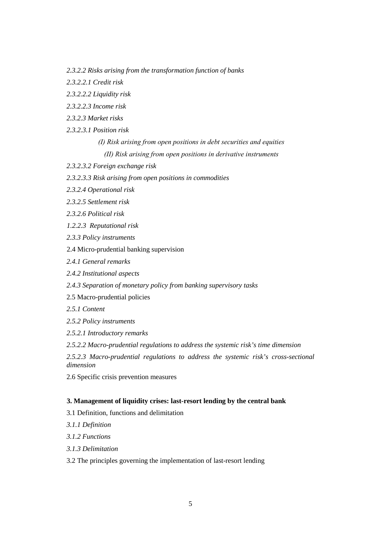- *2.3.2.2 Risks arising from the transformation function of banks*
- *2.3.2.2.1 Credit risk*
- *2.3.2.2.2 Liquidity risk*
- *2.3.2.2.3 Income risk*
- *2.3.2.3 Market risks*
- *2.3.2.3.1 Position risk*

## *(Ι) Risk arising from open positions in debt securities and equities (ΙΙ) Risk arising from open positions in derivative instruments*

- *2.3.2.3.2 Foreign exchange risk*
- *2.3.2.3.3 Risk arising from open positions in commodities*
- *2.3.2.4 Operational risk*
- *2.3.2.5 Settlement risk*
- *2.3.2.6 Political risk*
- *1.2.2.3 Reputational risk*
- *2.3.3 Policy instruments*
- 2.4 Micro-prudential banking supervision
- *2.4.1 General remarks*
- *2.4.2 Institutional aspects*
- *2.4.3 Separation of monetary policy from banking supervisory tasks*
- 2.5 Macro-prudential policies
- *2.5.1 Content*
- *2.5.2 Policy instruments*
- *2.5.2.1 Introductory remarks*
- *2.5.2.2 Macro-prudential regulations to address the systemic risk's time dimension*

*2.5.2.3 Macro-prudential regulations to address the systemic risk's cross-sectional dimension*

2.6 Specific crisis prevention measures

#### **3. Management of liquidity crises: last-resort lending by the central bank**

- 3.1 Definition, functions and delimitation
- *3.1.1 Definition*
- *3.1.2 Functions*
- *3.1.3 Delimitation*
- 3.2 The principles governing the implementation of last-resort lending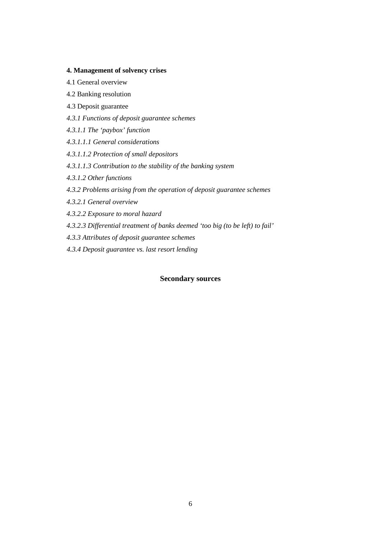#### **4. Management of solvency crises**

- 4.1 General overview
- 4.2 Banking resolution
- 4.3 Deposit guarantee
- *4.3.1 Functions of deposit guarantee schemes*
- *4.3.1.1 The 'paybox' function*
- *4.3.1.1.1 General considerations*
- *4.3.1.1.2 Protection of small depositors*
- *4.3.1.1.3 Contribution to the stability of the banking system*
- *4.3.1.2 Other functions*
- *4.3.2 Problems arising from the operation of deposit guarantee schemes*
- *4.3.2.1 General overview*
- *4.3.2.2 Exposure to moral hazard*
- *4.3.2.3 Differential treatment of banks deemed 'too big (to be left) to fail'*
- *4.3.3 Attributes of deposit guarantee schemes*
- *4.3.4 Deposit guarantee vs. last resort lending*

## **Secondary sources**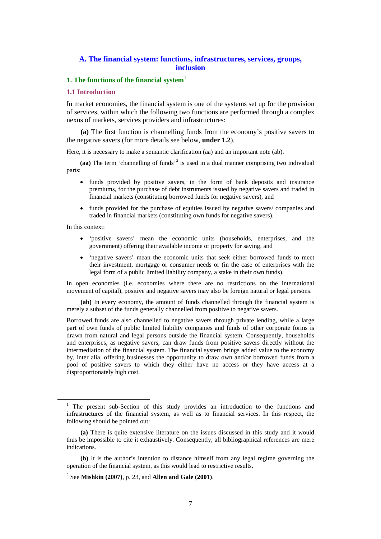## **A. The financial system: functions, infrastructures, services, groups, inclusion**

### **[1](#page-6-0). The functions of the financial system**<sup>1</sup>

#### **1.1 Introduction**

In market economies, the financial system is one of the systems set up for the provision of services, within which the following two functions are performed through a complex nexus of markets, services providers and infrastructures:

**(a)** The first function is channelling funds from the economy's positive savers to the negative savers (for more details see below, **under 1.2**).

Here, it is necessary to make a semantic clarification (aa) and an important note (ab).

(aa) The term 'channelling of funds'<sup>[2](#page-6-1)</sup> is used in a dual manner comprising two individual parts:

- funds provided by positive savers, in the form of bank deposits and insurance premiums, for the purchase of debt instruments issued by negative savers and traded in financial markets (constituting borrowed funds for negative savers), and
- funds provided for the purchase of equities issued by negative savers/ companies and traded in financial markets (constituting own funds for negative savers).

In this context:

- 'positive savers' mean the economic units (households, enterprises, and the government) offering their available income or property for saving, and
- 'negative savers' mean the economic units that seek either borrowed funds to meet their investment, mortgage or consumer needs or (in the case of enterprises with the legal form of a public limited liability company, a stake in their own funds).

In open economies (i.e. economies where there are no restrictions on the international movement of capital), positive and negative savers may also be foreign natural or legal persons.

**(ab)** In every economy, the amount of funds channelled through the financial system is merely a subset of the funds generally channelled from positive to negative savers.

Borrowed funds are also channelled to negative savers through private lending, while a large part of own funds of public limited liability companies and funds of other corporate forms is drawn from natural and legal persons outside the financial system. Consequently, households and enterprises, as negative savers, can draw funds from positive savers directly without the intermediation of the financial system. The financial system brings added value to the economy by, inter alia, offering businesses the opportunity to draw own and/or borrowed funds from a pool of positive savers to which they either have no access or they have access at a disproportionately high cost.

<span id="page-6-0"></span><sup>&</sup>lt;sup>1</sup> The present sub-Section of this study provides an introduction to the functions and infrastructures of the financial system, as well as to financial services. In this respect, the following should be pointed out:

**<sup>(</sup>a)** There is quite extensive literature on the issues discussed in this study and it would thus be impossible to cite it exhaustively. Consequently, all bibliographical references are mere indications.

**<sup>(</sup>b)** It is the author's intention to distance himself from any legal regime governing the operation of the financial system, as this would lead to restrictive results.

<span id="page-6-1"></span><sup>2</sup> See **Mishkin (2007)**, p. 23, and **Allen and Gale (2001)**.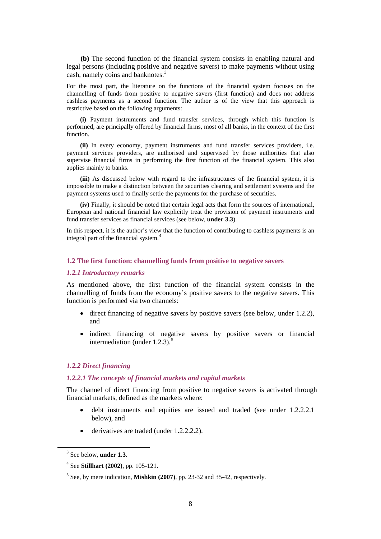**(b)** The second function of the financial system consists in enabling natural and legal persons (including positive and negative savers) to make payments without using cash, namely coins and banknotes.<sup>[3](#page-7-0)</sup>

For the most part, the literature on the functions of the financial system focuses on the channelling of funds from positive to negative savers (first function) and does not address cashless payments as a second function. The author is of the view that this approach is restrictive based on the following arguments:

**(i)** Payment instruments and fund transfer services, through which this function is performed, are principally offered by financial firms, most of all banks, in the context of the first function.

**(ii)** In every economy, payment instruments and fund transfer services providers, i.e. payment services providers, are authorised and supervised by those authorities that also supervise financial firms in performing the first function of the financial system. This also applies mainly to banks.

**(iii)** As discussed below with regard to the infrastructures of the financial system, it is impossible to make a distinction between the securities clearing and settlement systems and the payment systems used to finally settle the payments for the purchase of securities.

**(iv)** Finally, it should be noted that certain legal acts that form the sources of international, European and national financial law explicitly treat the provision of payment instruments and fund transfer services as financial services (see below, **under 3.3**).

In this respect, it is the author's view that the function of contributing to cashless payments is an integral part of the financial system.<sup>[4](#page-7-1)</sup>

#### **1.2 The first function: channelling funds from positive to negative savers**

#### *1.2.1 Introductory remarks*

As mentioned above, the first function of the financial system consists in the channelling of funds from the economy's positive savers to the negative savers. This function is performed via two channels:

- direct financing of negative savers by positive savers (see below, under 1.2.2), and
- indirect financing of negative savers by positive savers or financial intermediation (under  $1.2.3$ ).<sup>[5](#page-7-2)</sup>

## *1.2.2 Direct financing*

#### *1.2.2.1 The concepts of financial markets and capital markets*

The channel of direct financing from positive to negative savers is activated through financial markets, defined as the markets where:

- debt instruments and equities are issued and traded (see under 1.2.2.2.1) below), and
- derivatives are traded (under 1.2.2.2.2).

<span id="page-7-0"></span><sup>3</sup> See below, **under 1.3**.

<span id="page-7-1"></span><sup>4</sup> See **Stillhart (2002)**, pp. 105-121.

<span id="page-7-2"></span><sup>5</sup> See, by mere indication, **Mishkin (2007)**, pp. 23-32 and 35-42, respectively.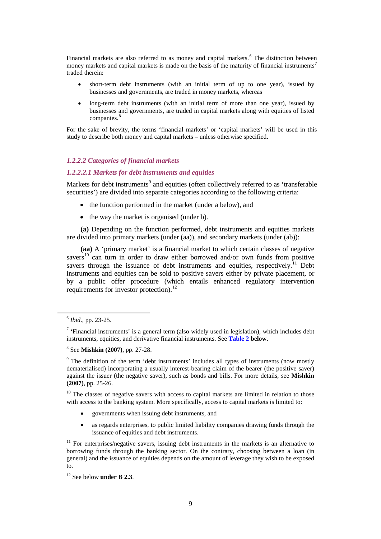Financial markets are also referred to as money and capital markets.<sup>[6](#page-8-0)</sup> The distinction between money markets and capital markets is made on the basis of the maturity of financial instruments<sup>[7](#page-8-1)</sup> traded therein:

- short-term debt instruments (with an initial term of up to one year), issued by businesses and governments, are traded in money markets, whereas
- long-term debt instruments (with an initial term of more than one year), issued by businesses and governments, are traded in capital markets along with equities of listed companies.<sup>[8](#page-8-2)</sup>

For the sake of brevity, the terms 'financial markets' or 'capital markets' will be used in this study to describe both money and capital markets – unless otherwise specified.

## *1.2.2.2 Categories of financial markets*

## *1.2.2.2.1 Markets for debt instruments and equities*

Markets for debt instruments<sup>[9](#page-8-3)</sup> and equities (often collectively referred to as 'transferable securities') are divided into separate categories according to the following criteria:

- the function performed in the market (under a below), and
- the way the market is organised (under b).

**(a)** Depending on the function performed, debt instruments and equities markets are divided into primary markets (under (aa)), and secondary markets (under (ab)):

**(aa)** A 'primary market' is a financial market to which certain classes of negative savers<sup>[10](#page-8-4)</sup> can turn in order to draw either borrowed and/or own funds from positive savers through the issuance of debt instruments and equities, respectively.<sup>[11](#page-8-5)</sup> Debt instruments and equities can be sold to positive savers either by private placement, or by a public offer procedure (which entails enhanced regulatory intervention requirements for investor protection).<sup>[12](#page-8-6)</sup>

- governments when issuing debt instruments, and
- as regards enterprises, to public limited liability companies drawing funds through the issuance of equities and debt instruments.

<span id="page-8-0"></span><sup>6</sup> *Ibid*.*,* pp. 23-25.

<span id="page-8-1"></span> $<sup>7</sup>$  'Financial instruments' is a general term (also widely used in legislation), which includes debt</sup> instruments, equities, and derivative financial instruments. See **Table 2 below**.

<span id="page-8-2"></span><sup>8</sup> See **Mishkin (2007)**, pp. 27-28.

<span id="page-8-3"></span><sup>&</sup>lt;sup>9</sup> The definition of the term 'debt instruments' includes all types of instruments (now mostly dematerialised) incorporating a usually interest-bearing claim of the bearer (the positive saver) against the issuer (the negative saver), such as bonds and bills. For more details, see **Mishkin (2007)**, pp. 25-26.

<span id="page-8-4"></span> $10$  The classes of negative savers with access to capital markets are limited in relation to those with access to the banking system. More specifically, access to capital markets is limited to:

<span id="page-8-5"></span> $11$  For enterprises/negative savers, issuing debt instruments in the markets is an alternative to borrowing funds through the banking sector. On the contrary, choosing between a loan (in general) and the issuance of equities depends on the amount of leverage they wish to be exposed to.

<span id="page-8-6"></span><sup>12</sup> See below **under B 2.3**.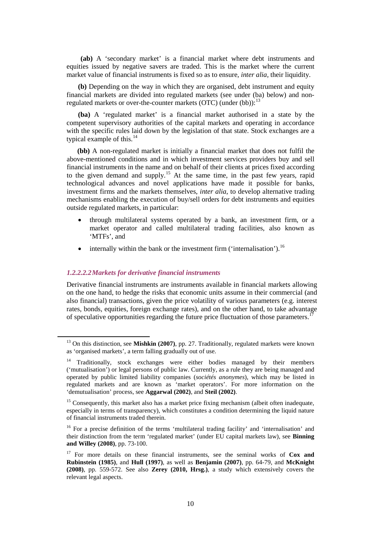**(ab)** A 'secondary market' is a financial market where debt instruments and equities issued by negative savers are traded. This is the market where the current market value of financial instruments is fixed so as to ensure, *inter alia,* their liquidity.

**(b)** Depending on the way in which they are organised, debt instrument and equity financial markets are divided into regulated markets (see under (ba) below) and nonregulated markets or over-the-counter markets  $(OTC)$  (under (bb)):<sup>[13](#page-9-0)</sup>

**(ba)** A 'regulated market' is a financial market authorised in a state by the competent supervisory authorities of the capital markets and operating in accordance with the specific rules laid down by the legislation of that state. Stock exchanges are a typical example of this. $14$ 

 **(bb)** A non-regulated market is initially a financial market that does not fulfil the above-mentioned conditions and in which investment services providers buy and sell financial instruments in the name and on behalf of their clients at prices fixed according to the given demand and supply.<sup>[15](#page-9-2)</sup> At the same time, in the past few years, rapid technological advances and novel applications have made it possible for banks, investment firms and the markets themselves, *inter alia*, to develop alternative trading mechanisms enabling the execution of buy/sell orders for debt instruments and equities outside regulated markets, in particular:

- through multilateral systems operated by a bank, an investment firm, or a market operator and called multilateral trading facilities, also known as 'MTFs', and
- internally within the bank or the investment firm ('internalisation').<sup>[16](#page-9-3)</sup>

#### *1.2.2.2.2Markets for derivative financial instruments*

Derivative financial instruments are instruments available in financial markets allowing on the one hand, to hedge the risks that economic units assume in their commercial (and also financial) transactions, given the price volatility of various parameters (e.g. interest rates, bonds, equities, foreign exchange rates), and on the other hand, to take advantage of speculative opportunities regarding the future price fluctuation of those parameters.<sup>1</sup>

<span id="page-9-0"></span><sup>13</sup> On this distinction, see **Mishkin (2007)**, pp. 27. Traditionally, regulated markets were known as 'organised markets', a term falling gradually out of use.

<span id="page-9-1"></span><sup>&</sup>lt;sup>14</sup> Traditionally, stock exchanges were either bodies managed by their members ('mutualisation') or legal persons of public law. Currently, as a rule they are being managed and operated by public limited liability companies (*sociétés anonymes*), which may be listed in regulated markets and are known as 'market operators'. For more information on the 'demutualisation' process, see **Aggarwal (2002)**, and **Steil (2002)**.

<span id="page-9-2"></span> $15$  Consequently, this market also has a market price fixing mechanism (albeit often inadequate, especially in terms of transparency), which constitutes a condition determining the liquid nature of financial instruments traded therein.

<span id="page-9-3"></span><sup>&</sup>lt;sup>16</sup> For a precise definition of the terms 'multilateral trading facility' and 'internalisation' and their distinction from the term 'regulated market' (under EU capital markets law), see **Binning and Willey (2008)**, pp. 73-100.

<span id="page-9-4"></span><sup>17</sup> For more details on these financial instruments, see the seminal works of **Cox and Rubinstein (1985)**, and **Hull (1997)**, as well as **Benjamin (2007)**, pp. 64-79, and **McKnight (2008)**, pp. 559-572. See also **Zerey (2010, Hrsg.)**, a study which extensively covers the relevant legal aspects.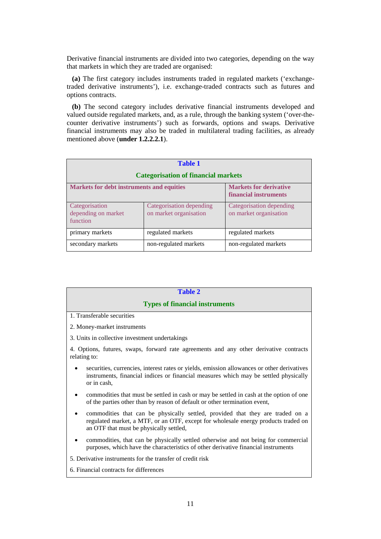Derivative financial instruments are divided into two categories, depending on the way that markets in which they are traded are organised:

 **(a)** The first category includes instruments traded in regulated markets ('exchangetraded derivative instruments'), i.e. exchange-traded contracts such as futures and options contracts.

 **(b)** The second category includes derivative financial instruments developed and valued outside regulated markets, and, as a rule, through the banking system ('over-thecounter derivative instruments') such as forwards, options and swaps. Derivative financial instruments may also be traded in multilateral trading facilities, as already mentioned above (**under 1.2.2.2.1**).

| <b>Table 1</b><br><b>Categorisation of financial markets</b> |                                                    |                                                        |
|--------------------------------------------------------------|----------------------------------------------------|--------------------------------------------------------|
| <b>Markets for debt instruments and equities</b>             |                                                    | <b>Markets for derivative</b><br>financial instruments |
| Categorisation<br>depending on market<br>function            | Categorisation depending<br>on market organisation | Categorisation depending<br>on market organisation     |
| primary markets                                              | regulated markets                                  | regulated markets                                      |
| secondary markets                                            | non-regulated markets                              | non-regulated markets                                  |

# **Table 2**

## **Types of financial instruments**

1. Transferable securities

2. Money-market instruments

3. Units in collective investment undertakings

4. Options, futures, swaps, forward rate agreements and any other derivative contracts relating to:

- securities, currencies, interest rates or yields, emission allowances or other derivatives instruments, financial indices or financial measures which may be settled physically or in cash,
- commodities that must be settled in cash or may be settled in cash at the option of one of the parties other than by reason of default or other termination event,
- commodities that can be physically settled, provided that they are traded on a regulated market, a MTF, or an OTF, except for wholesale energy products traded on an OTF that must be physically settled,
- commodities, that can be physically settled otherwise and not being for commercial purposes, which have the characteristics of other derivative financial instruments
- 5. Derivative instruments for the transfer of credit risk
- 6. Financial contracts for differences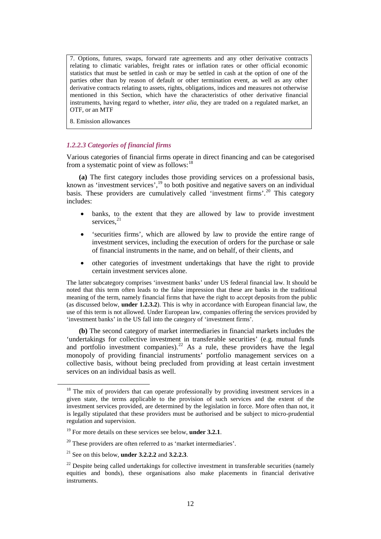7. Options, futures, swaps, forward rate agreements and any other derivative contracts relating to climatic variables, freight rates or inflation rates or other official economic statistics that must be settled in cash or may be settled in cash at the option of one of the parties other than by reason of default or other termination event, as well as any other derivative contracts relating to assets, rights, obligations, indices and measures not otherwise mentioned in this Section, which have the characteristics of other derivative financial instruments, having regard to whether, *inter alia*, they are traded on a regulated market, an OTF, or an MTF

8. Emission allowances

## *1.2.2.3 Categories of financial firms*

Various categories of financial firms operate in direct financing and can be categorised from a systematic point of view as follows:<sup>[18](#page-11-0)</sup>

 **(a)** The first category includes those providing services on a professional basis, known as 'investment services',<sup>[19](#page-11-1)</sup> to both positive and negative savers on an individual basis. These providers are cumulatively called 'investment firms'.<sup>[20](#page-11-2)</sup> This category includes:

- banks, to the extent that they are allowed by law to provide investment services $^{21}$  $^{21}$  $^{21}$
- 'securities firms', which are allowed by law to provide the entire range of investment services, including the execution of orders for the purchase or sale of financial instruments in the name, and on behalf, of their clients, and
- other categories of investment undertakings that have the right to provide certain investment services alone.

The latter subcategory comprises 'investment banks' under US federal financial law. It should be noted that this term often leads to the false impression that these are banks in the traditional meaning of the term, namely financial firms that have the right to accept deposits from the public (as discussed below, **under 1.2.3.2**). This is why in accordance with European financial law, the use of this term is not allowed. Under European law, companies offering the services provided by 'investment banks' in the US fall into the category of 'investment firms'.

 **(b)** The second category of market intermediaries in financial markets includes the 'undertakings for collective investment in transferable securities' (e.g*.* mutual funds and portfolio investment companies).<sup>[22](#page-11-4)</sup> As a rule, these providers have the legal monopoly of providing financial instruments' portfolio management services on a collective basis, without being precluded from providing at least certain investment services on an individual basis as well.

<span id="page-11-0"></span> $18$  The mix of providers that can operate professionally by providing investment services in a given state, the terms applicable to the provision of such services and the extent of the investment services provided, are determined by the legislation in force. More often than not, it is legally stipulated that these providers must be authorised and be subject to micro-prudential regulation and supervision.

<span id="page-11-1"></span><sup>19</sup> For more details on these services see below, **under 3.2.1**.

<span id="page-11-2"></span><sup>&</sup>lt;sup>20</sup> These providers are often referred to as 'market intermediaries'.

<span id="page-11-3"></span><sup>21</sup> See on this below, **under 3.2.2.2** and **3.2.2.3**.

<span id="page-11-4"></span> $22$  Despite being called undertakings for collective investment in transferable securities (namely equities and bonds), these organisations also make placements in financial derivative instruments.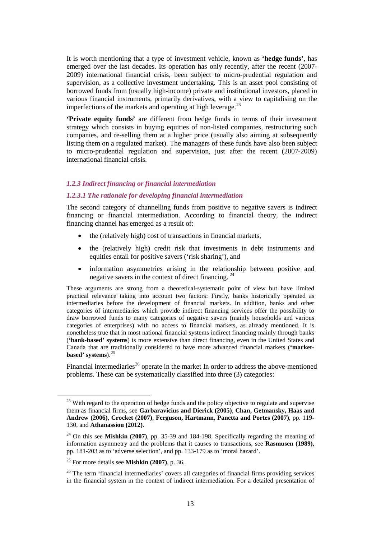It is worth mentioning that a type of investment vehicle, known as **'hedge funds'**, has emerged over the last decades. Its operation has only recently, after the recent (2007-2009) international financial crisis, been subject to micro-prudential regulation and supervision, as a collective investment undertaking. This is an asset pool consisting of borrowed funds from (usually high-income) private and institutional investors, placed in various financial instruments, primarily derivatives, with a view to capitalising on the imperfections of the markets and operating at high leverage. $^{23}$  $^{23}$  $^{23}$ 

**'Private equity funds'** are different from hedge funds in terms of their investment strategy which consists in buying equities of non-listed companies, restructuring such companies, and re-selling them at a higher price (usually also aiming at subsequently listing them on a regulated market). The managers of these funds have also been subject to micro-prudential regulation and supervision, just after the recent (2007-2009) international financial crisis.

#### *1.2.3 Indirect financing or financial intermediation*

#### *1.2.3.1 The rationale for developing financial intermediation*

The second category of channelling funds from positive to negative savers is indirect financing or financial intermediation. According to financial theory, the indirect financing channel has emerged as a result of:

- the (relatively high) cost of transactions in financial markets,
- the (relatively high) credit risk that investments in debt instruments and equities entail for positive savers ('risk sharing'), and
- information asymmetries arising in the relationship between positive and negative savers in the context of direct financing. [24](#page-12-1)

These arguments are strong from a theoretical-systematic point of view but have limited practical relevance taking into account two factors: Firstly, banks historically operated as intermediaries before the development of financial markets. In addition, banks and other categories of intermediaries which provide indirect financing services offer the possibility to draw borrowed funds to many categories of negative savers (mainly households and various categories of enterprises) with no access to financial markets, as already mentioned. It is nonetheless true that in most national financial systems indirect financing mainly through banks (**'bank-based' systems**) is more extensive than direct financing, even in the United States and Canada that are traditionally considered to have more advanced financial markets (**'market-**based' systems).<sup>[25](#page-12-2)</sup>

Financial intermediaries<sup>[26](#page-12-3)</sup> operate in the market In order to address the above-mentioned problems. These can be systematically classified into three (3) categories:

<span id="page-12-0"></span><sup>&</sup>lt;sup>23</sup> With regard to the operation of hedge funds and the policy objective to regulate and supervise them as financial firms, see **Garbaravicius and Dierick (2005)**, **Chan, Getmansky, Haas and Andrew (2006)**, **Crocket (2007)**, **Ferguson, Hartmann, Panetta and Portes (2007)**, pp. 119- 130, and **Athanassiou (2012)**.

<span id="page-12-1"></span><sup>24</sup> On this see **Mishkin (2007)**, pp. 35-39 and 184-198. Specifically regarding the meaning of information asymmetry and the problems that it causes to transactions, see **Rasmusen (1989)**, pp. 181-203 as to 'adverse selection', and pp. 133-179 as to 'moral hazard'.

<span id="page-12-2"></span><sup>25</sup> For more details see **Mishkin (2007)**, p. 36.

<span id="page-12-3"></span><sup>&</sup>lt;sup>26</sup> The term 'financial intermediaries' covers all categories of financial firms providing services in the financial system in the context of indirect intermediation. For a detailed presentation of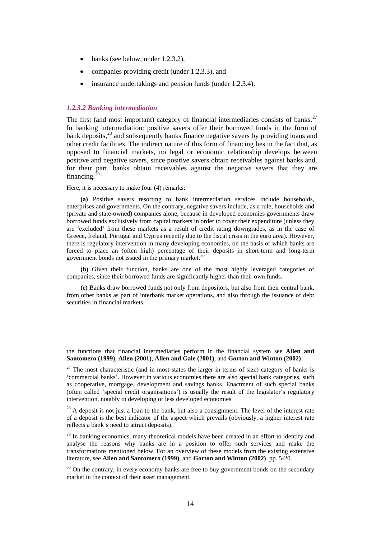- banks (see below, under 1.2.3.2),
- companies providing credit (under 1.2.3.3), and
- insurance undertakings and pension funds (under 1.2.3.4).

## *1.2.3.2 Banking intermediation*

The first (and most important) category of financial intermediaries consists of banks. $27$ In banking intermediation: positive savers offer their borrowed funds in the form of bank deposits,<sup>[28](#page-13-1)</sup> and subsequently banks finance negative savers by providing loans and other credit facilities. The indirect nature of this form of financing lies in the fact that, as opposed to financial markets, no legal or economic relationship develops between positive and negative savers, since positive savers obtain receivables against banks and, for their part, banks obtain receivables against the negative savers that they are financing.<sup>[29](#page-13-2)</sup>

## Here, it is necessary to make four (4) remarks:

<span id="page-13-0"></span> $\overline{a}$ 

**(a)** Positive savers resorting to bank intermediation services include households, enterprises and governments. On the contrary, negative savers include, as a rule, households and (private and state-owned) companies alone, because in developed economies governments draw borrowed funds exclusively from capital markets in order to cover their expenditure (unless they are 'excluded' from these markets as a result of credit rating downgrades, as in the case of Greece, Ireland, Portugal and Cyprus recently due to the fiscal crisis in the euro area). However, there is regulatory intervention in many developing economies, on the basis of which banks are forced to place an (often high) percentage of their deposits in short-term and long-term government bonds not issued in the primary market.<sup>[30](#page-13-3)</sup>

**(b)** Given their function, banks are one of the most highly leveraged categories of companies, since their borrowed funds are significantly higher than their own funds.

**(c)** Banks draw borrowed funds not only from depositors, but also from their central bank, from other banks as part of interbank market operations, and also through the issuance of debt securities in financial markets.

the functions that financial intermediaries perform in the financial system see **Allen and Santomero (1999)**, **Allen (2001)**, **Allen and Gale (2001)**, and **Gorton and Winton (2002)**.

<span id="page-13-1"></span><sup>28</sup> A deposit is not just a loan to the bank, but also a consignment. The level of the interest rate of a deposit is the best indicator of the aspect which prevails (obviously, a higher interest rate reflects a bank's need to attract deposits).

<span id="page-13-2"></span><sup>29</sup> In banking economics, many theoretical models have been created in an effort to identify and analyse the reasons why banks are in a position to offer such services and make the transformations mentioned below. For an overview of these models from the existing extensive literature, see **Allen and Santomero (1999)**, and **Gorton and Winton (2002)**, pp. 5-20.

 $27$  The most characteristic (and in most states the larger in terms of size) category of banks is 'commercial banks'. However in various economies there are also special bank categories, such as cooperative, mortgage, development and savings banks. Enactment of such special banks (often called 'special credit organisations') is usually the result of the legislator's regulatory intervention, notably in developing or less developed economies.

<span id="page-13-3"></span> $30$  On the contrary, in every economy banks are free to buy government bonds on the secondary market in the context of their asset management.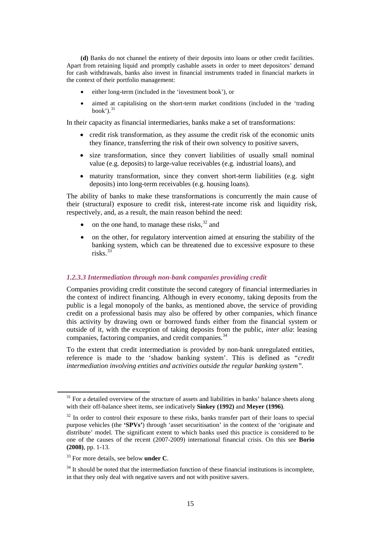**(d)** Banks do not channel the entirety of their deposits into loans or other credit facilities. Apart from retaining liquid and promptly cashable assets in order to meet depositors' demand for cash withdrawals, banks also invest in financial instruments traded in financial markets in the context of their portfolio management:

- either long-term (included in the 'investment book'), or
- aimed at capitalising on the short-term market conditions (included in the 'trading  $book$ <sup>'</sup>).<sup>[31](#page-14-0)</sup>

In their capacity as financial intermediaries, banks make a set of transformations:

- credit risk transformation, as they assume the credit risk of the economic units they finance, transferring the risk of their own solvency to positive savers,
- size transformation, since they convert liabilities of usually small nominal value (e.g. deposits) to large-value receivables (e.g. industrial loans), and
- maturity transformation, since they convert short-term liabilities (e.g. sight deposits) into long-term receivables (e.g. housing loans).

The ability of banks to make these transformations is concurrently the main cause of their (structural) exposure to credit risk, interest-rate income risk and liquidity risk, respectively, and, as a result, the main reason behind the need:

- on the one hand, to manage these risks, $32$  and
- on the other, for regulatory intervention aimed at ensuring the stability of the banking system, which can be threatened due to excessive exposure to these risks.[33](#page-14-2)

## *1.2.3.3 Intermediation through non-bank companies providing credit*

Companies providing credit constitute the second category of financial intermediaries in the context of indirect financing. Although in every economy, taking deposits from the public is a legal monopoly of the banks, as mentioned above, the service of providing credit on a professional basis may also be offered by other companies, which finance this activity by drawing own or borrowed funds either from the financial system or outside of it, with the exception of taking deposits from the public, *inter alia*: leasing companies, factoring companies, and credit companies.<sup>[34](#page-14-3)</sup>

To the extent that credit intermediation is provided by non-bank unregulated entities, reference is made to the 'shadow banking system'. This is defined as *"credit intermediation involving entities and activities outside the regular banking system".*

<span id="page-14-0"></span> $31$  For a detailed overview of the structure of assets and liabilities in banks' balance sheets along with their off-balance sheet items, see indicatively **Sinkey (1992)** and **Meyer (1996)**.

<span id="page-14-1"></span> $32$  In order to control their exposure to these risks, banks transfer part of their loans to special purpose vehicles (the **'SPVs'**) through 'asset securitisation' in the context of the 'originate and distribute' model*.* The significant extent to which banks used this practice is considered to be one of the causes of the recent (2007-2009) international financial crisis. On this see **Borio (2008)**, pp. 1-13.

<span id="page-14-2"></span><sup>33</sup> For more details, see below **under C**.

<span id="page-14-3"></span> $34$  It should be noted that the intermediation function of these financial institutions is incomplete, in that they only deal with negative savers and not with positive savers.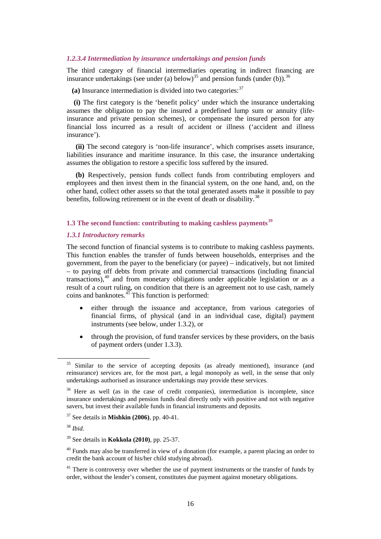#### *1.2.3.4 Intermediation by insurance undertakings and pension funds*

The third category of financial intermediaries operating in indirect financing are insurance undertakings (see under (a) below)<sup>[35](#page-15-0)</sup> and pension funds (under (b)).<sup>[36](#page-15-1)</sup>

**(a)** Insurance intermediation is divided into two categories:<sup>[37](#page-15-2)</sup>

 **(i)** The first category is the 'benefit policy' under which the insurance undertaking assumes the obligation to pay the insured a predefined lump sum or annuity (lifeinsurance and private pension schemes), or compensate the insured person for any financial loss incurred as a result of accident or illness ('accident and illness insurance').

**(ii)** The second category is 'non-life insurance', which comprises assets insurance, liabilities insurance and maritime insurance. In this case, the insurance undertaking assumes the obligation to restore a specific loss suffered by the insured.

**(b)** Respectively, pension funds collect funds from contributing employers and employees and then invest them in the financial system, on the one hand, and, on the other hand, collect other assets so that the total generated assets make it possible to pay benefits, following retirement or in the event of death or disability.<sup>[38](#page-15-3)</sup>

## **1.3 The second function: contributing to making cashless payments[39](#page-15-4)**

#### *1.3.1 Introductory remarks*

The second function of financial systems is to contribute to making cashless payments. This function enables the transfer of funds between households, enterprises and the government, from the payer to the beneficiary (or payee) – indicatively, but not limited – to paying off debts from private and commercial transactions (including financial transactions), $40$  and from monetary obligations under applicable legislation or as a result of a court ruling, on condition that there is an agreement not to use cash, namely coins and banknotes.<sup>[41](#page-15-6)</sup> This function is performed:

- either through the issuance and acceptance, from various categories of financial firms, of physical (and in an individual case, digital) payment instruments (see below, under 1.3.2), or
- through the provision, of fund transfer services by these providers, on the basis of payment orders (under 1.3.3).

<span id="page-15-0"></span>Similar to the service of accepting deposits (as already mentioned), insurance (and reinsurance) services are, for the most part, a legal monopoly as well, in the sense that only undertakings authorised as insurance undertakings may provide these services.

<span id="page-15-1"></span><sup>&</sup>lt;sup>36</sup> Here as well (as in the case of credit companies), intermediation is incomplete, since insurance undertakings and pension funds deal directly only with positive and not with negative savers, but invest their available funds in financial instruments and deposits.

<span id="page-15-2"></span><sup>37</sup> See details in **Mishkin (2006)**, pp. 40-41.

<span id="page-15-3"></span><sup>38</sup> *Ibid*.

<span id="page-15-4"></span><sup>39</sup> See details in **Kokkola (2010)**, pp. 25-37.

<span id="page-15-5"></span><sup>&</sup>lt;sup>40</sup> Funds may also be transferred in view of a donation (for example, a parent placing an order to credit the bank account of his/her child studying abroad).

<span id="page-15-6"></span> $41$  There is controversy over whether the use of payment instruments or the transfer of funds by order, without the lender's consent, constitutes due payment against monetary obligations.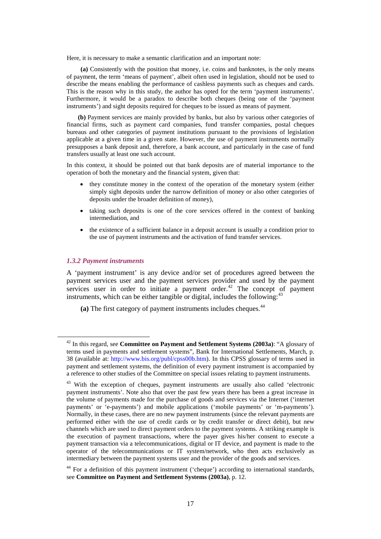Here, it is necessary to make a semantic clarification and an important note:

**(a)** Consistently with the position that money, i.e. coins and banknotes, is the only means of payment, the term 'means of payment', albeit often used in legislation, should not be used to describe the means enabling the performance of cashless payments such as cheques and cards. This is the reason why in this study, the author has opted for the term 'payment instruments'. Furthermore, it would be a paradox to describe both cheques (being one of the 'payment instruments') and sight deposits required for cheques to be issued as means of payment.

 **(b)** Payment services are mainly provided by banks, but also by various other categories of financial firms, such as payment card companies, fund transfer companies, postal cheques bureaus and other categories of payment institutions pursuant to the provisions of legislation applicable at a given time in a given state. However, the use of payment instruments normally presupposes a bank deposit and, therefore, a bank account, and particularly in the case of fund transfers usually at least one such account.

In this context, it should be pointed out that bank deposits are of material importance to the operation of both the monetary and the financial system, given that:

- they constitute money in the context of the operation of the monetary system (either simply sight deposits under the narrow definition of money or also other categories of deposits under the broader definition of money),
- taking such deposits is one of the core services offered in the context of banking intermediation, and
- the existence of a sufficient balance in a deposit account is usually a condition prior to the use of payment instruments and the activation of fund transfer services.

#### *1.3.2 Payment instruments*

A 'payment instrument' is any device and/or set of procedures agreed between the payment services user and the payment services provider and used by the payment services user in order to initiate a payment order.<sup>[42](#page-16-0)</sup> The concept of payment instruments, which can be either tangible or digital, includes the following:  $43$ 

**(a)** The first category of payment instruments includes cheques.<sup>[44](#page-16-2)</sup>

<span id="page-16-0"></span><sup>42</sup> In this regard, see **Committee on Payment and Settlement Systems (2003a)**: "A glossary of terms used in payments and settlement systems", Bank for International Settlements, March, p. 38 (available at: [http://www.bis.org/publ/cpss00b.htm\)](http://www.bis.org/publ/cpss00b.htm). In this CPSS glossary of terms used in payment and settlement systems, the definition of every payment instrument is accompanied by a reference to other studies of the Committee on special issues relating to payment instruments.

<span id="page-16-1"></span><sup>&</sup>lt;sup>43</sup> With the exception of cheques, payment instruments are usually also called 'electronic payment instruments'. Note also that over the past few years there has been a great increase in the volume of payments made for the purchase of goods and services via the Internet ('internet payments' or 'e-payments') and mobile applications ('mobile payments' or 'm-payments'). Normally, in these cases, there are no new payment instruments (since the relevant payments are performed either with the use of credit cards or by credit transfer or direct debit), but new channels which are used to direct payment orders to the payment systems. A striking example is the execution of payment transactions, where the payer gives his/her consent to execute a payment transaction via a telecommunications, digital or ΙΤ device, and payment is made to the operator of the telecommunications or IT system/network, who then acts exclusively as intermediary between the payment systems user and the provider of the goods and services.

<span id="page-16-2"></span><sup>&</sup>lt;sup>44</sup> For a definition of this payment instrument ('cheque') according to international standards, see **Committee on Payment and Settlement Systems (2003a)**, p. 12.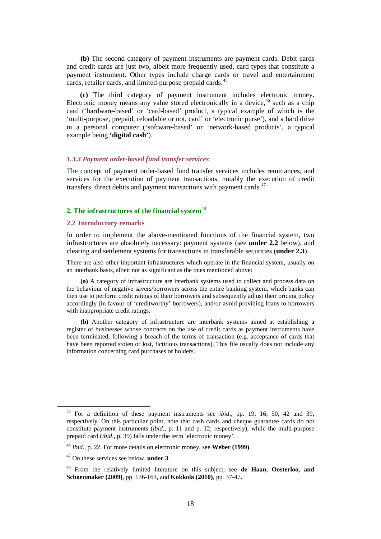**(b)** The second category of payment instruments are payment cards. Debit cards and credit cards are just two, albeit more frequently used, card types that constitute a payment instrument. Other types include charge cards or travel and entertainment cards, retailer cards, and limited-purpose prepaid cards.<sup>[45](#page-17-0)</sup>

**(c)** The third category of payment instrument includes electronic money. Electronic money means any value stored electronically in a device, $46$  such as a chip card ('hardware-based' or 'card-based' product, a typical example of which is the 'multi-purpose, prepaid, reloadable or not, card' or 'electronic purse'), and a hard drive in a personal computer ('software-based' or 'network-based products', a typical example being **'digital cash'**).

#### *1.3.3 Payment order-based fund transfer services*

The concept of payment order-based fund transfer services includes remittances, and services for the execution of payment transactions, notably the execution of credit transfers, direct debits and payment transactions with payment cards.<sup>[47](#page-17-2)</sup>

## **2. The infrastructures of the financial system**<sup>[48](#page-17-3)</sup>

## **2.2 Introductory remarks**

In order to implement the above-mentioned functions of the financial system, two infrastructures are absolutely necessary: payment systems (see **under 2.2** below), and clearing and settlement systems for transactions in transferable securities (**under 2.3**).

There are also other important infrastructures which operate in the financial system, usually on an interbank basis, albeit not as significant as the ones mentioned above:

**(a)** A category of infrastructure are interbank systems used to collect and process data on the behaviour of negative savers/borrowers across the entire banking system, which banks can then use to perform credit ratings of their borrowers and subsequently adjust their pricing policy accordingly (in favour of 'creditworthy' borrowers), and/or avoid providing loans to borrowers with inappropriate credit ratings.

**(b)** Another category of infrastructure are interbank systems aimed at establishing a register of businesses whose contracts on the use of credit cards as payment instruments have been terminated, following a breach of the terms of transaction (e.g. acceptance of cards that have been reported stolen or lost, fictitious transactions). This file usually does not include any information concerning card purchases or holders.

<span id="page-17-0"></span><sup>45</sup> For a definition of these payment instruments see *ibid*., pp. 19, 16, 50, 42 and 39, respectively. On this particular point, note that cash cards and cheque guarantee cards do not constitute payment instruments (*ibid*., p. 11 and p. 12, respectively), while the multi-purpose prepaid card (*ibid*., p. 39) falls under the term 'electronic money'.

<span id="page-17-1"></span><sup>46</sup> *Ibid*., p. 22. For more details on electronic money, see **Weber (1999)**.

<span id="page-17-2"></span><sup>47</sup> On these services see below, **under 3**.

<span id="page-17-3"></span><sup>48</sup> From the relatively limited literature on this subject, see **de Haan, Oosterloo, and Schoenmaker (2009)**, pp. 136-163, and **Kokkola (2010)**, pp. 37-47.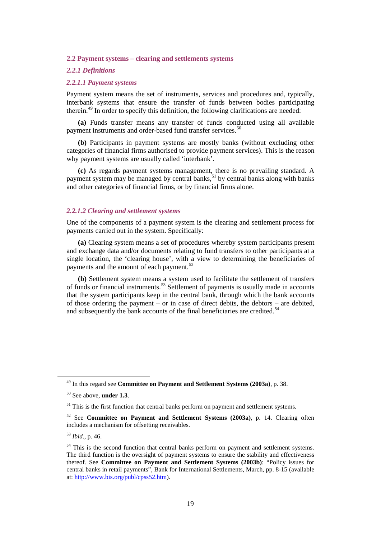#### **2.2 Payment systems – clearing and settlements systems**

## *2.2.1 Definitions*

## *2.2.1.1 Payment systems*

Payment system means the set of instruments, services and procedures and, typically, interbank systems that ensure the transfer of funds between bodies participating therein.[49](#page-18-0) In order to specify this definition, the following clarifications are needed:

**(a)** Funds transfer means any transfer of funds conducted using all available payment instruments and order-based fund transfer services.<sup>[50](#page-18-1)</sup>

**(b)** Participants in payment systems are mostly banks (without excluding other categories of financial firms authorised to provide payment services). This is the reason why payment systems are usually called 'interbank'.

**(c)** As regards payment systems management, there is no prevailing standard. A payment system may be managed by central banks,<sup>[51](#page-18-2)</sup> by central banks along with banks and other categories of financial firms, or by financial firms alone.

## *2.2.1.2 Clearing and settlement systems*

One of the components of a payment system is the clearing and settlement process for payments carried out in the system. Specifically:

**(a)** Clearing system means a set of procedures whereby system participants present and exchange data and/or documents relating to fund transfers to other participants at a single location, the 'clearing house', with a view to determining the beneficiaries of payments and the amount of each payment.<sup>[52](#page-18-3)</sup>

**(b)** Settlement system means a system used to facilitate the settlement of transfers of funds or financial instruments.[53](#page-18-4) Settlement of payments is usually made in accounts that the system participants keep in the central bank, through which the bank accounts of those ordering the payment – or in case of direct debits, the debtors – are debited, and subsequently the bank accounts of the final beneficiaries are credited.<sup>[54](#page-18-5)</sup>

<span id="page-18-0"></span><sup>49</sup> In this regard see **Committee on Payment and Settlement Systems (2003a)**, p. 38.

<span id="page-18-1"></span><sup>50</sup> See above, **under 1.3**.

<span id="page-18-2"></span> $<sup>51</sup>$  This is the first function that central banks perform on payment and settlement systems.</sup>

<span id="page-18-3"></span><sup>52</sup> See **Committee on Payment and Settlement Systems (2003a)**, p. 14. Clearing often includes a mechanism for offsetting receivables.

<span id="page-18-4"></span><sup>53</sup> *Ibid*., p. 46.

<span id="page-18-5"></span> $54$  This is the second function that central banks perform on payment and settlement systems. The third function is the oversight of payment systems to ensure the stability and effectiveness thereof. See **Committee on Payment and Settlement Systems (2003b)**: "Policy issues for central banks in retail payments", Bank for International Settlements, March, pp. 8-15 (available at: [http://www.bis.org/publ/cpss52.htm\)](http://www.bis.org/publ/cpss52.htm).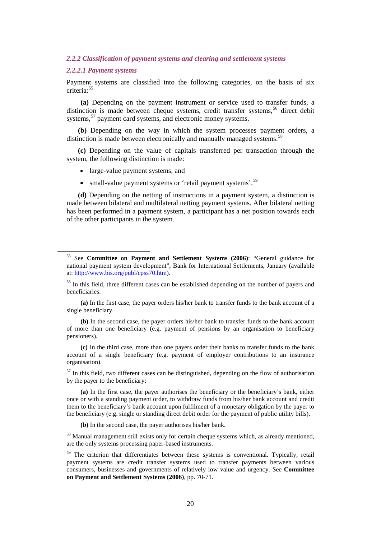#### *2.2.2 Classification of payment systems and clearing and settlement systems*

#### *2.2.2.1 Payment systems*

Payment systems are classified into the following categories, on the basis of six criteria:[55](#page-19-0)

**(a)** Depending on the payment instrument or service used to transfer funds, a distinction is made between cheque systems, credit transfer systems,  $56$  direct debit systems,<sup>[57](#page-19-2)</sup> payment card systems, and electronic money systems.

**(b)** Depending on the way in which the system processes payment orders, a distinction is made between electronically and manually managed systems.<sup>[58](#page-19-3)</sup>

**(c)** Depending on the value of capitals transferred per transaction through the system, the following distinction is made:

- large-value payment systems, and
- small-value payment systems or 'retail payment systems'.<sup>[59](#page-19-4)</sup>

**(d)** Depending on the netting of instructions in a payment system, a distinction is made between bilateral and multilateral netting payment systems. After bilateral netting has been performed in a payment system, a participant has a net position towards each of the other participants in the system.

**(a)** In the first case, the payer orders his/her bank to transfer funds to the bank account of a single beneficiary.

**(b)** In the second case, the payer orders his/her bank to transfer funds to the bank account of more than one beneficiary (e.g. payment of pensions by an organisation to beneficiary pensioners).

**(c)** In the third case, more than one payers order their banks to transfer funds to the bank account of a single beneficiary (e.g. payment of employer contributions to an insurance organisation).

<span id="page-19-2"></span> $57$  In this field, two different cases can be distinguished, depending on the flow of authorisation by the payer to the beneficiary:

**(a)** In the first case, the payer authorises the beneficiary or the beneficiary's bank, either once or with a standing payment order, to withdraw funds from his/her bank account and credit them to the beneficiary's bank account upon fulfilment of a monetary obligation by the payer to the beneficiary (e.g. single or standing direct debit order for the payment of public utility bills).

**(b)** In the second case, the payer authorises his/her bank.

<span id="page-19-3"></span><sup>58</sup> Manual management still exists only for certain cheque systems which, as already mentioned, are the only systems processing paper-based instruments.

<span id="page-19-0"></span><sup>55</sup> See **Committee on Payment and Settlement Systems (2006)**: "General guidance for national payment system development", Bank for International Settlements, January (available at[: http://www.bis.org/publ/cpss70.htm\)](http://www.bis.org/publ/cpss70.htm).

<span id="page-19-1"></span><sup>&</sup>lt;sup>56</sup> In this field, three different cases can be established depending on the number of payers and beneficiaries:

<span id="page-19-4"></span><sup>&</sup>lt;sup>59</sup> The criterion that differentiates between these systems is conventional. Typically, retail payment systems are credit transfer systems used to transfer payments between various consumers, businesses and governments of relatively low value and urgency. See **Committee on Payment and Settlement Systems (2006)**, pp. 70-71.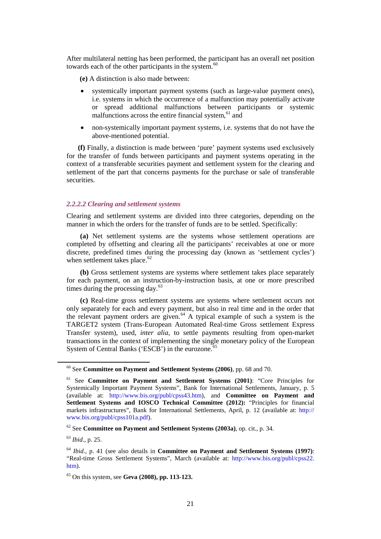After multilateral netting has been performed, the participant has an overall net position towards each of the other participants in the system.<sup>[60](#page-20-0)</sup>

**(e)** A distinction is also made between:

- systemically important payment systems (such as large-value payment ones), i.e. systems in which the occurrence of a malfunction may potentially activate or spread additional malfunctions between participants or systemic malfunctions across the entire financial system,<sup>[61](#page-20-1)</sup> and
- non-systemically important payment systems, i.e. systems that do not have the above-mentioned potential.

**(f)** Finally, a distinction is made between 'pure' payment systems used exclusively for the transfer of funds between participants and payment systems operating in the context of a transferable securities payment and settlement system for the clearing and settlement of the part that concerns payments for the purchase or sale of transferable securities.

#### *2.2.2.2 Clearing and settlement systems*

Clearing and settlement systems are divided into three categories, depending on the manner in which the orders for the transfer of funds are to be settled. Specifically:

**(a)** Net settlement systems are the systems whose settlement operations are completed by offsetting and clearing all the participants' receivables at one or more discrete, predefined times during the processing day (known as 'settlement cycles') when settlement takes place.<sup>[62](#page-20-2)</sup>

**(b)** Gross settlement systems are systems where settlement takes place separately for each payment, on an instruction-by-instruction basis, at one or more prescribed times during the processing day.<sup>[63](#page-20-3)</sup>

**(c)** Real-time gross settlement systems are systems where settlement occurs not only separately for each and every payment, but also in real time and in the order that the relevant payment orders are given.<sup>[64](#page-20-4)</sup> A typical example of such a system is the TARGET2 system (Trans-European Automated Real-time Gross settlement Express Transfer system), used, *inter alia*, to settle payments resulting from open-market transactions in the context of implementing the single monetary policy of the European System of Central Banks ('ESCB') in the eurozone.<sup>[65](#page-20-5)</sup>

<span id="page-20-0"></span><sup>60</sup> See **Committee on Payment and Settlement Systems (2006)**, pp. 68 and 70.

<span id="page-20-1"></span><sup>61</sup> See **Committee on Payment and Settlement Systems (2001)**: "Core Principles for Systemically Important Payment Systems", Bank for International Settlements, January, p. 5 (available at: [http://www.bis.org/publ/cpss43.htm\)](http://www.bis.org/publ/cpss43.htm), and **Committee on Payment and Settlement Systems and IOSCO Technical Committee (2012):** "Principles for financial markets infrastructures", Bank for International Settlements, April, p. 12 (available at: http:// www.bis.org/publ/cpss101a.pdf).

<span id="page-20-2"></span><sup>62</sup> See **Committee on Payment and Settlement Systems (2003a)**, op. cit., p. 34.

<span id="page-20-3"></span><sup>63</sup> *Ibid*., p. 25.

<span id="page-20-4"></span><sup>64</sup> *Ibid*.*,* p. 41 (see also details in **Committee on Payment and Settlement Systems (1997)**: "Real-time Gross Settlement Systems", March (available at: [http://www.bis.org/publ/cpss22.](http://www.bis.org/publ/cpss22.htm)  [htm\)](http://www.bis.org/publ/cpss22.htm).

<span id="page-20-5"></span><sup>65</sup> On this system, see **Geva (2008), pp. 113-123.**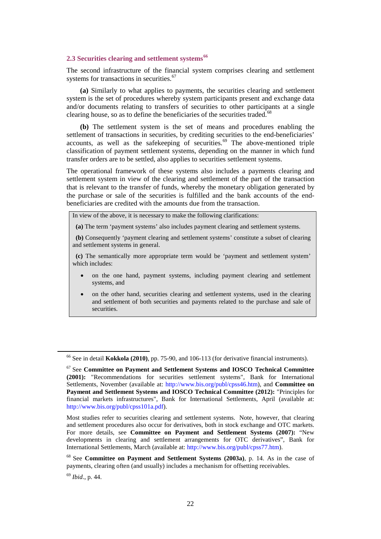## **2.3 Securities clearing and settlement systems[66](#page-21-0)**

The second infrastructure of the financial system comprises clearing and settlement systems for transactions in securities.<sup>[67](#page-21-1)</sup>

**(a)** Similarly to what applies to payments, the securities clearing and settlement system is the set of procedures whereby system participants present and exchange data and/or documents relating to transfers of securities to other participants at a single clearing house, so as to define the beneficiaries of the securities traded.<sup>[68](#page-21-2)</sup>

**(b)** The settlement system is the set of means and procedures enabling the settlement of transactions in securities, by crediting securities to the end-beneficiaries' accounts, as well as the safekeeping of securities.<sup>[69](#page-21-3)</sup> The above-mentioned triple classification of payment settlement systems, depending on the manner in which fund transfer orders are to be settled, also applies to securities settlement systems.

The operational framework of these systems also includes a payments clearing and settlement system in view of the clearing and settlement of the part of the transaction that is relevant to the transfer of funds, whereby the monetary obligation generated by the purchase or sale of the securities is fulfilled and the bank accounts of the endbeneficiaries are credited with the amounts due from the transaction.

In view of the above, it is necessary to make the following clarifications:

 **(a)** The term 'payment systems' also includes payment clearing and settlement systems.

 **(b)** Consequently 'payment clearing and settlement systems' constitute a subset of clearing and settlement systems in general.

 **(c)** The semantically more appropriate term would be 'payment and settlement system' which includes:

- on the one hand, payment systems, including payment clearing and settlement systems, and
- on the other hand, securities clearing and settlement systems, used in the clearing and settlement of both securities and payments related to the purchase and sale of securities.

<span id="page-21-0"></span><sup>66</sup> See in detail **Kokkola (2010)**, pp. 75-90, and 106-113 (for derivative financial instruments).

<span id="page-21-1"></span><sup>67</sup> See **Committee on Payment and Settlement Systems and IOSCO Technical Committee (2001):** "Recommendations for securities settlement systems", Bank for International Settlements, November (available at: [http://www.bis.org/publ/cpss46.htm\)](http://www.bis.org/publ/cpss46.htm), and **Committee on Payment and Settlement Systems and IOSCO Technical Committee (2012):** "Principles for financial markets infrastructures", Bank for International Settlements, April (available at: [http://www.bis.org/publ/cpss101a.pdf\)](http://www.bis.org/publ/cpss101a.pdf).

Most studies refer to securities clearing and settlement systems. Note, however, that clearing and settlement procedures also occur for derivatives, both in stock exchange and OTC markets. For more details, see **Committee on Payment and Settlement Systems (2007):** "New developments in clearing and settlement arrangements for OTC derivatives", Bank for International Settlements, March (available at: [http://www.bis.org/publ/cpss77.htm\)](http://www.bis.org/publ/cpss77.htm).

<span id="page-21-2"></span><sup>68</sup> See **Committee on Payment and Settlement Systems (2003a)**, p. 14. As in the case of payments, clearing often (and usually) includes a mechanism for offsetting receivables.

<span id="page-21-3"></span><sup>69</sup> *Ibid*., p. 44.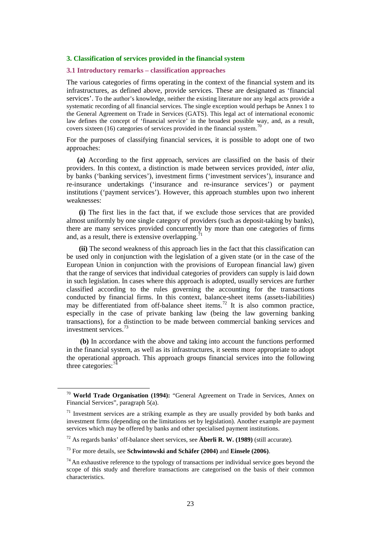#### **3. Classification of services provided in the financial system**

## **3.1 Introductory remarks – classification approaches**

The various categories of firms operating in the context of the financial system and its infrastructures, as defined above, provide services. These are designated as 'financial services'. To the author's knowledge, neither the existing literature nor any legal acts provide a systematic recording of all financial services. The single exception would perhaps be Annex 1 to the General Agreement on Trade in Services (GATS). This legal act of international economic law defines the concept of 'financial service' in the broadest possible way, and, as a result, covers sixteen (16) categories of services provided in the financial system.<sup>[70](#page-22-0)</sup>

For the purposes of classifying financial services, it is possible to adopt one of two approaches:

 **(a)** According to the first approach, services are classified on the basis of their providers. In this context, a distinction is made between services provided, *inter alia,*  by banks ('banking services'), investment firms ('investment services'), insurance and re-insurance undertakings ('insurance and re-insurance services') or payment institutions ('payment services'). However, this approach stumbles upon two inherent weaknesses:

 **(i)** The first lies in the fact that, if we exclude those services that are provided almost uniformly by one single category of providers (such as deposit-taking by banks), there are many services provided concurrently by more than one categories of firms and, as a result, there is extensive overlapping.

 **(ii)** The second weakness of this approach lies in the fact that this classification can be used only in conjunction with the legislation of a given state (or in the case of the European Union in conjunction with the provisions of European financial law) given that the range of services that individual categories of providers can supply is laid down in such legislation. In cases where this approach is adopted, usually services are further classified according to the rules governing the accounting for the transactions conducted by financial firms. In this context, balance-sheet items (assets-liabilities) may be differentiated from off-balance sheet items.<sup>[72](#page-22-2)</sup> It is also common practice, especially in the case of private banking law (being the law governing banking transactions), for a distinction to be made between commercial banking services and investment services.[73](#page-22-3)

**(b)** In accordance with the above and taking into account the functions performed in the financial system, as well as its infrastructures, it seems more appropriate to adopt the operational approach. This approach groups financial services into the following three categories:<sup>7</sup>

<span id="page-22-0"></span><sup>70</sup> **World Trade Organisation (1994):** "General Agreement on Trade in Services, Annex on Financial Services"*,* paragraph 5(a).

<span id="page-22-1"></span> $71$  Investment services are a striking example as they are usually provided by both banks and investment firms (depending on the limitations set by legislation). Another example are payment services which may be offered by banks and other specialised payment institutions.

<span id="page-22-2"></span><sup>72</sup> As regards banks' off-balance sheet services, see **Äberli R. W. (1989)** (still accurate)*.* 

<span id="page-22-3"></span><sup>73</sup> For more details, see **Schwintowski and Schäfer (2004)** and **Einsele (2006)**.

<span id="page-22-4"></span> $74$  An exhaustive reference to the typology of transactions per individual service goes beyond the scope of this study and therefore transactions are categorised on the basis of their common characteristics.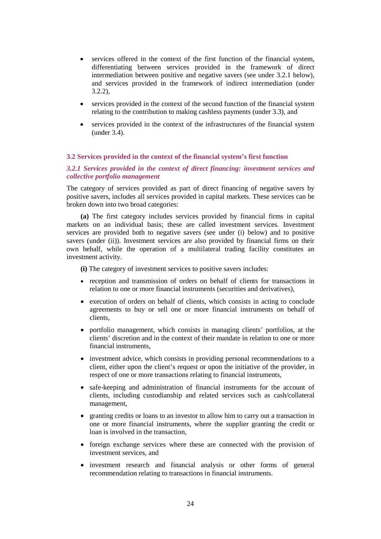- services offered in the context of the first function of the financial system, differentiating between services provided in the framework of direct intermediation between positive and negative savers (see under 3.2.1 below), and services provided in the framework of indirect intermediation (under 3.2.2),
- services provided in the context of the second function of the financial system relating to the contribution to making cashless payments (under 3.3), and
- services provided in the context of the infrastructures of the financial system (under 3.4).

#### **3.2 Services provided in the context of the financial system's first function**

## *3.2.1 Services provided in the context of direct financing: investment services and collective portfolio management*

The category of services provided as part of direct financing of negative savers by positive savers, includes all services provided in capital markets. These services can be broken down into two broad categories:

**(a)** The first category includes services provided by financial firms in capital markets on an individual basis; these are called investment services. Investment services are provided both to negative savers (see under (i) below) and to positive savers (under (ii)). Investment services are also provided by financial firms on their own behalf, while the operation of a multilateral trading facility constitutes an investment activity.

**(i)** The category of investment services to positive savers includes:

- reception and transmission of orders on behalf of clients for transactions in relation to one or more financial instruments (securities and derivatives),
- execution of orders on behalf of clients, which consists in acting to conclude agreements to buy or sell one or more financial instruments on behalf of clients,
- portfolio management, which consists in managing clients' portfolios, at the clients' discretion and in the context of their mandate in relation to one or more financial instruments,
- investment advice, which consists in providing personal recommendations to a client, either upon the client's request or upon the initiative of the provider, in respect of one or more transactions relating to financial instruments,
- safe-keeping and administration of financial instruments for the account of clients, including custodianship and related services such as cash/collateral management,
- granting credits or loans to an investor to allow him to carry out a transaction in one or more financial instruments, where the supplier granting the credit or loan is involved in the transaction,
- foreign exchange services where these are connected with the provision of investment services, and
- investment research and financial analysis or other forms of general recommendation relating to transactions in financial instruments.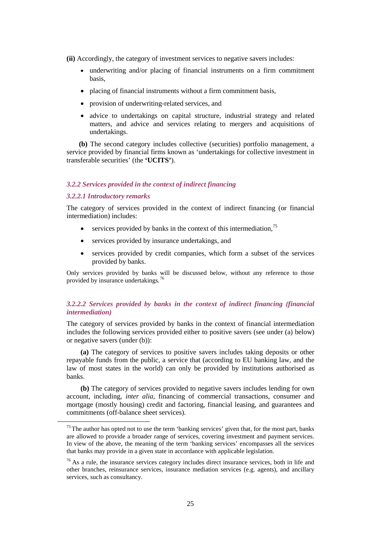**(ii)** Accordingly, the category of investment services to negative savers includes:

- underwriting and/or placing of financial instruments on a firm commitment basis,
- placing of financial instruments without a firm commitment basis,
- provision of underwriting-related services, and
- advice to undertakings on capital structure, industrial strategy and related matters, and advice and services relating to mergers and acquisitions of undertakings.

 **(b)** The second category includes collective (securities) portfolio management, a service provided by financial firms known as 'undertakings for collective investment in transferable securities' (the **'UCITS'**).

#### *3.2.2 Services provided in the context of indirect financing*

#### *3.2.2.1 Introductory remarks*

The category of services provided in the context of indirect financing (or financial intermediation) includes:

- services provided by banks in the context of this intermediation,  $^{75}$  $^{75}$  $^{75}$
- services provided by insurance undertakings, and
- services provided by credit companies, which form a subset of the services provided by banks.

Only services provided by banks will be discussed below, without any reference to those provided by insurance undertakings.

## *3.2.2.2 Services provided by banks in the context of indirect financing (financial intermediation)*

The category of services provided by banks in the context of financial intermediation includes the following services provided either to positive savers (see under (a) below) or negative savers (under (b)):

**(a)** The category of services to positive savers includes taking deposits or other repayable funds from the public, a service that (according to EU banking law, and the law of most states in the world) can only be provided by institutions authorised as banks.

**(b)** The category of services provided to negative savers includes lending for own account, including, *inter alia*, financing of commercial transactions, consumer and mortgage (mostly housing) credit and factoring, financial leasing, and guarantees and commitments (off-balance sheet services).

<span id="page-24-0"></span> $75$  The author has opted not to use the term 'banking services' given that, for the most part, banks are allowed to provide a broader range of services, covering investment and payment services. In view of the above, the meaning of the term 'banking services' encompasses all the services that banks may provide in a given state in accordance with applicable legislation.

<span id="page-24-1"></span><sup>&</sup>lt;sup>76</sup> As a rule, the insurance services category includes direct insurance services, both in life and other branches, reinsurance services, insurance mediation services (e.g. agents), and ancillary services, such as consultancy.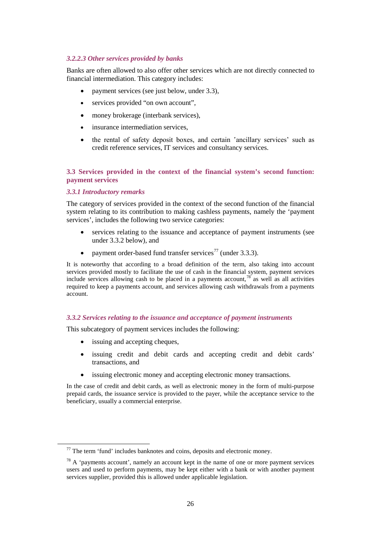## *3.2.2.3 Other services provided by banks*

Banks are often allowed to also offer other services which are not directly connected to financial intermediation. This category includes:

- payment services (see just below, under 3.3),
- services provided "on own account",
- money brokerage (interbank services),
- insurance intermediation services.
- the rental of safety deposit boxes, and certain 'ancillary services' such as credit reference services, IT services and consultancy services.

## **3.3 Services provided in the context of the financial system's second function: payment services**

#### *3.3.1 Introductory remarks*

The category of services provided in the context of the second function of the financial system relating to its contribution to making cashless payments, namely the 'payment services', includes the following two service categories:

- services relating to the issuance and acceptance of payment instruments (see under 3.3.2 below), and
- payment order-based fund transfer services<sup>[77](#page-25-0)</sup> (under 3.3.3).

It is noteworthy that according to a broad definition of the term, also taking into account services provided mostly to facilitate the use of cash in the financial system, payment services include services allowing cash to be placed in a payments account,  $78$  as well as all activities required to keep a payments account, and services allowing cash withdrawals from a payments account.

#### *3.3.2 Services relating to the issuance and acceptance of payment instruments*

This subcategory of payment services includes the following:

- issuing and accepting cheques,
- issuing credit and debit cards and accepting credit and debit cards' transactions, and
- issuing electronic money and accepting electronic money transactions.

In the case of credit and debit cards, as well as electronic money in the form of multi-purpose prepaid cards, the issuance service is provided to the payer, while the acceptance service to the beneficiary, usually a commercial enterprise.

<span id="page-25-0"></span> $77$  The term 'fund' includes banknotes and coins, deposits and electronic money.

<span id="page-25-1"></span> $78$  A 'payments account', namely an account kept in the name of one or more payment services users and used to perform payments, may be kept either with a bank or with another payment services supplier, provided this is allowed under applicable legislation.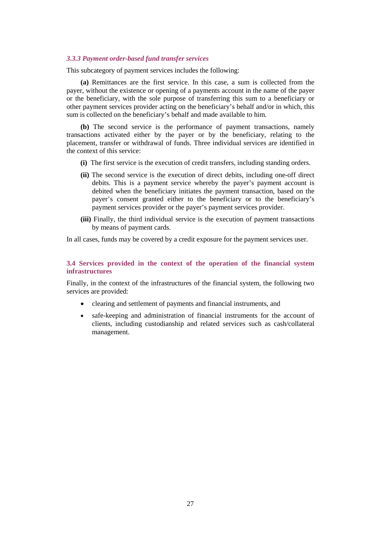#### *3.3.3 Payment order-based fund transfer services*

This subcategory of payment services includes the following:

**(a)** Remittances are the first service. In this case, a sum is collected from the payer, without the existence or opening of a payments account in the name of the payer or the beneficiary, with the sole purpose of transferring this sum to a beneficiary or other payment services provider acting on the beneficiary's behalf and/or in which, this sum is collected on the beneficiary's behalf and made available to him.

**(b)** The second service is the performance of payment transactions, namely transactions activated either by the payer or by the beneficiary, relating to the placement, transfer or withdrawal of funds. Three individual services are identified in the context of this service:

- **(i)** The first service is the execution of credit transfers, including standing orders.
- **(ii)** The second service is the execution of direct debits, including one-off direct debits. This is a payment service whereby the payer's payment account is debited when the beneficiary initiates the payment transaction, based on the payer's consent granted either to the beneficiary or to the beneficiary's payment services provider or the payer's payment services provider.
- **(iii)** Finally, the third individual service is the execution of payment transactions by means of payment cards.

In all cases, funds may be covered by a credit exposure for the payment services user.

## **3.4 Services provided in the context of the operation of the financial system infrastructures**

Finally, in the context of the infrastructures of the financial system, the following two services are provided:

- clearing and settlement of payments and financial instruments, and
- safe-keeping and administration of financial instruments for the account of clients, including custodianship and related services such as cash/collateral management.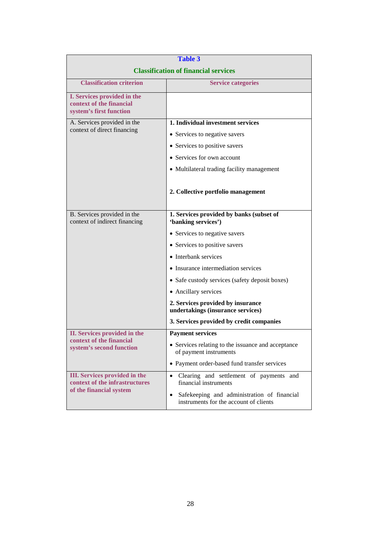| <b>Table 3</b>                                                                                    |                                                                                            |  |
|---------------------------------------------------------------------------------------------------|--------------------------------------------------------------------------------------------|--|
| <b>Classification of financial services</b>                                                       |                                                                                            |  |
| <b>Classification criterion</b>                                                                   | <b>Service categories</b>                                                                  |  |
| I. Services provided in the<br>context of the financial<br>system's first function                |                                                                                            |  |
| A. Services provided in the<br>context of direct financing                                        | 1. Individual investment services                                                          |  |
|                                                                                                   | • Services to negative savers                                                              |  |
|                                                                                                   | • Services to positive savers                                                              |  |
|                                                                                                   | • Services for own account                                                                 |  |
|                                                                                                   | • Multilateral trading facility management                                                 |  |
|                                                                                                   | 2. Collective portfolio management                                                         |  |
| B. Services provided in the<br>context of indirect financing                                      | 1. Services provided by banks (subset of<br>'banking services')                            |  |
|                                                                                                   | • Services to negative savers                                                              |  |
|                                                                                                   | • Services to positive savers                                                              |  |
|                                                                                                   | • Interbank services                                                                       |  |
|                                                                                                   | • Insurance intermediation services                                                        |  |
|                                                                                                   | • Safe custody services (safety deposit boxes)                                             |  |
|                                                                                                   | • Ancillary services                                                                       |  |
|                                                                                                   | 2. Services provided by insurance<br>undertakings (insurance services)                     |  |
|                                                                                                   | 3. Services provided by credit companies                                                   |  |
| II. Services provided in the<br>context of the financial<br>system's second function              | <b>Payment services</b>                                                                    |  |
|                                                                                                   | • Services relating to the issuance and acceptance<br>of payment instruments               |  |
|                                                                                                   | • Payment order-based fund transfer services                                               |  |
| <b>III.</b> Services provided in the<br>context of the infrastructures<br>of the financial system | $\bullet$<br>Clearing and settlement of payments and<br>financial instruments              |  |
|                                                                                                   | Safekeeping and administration of financial<br>٠<br>instruments for the account of clients |  |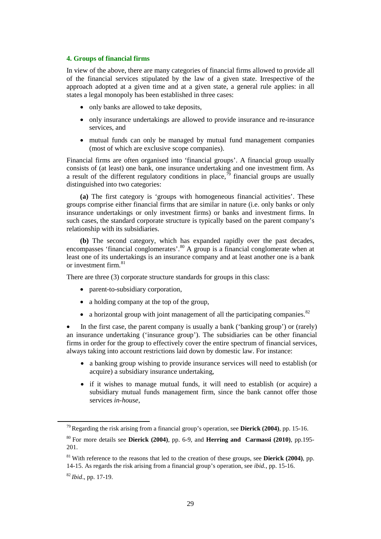#### **4. Groups of financial firms**

In view of the above, there are many categories of financial firms allowed to provide all of the financial services stipulated by the law of a given state. Irrespective of the approach adopted at a given time and at a given state, a general rule applies: in all states a legal monopoly has been established in three cases:

- only banks are allowed to take deposits,
- only insurance undertakings are allowed to provide insurance and re-insurance services, and
- mutual funds can only be managed by mutual fund management companies (most of which are exclusive scope companies).

Financial firms are often organised into 'financial groups'. A financial group usually consists of (at least) one bank, one insurance undertaking and one investment firm. As a result of the different regulatory conditions in place,<sup>[79](#page-28-0)</sup> financial groups are usually distinguished into two categories:

**(a)** The first category is 'groups with homogeneous financial activities'. These groups comprise either financial firms that are similar in nature (i.e. only banks or only insurance undertakings or only investment firms) or banks and investment firms. In such cases, the standard corporate structure is typically based on the parent company's relationship with its subsidiaries.

**(b)** The second category, which has expanded rapidly over the past decades, encompasses 'financial conglomerates'.<sup>[80](#page-28-1)</sup> A group is a financial conglomerate when at least one of its undertakings is an insurance company and at least another one is a bank or investment firm  $81$ 

There are three (3) corporate structure standards for groups in this class:

- parent-to-subsidiary corporation,
- a holding company at the top of the group,
- a horizontal group with joint management of all the participating companies.  $82$

• In the first case, the parent company is usually a bank ('banking group') or (rarely) an insurance undertaking ('insurance group'). The subsidiaries can be other financial firms in order for the group to effectively cover the entire spectrum of financial services, always taking into account restrictions laid down by domestic law. For instance:

- a banking group wishing to provide insurance services will need to establish (or acquire) a subsidiary insurance undertaking,
- if it wishes to manage mutual funds, it will need to establish (or acquire) a subsidiary mutual funds management firm, since the bank cannot offer those services *in-house*,

<span id="page-28-0"></span><sup>79</sup> Regarding the risk arising from a financial group's operation, see **Dierick (2004)**, pp. 15-16.

<span id="page-28-1"></span><sup>80</sup> For more details see **Dierick (2004)**, pp. 6-9, and **Herring and Carmassi (2010)**, pp.195- 201.

<span id="page-28-2"></span><sup>81</sup> With reference to the reasons that led to the creation of these groups, see **Dierick (2004)**, pp. 14-15. As regards the risk arising from a financial group's operation, see *ibid.*, pp. 15-16.

<span id="page-28-3"></span><sup>82</sup> *Ibid*., pp. 17-19.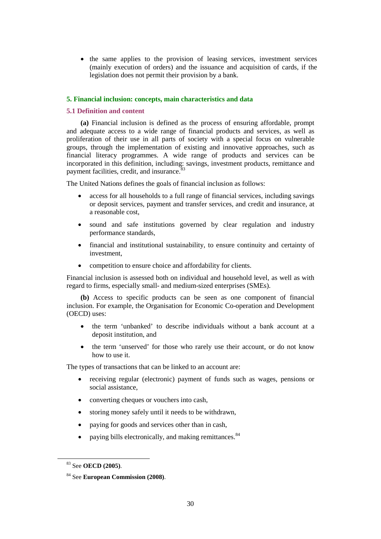• the same applies to the provision of leasing services, investment services (mainly execution of orders) and the issuance and acquisition of cards, if the legislation does not permit their provision by a bank.

## **5. Financial inclusion: concepts, main characteristics and data**

## **5.1 Definition and content**

**(a)** Financial inclusion is defined as the process of ensuring affordable, prompt and adequate access to a wide range of financial products and services, as well as proliferation of their use in all parts of society with a special focus on vulnerable groups, through the implementation of existing and innovative approaches, such as financial literacy programmes. A wide range of products and services can be incorporated in this definition, including: savings, investment products, remittance and payment facilities, credit, and insurance.<sup>[83](#page-29-0)</sup>

The United Nations defines the goals of financial inclusion as follows:

- access for all households to a full range of financial services, including savings or deposit services, payment and transfer services, and credit and insurance, at a reasonable cost,
- sound and safe institutions governed by clear regulation and industry performance standards,
- financial and institutional sustainability, to ensure continuity and certainty of investment,
- competition to ensure choice and affordability for clients.

Financial inclusion is assessed both on individual and household level, as well as with regard to firms, especially small- and medium-sized enterprises (SMEs).

**(b)** Access to specific products can be seen as one component of financial inclusion. For example, the Organisation for Economic Co-operation and Development (OECD) uses:

- the term 'unbanked' to describe individuals without a bank account at a deposit institution, and
- the term 'unserved' for those who rarely use their account, or do not know how to use it.

The types of transactions that can be linked to an account are:

- receiving regular (electronic) payment of funds such as wages, pensions or social assistance,
- converting cheques or vouchers into cash,
- storing money safely until it needs to be withdrawn,
- paying for goods and services other than in cash,
- paying bills electronically, and making remittances. $84$

<span id="page-29-0"></span><sup>83</sup> See **OECD (2005)**.

<span id="page-29-1"></span><sup>84</sup> See **European Commission (2008)**.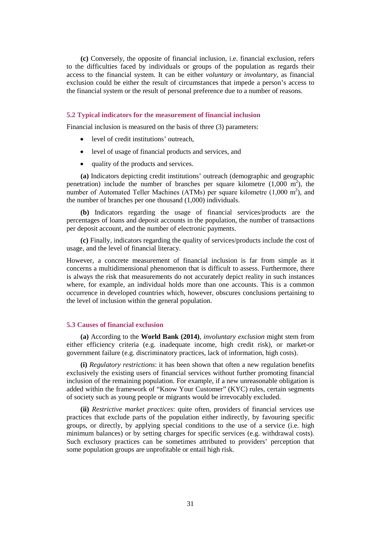**(c)** Conversely, the opposite of financial inclusion, i.e. financial exclusion, refers to the difficulties faced by individuals or groups of the population as regards their access to the financial system. It can be either *voluntary* or *involuntary,* as financial exclusion could be either the result of circumstances that impede a person's access to the financial system or the result of personal preference due to a number of reasons.

#### **5.2 Typical indicators for the measurement of financial inclusion**

Financial inclusion is measured on the basis of three (3) parameters:

- level of credit institutions' outreach,
- level of usage of financial products and services, and
- quality of the products and services.

**(a)** Indicators depicting credit institutions' outreach (demographic and geographic penetration) include the number of branches per square kilometre  $(1,000 \text{ m}^2)$ , the number of Automated Teller Machines (ATMs) per square kilometre  $(1,000 \text{ m}^2)$ , and the number of branches per one thousand (1,000) individuals.

**(b)** Indicators regarding the usage of financial services/products are the percentages of loans and deposit accounts in the population, the number of transactions per deposit account, and the number of electronic payments.

**(c)** Finally, indicators regarding the quality of services/products include the cost of usage, and the level of financial literacy.

However, a concrete measurement of financial inclusion is far from simple as it concerns a multidimensional phenomenon that is difficult to assess. Furthermore, there is always the risk that measurements do not accurately depict reality in such instances where, for example, an individual holds more than one accounts. This is a common occurrence in developed countries which, however, obscures conclusions pertaining to the level of inclusion within the general population.

#### **5.3 Causes of financial exclusion**

**(a)** According to the **World Bank (2014)**, *involuntary exclusion* might stem from either efficiency criteria (e.g. inadequate income, high credit risk), or market-or government failure (e.g. discriminatory practices, lack of information, high costs).

**(i)** *Regulatory restrictions*: it has been shown that often a new regulation benefits exclusively the existing users of financial services without further promoting financial inclusion of the remaining population. For example, if a new unreasonable obligation is added within the framework of "Know Your Customer" (KYC) rules, certain segments of society such as young people or migrants would be irrevocably excluded.

**(ii)** *Restrictive market practices*: quite often, providers of financial services use practices that exclude parts of the population either indirectly, by favouring specific groups, or directly, by applying special conditions to the use of a service (i.e. high minimum balances) or by setting charges for specific services (e.g. withdrawal costs). Such exclusory practices can be sometimes attributed to providers' perception that some population groups are unprofitable or entail high risk.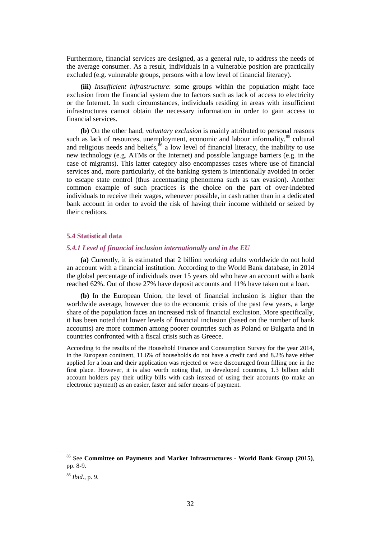Furthermore, financial services are designed, as a general rule, to address the needs of the average consumer. As a result, individuals in a vulnerable position are practically excluded (e.g. vulnerable groups, persons with a low level of financial literacy).

**(iii)** *Insufficient infrastructure*: some groups within the population might face exclusion from the financial system due to factors such as lack of access to electricity or the Internet. In such circumstances, individuals residing in areas with insufficient infrastructures cannot obtain the necessary information in order to gain access to financial services.

**(b)** On the other hand, *voluntary exclusion* is mainly attributed to personal reasons such as lack of resources, unemployment, economic and labour informality, $85$  cultural and religious needs and beliefs,  $86$  a low level of financial literacy, the inability to use new technology (e.g. ATMs or the Internet) and possible language barriers (e.g. in the case of migrants). This latter category also encompasses cases where use of financial services and, more particularly, of the banking system is intentionally avoided in order to escape state control (thus accentuating phenomena such as tax evasion). Another common example of such practices is the choice on the part of over-indebted individuals to receive their wages, whenever possible, in cash rather than in a dedicated bank account in order to avoid the risk of having their income withheld or seized by their creditors.

## **5.4 Statistical data**

#### *5.4.1 Level of financial inclusion internationally and in the EU*

**(a)** Currently, it is estimated that 2 billion working adults worldwide do not hold an account with a financial institution. According to the World Bank database, in 2014 the global percentage of individuals over 15 years old who have an account with a bank reached 62%. Out of those 27% have deposit accounts and 11% have taken out a loan.

**(b)** In the European Union, the level of financial inclusion is higher than the worldwide average, however due to the economic crisis of the past few years, a large share of the population faces an increased risk of financial exclusion. More specifically, it has been noted that lower levels of financial inclusion (based on the number of bank accounts) are more common among poorer countries such as Poland or Bulgaria and in countries confronted with a fiscal crisis such as Greece.

According to the results of the Household Finance and Consumption Survey for the year 2014, in the European continent, 11.6% of households do not have a credit card and 8.2% have either applied for a loan and their application was rejected or were discouraged from filling one in the first place. However, it is also worth noting that, in developed countries, 1.3 billion adult account holders pay their utility bills with cash instead of using their accounts (to make an electronic payment) as an easier, faster and safer means of payment.

<span id="page-31-0"></span><sup>85</sup> See **Committee on Payments and Market Infrastructures - World Bank Group (2015)**, pp. 8-9.

<span id="page-31-1"></span><sup>86</sup> *Ibid.*, p. 9.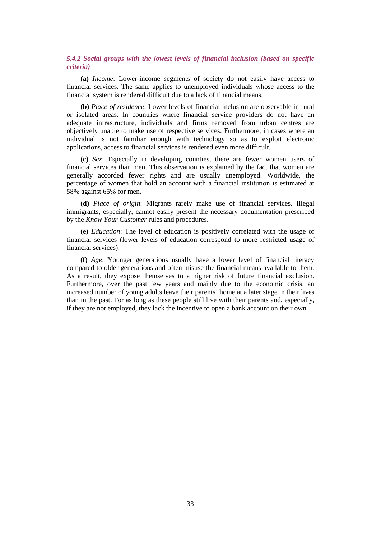## *5.4.2 Social groups with the lowest levels of financial inclusion (based on specific criteria)*

**(a)** *Income*: Lower-income segments of society do not easily have access to financial services. The same applies to unemployed individuals whose access to the financial system is rendered difficult due to a lack of financial means.

**(b)** *Place of residence*: Lower levels of financial inclusion are observable in rural or isolated areas. In countries where financial service providers do not have an adequate infrastructure, individuals and firms removed from urban centres are objectively unable to make use of respective services. Furthermore, in cases where an individual is not familiar enough with technology so as to exploit electronic applications, access to financial services is rendered even more difficult.

**(c)** *Sex*: Especially in developing counties, there are fewer women users of financial services than men. This observation is explained by the fact that women are generally accorded fewer rights and are usually unemployed. Worldwide, the percentage of women that hold an account with a financial institution is estimated at 58% against 65% for men.

**(d)** *Place of origin*: Migrants rarely make use of financial services. Illegal immigrants, especially, cannot easily present the necessary documentation prescribed by the *Know Your Customer* rules and procedures.

**(e)** *Education*: The level of education is positively correlated with the usage of financial services (lower levels of education correspond to more restricted usage of financial services).

**(f)** *Age*: Younger generations usually have a lower level of financial literacy compared to older generations and often misuse the financial means available to them. As a result, they expose themselves to a higher risk of future financial exclusion. Furthermore, over the past few years and mainly due to the economic crisis, an increased number of young adults leave their parents' home at a later stage in their lives than in the past. For as long as these people still live with their parents and, especially, if they are not employed, they lack the incentive to open a bank account on their own.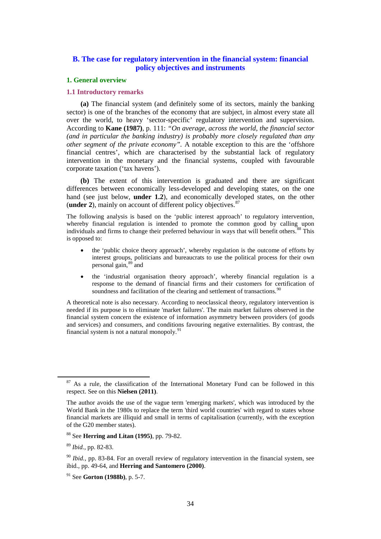## **B. The case for regulatory intervention in the financial system: financial policy objectives and instruments**

## **1. General overview**

## **1.1 Introductory remarks**

**(a)** The financial system (and definitely some of its sectors, mainly the banking sector) is one of the branches of the economy that are subject, in almost every state all over the world, to heavy 'sector-specific' regulatory intervention and supervision. According to **Kane (1987)**, p. 111: *"On average, across the world, the financial sector (and in particular the banking industry) is probably more closely regulated than any other segment of the private economy".* A notable exception to this are the 'offshore financial centres', which are characterised by the substantial lack of regulatory intervention in the monetary and the financial systems, coupled with favourable corporate taxation ('tax havens').

**(b)** The extent of this intervention is graduated and there are significant differences between economically less-developed and developing states, on the one hand (see just below, **under 1.2**), and economically developed states, on the other (**under 2**), mainly on account of different policy objectives.<sup>[87](#page-33-0)</sup>

The following analysis is based on the 'public interest approach' to regulatory intervention, whereby financial regulation is intended to promote the common good by calling upon individuals and firms to change their preferred behaviour in ways that will benefit others.<sup>[88](#page-33-1)</sup> This is opposed to:

- the 'public choice theory approach', whereby regulation is the outcome of efforts by interest groups, politicians and bureaucrats to use the political process for their own personal gain,<sup>[89](#page-33-2)</sup> and
- the 'industrial organisation theory approach', whereby financial regulation is a response to the demand of financial firms and their customers for certification of soundness and facilitation of the clearing and settlement of transactions.<sup>9</sup>

A theoretical note is also necessary. According to neoclassical theory, regulatory intervention is needed if its purpose is to eliminate 'market failures'. The main market failures observed in the financial system concern the existence of information asymmetry between providers (of goods and services) and consumers, and conditions favouring negative externalities. By contrast, the financial system is not a natural monopoly.<sup>[91](#page-33-4)</sup>

<span id="page-33-0"></span> $87$  As a rule, the classification of the International Monetary Fund can be followed in this respect. See on this **Nielsen (2011)**.

The author avoids the use of the vague term 'emerging markets', which was introduced by the World Bank in the 1980s to replace the term 'third world countries' with regard to states whose financial markets are illiquid and small in terms of capitalisation (currently, with the exception of the G20 member states).

<span id="page-33-1"></span><sup>88</sup> See **Herring and Litan (1995)**, pp. 79-82.

<span id="page-33-2"></span><sup>89</sup> *Ibid.*, pp. 82-83.

<span id="page-33-3"></span><sup>&</sup>lt;sup>90</sup> *Ibid.*, pp. 83-84. For an overall review of regulatory intervention in the financial system, see ibid., pp. 49-64, and **Herring and Santomero (2000)**.

<span id="page-33-4"></span><sup>91</sup> See **Gorton (1988b)**, p. 5-7.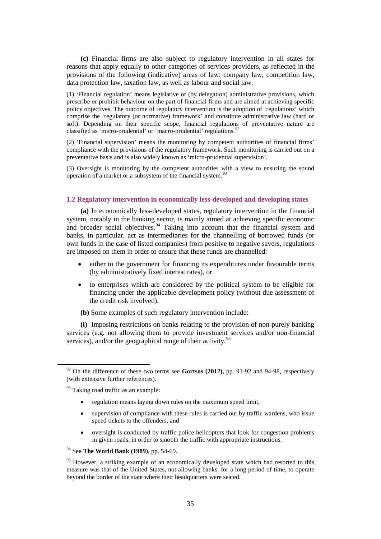**(c)** Financial firms are also subject to regulatory intervention in all states for reasons that apply equally to other categories of services providers, as reflected in the provisions of the following (indicative) areas of law: company law, competition law, data protection law, taxation law, as well as labour and social law.

(1) 'Financial regulation' means legislative or (by delegation) administrative provisions, which prescribe or prohibit behaviour on the part of financial firms and are aimed at achieving specific policy objectives. The outcome of regulatory intervention is the adoption of 'regulations' which comprise the 'regulatory (or normative) framework' and constitute administrative law (hard or soft). Depending on their specific scope, financial regulations of preventative nature are classified as 'micro-prudential' or 'macro-prudential' regulations.<sup>[92](#page-34-0)</sup>

(2) 'Financial supervision' means the monitoring by competent authorities of financial firms' compliance with the provisions of the regulatory framework. Such monitoring is carried out on a preventative basis and is also widely known as 'micro-prudential supervision'.

(3) Oversight is monitoring by the competent authorities with a view to ensuring the sound operation of a market or a subsystem of the financial system.[93](#page-34-1)

### **1.2 Regulatory intervention in economically less-developed and developing states**

**(a)** In economically less-developed states, regulatory intervention in the financial system, notably in the banking sector, is mainly aimed at achieving specific economic and broader social objectives. $94$  Taking into account that the financial system and banks, in particular, act as intermediaries for the channelling of borrowed funds (or own funds in the case of listed companies) from positive to negative savers, regulations are imposed on them in order to ensure that these funds are channelled:

- either to the government for financing its expenditures under favourable terms (by administratively fixed interest rates), or
- to enterprises which are considered by the political system to be eligible for financing under the applicable development policy (without due assessment of the credit risk involved).
- **(b)** Some examples of such regulatory intervention include:

**(i)** Imposing restrictions on banks relating to the provision of non-purely banking services (e.g. not allowing them to provide investment services and/or non-financial services), and/or the geographical range of their activity.<sup>[95](#page-34-3)</sup>

- regulation means laying down rules on the maximum speed limit,
- supervision of compliance with these rules is carried out by traffic wardens, who issue speed tickets to the offenders, and
- oversight is conducted by traffic police helicopters that look for congestion problems in given roads, in order to smooth the traffic with appropriate instructions.

<span id="page-34-2"></span><sup>94</sup> See **The World Bank (1989)**, pp. 54-69.

<span id="page-34-3"></span><sup>95</sup> However, a striking example of an economically developed state which had resorted to this measure was that of the United States, not allowing banks, for a long period of time, to operate beyond the border of the state where their headquarters were seated.

<span id="page-34-0"></span><sup>&</sup>lt;sup>92</sup> On the difference of these two terms see Gortsos (2012), pp. 91-92 and 94-98, respectively (with extensive further references).

<span id="page-34-1"></span> $93$  Taking road traffic as an example: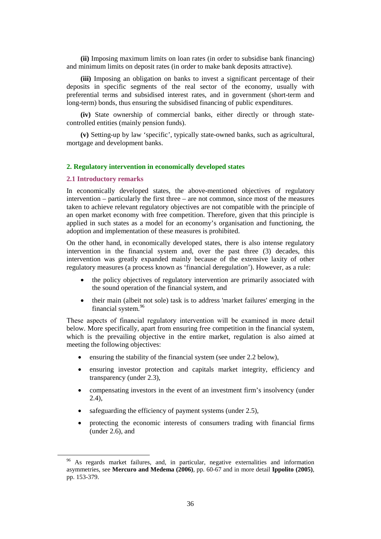**(ii)** Imposing maximum limits on loan rates (in order to subsidise bank financing) and minimum limits on deposit rates (in order to make bank deposits attractive).

**(iii)** Imposing an obligation on banks to invest a significant percentage of their deposits in specific segments of the real sector of the economy, usually with preferential terms and subsidised interest rates, and in government (short-term and long-term) bonds, thus ensuring the subsidised financing of public expenditures.

**(iv)** State ownership of commercial banks, either directly or through statecontrolled entities (mainly pension funds).

**(v)** Setting-up by law 'specific', typically state-owned banks, such as agricultural, mortgage and development banks.

#### **2. Regulatory intervention in economically developed states**

## **2.1 Introductory remarks**

In economically developed states, the above-mentioned objectives of regulatory intervention – particularly the first three – are not common, since most of the measures taken to achieve relevant regulatory objectives are not compatible with the principle of an open market economy with free competition. Therefore, given that this principle is applied in such states as a model for an economy's organisation and functioning, the adoption and implementation of these measures is prohibited.

On the other hand, in economically developed states, there is also intense regulatory intervention in the financial system and, over the past three (3) decades, this intervention was greatly expanded mainly because of the extensive laxity of other regulatory measures (a process known as 'financial deregulation'). However, as a rule:

- the policy objectives of regulatory intervention are primarily associated with the sound operation of the financial system, and
- their main (albeit not sole) task is to address 'market failures' emerging in the financial system.<sup>[96](#page-35-0)</sup>

These aspects of financial regulatory intervention will be examined in more detail below. More specifically, apart from ensuring free competition in the financial system, which is the prevailing objective in the entire market, regulation is also aimed at meeting the following objectives:

- ensuring the stability of the financial system (see under 2.2 below),
- ensuring investor protection and capitals market integrity, efficiency and transparency (under 2.3),
- compensating investors in the event of an investment firm's insolvency (under 2.4),
- safeguarding the efficiency of payment systems (under 2.5).
- protecting the economic interests of consumers trading with financial firms (under 2.6), and

<span id="page-35-0"></span><sup>&</sup>lt;sup>96</sup> As regards market failures, and, in particular, negative externalities and information asymmetries, see **Mercuro and Medema (2006)**, pp. 60-67 and in more detail **Ippolito (2005)**, pp. 153-379.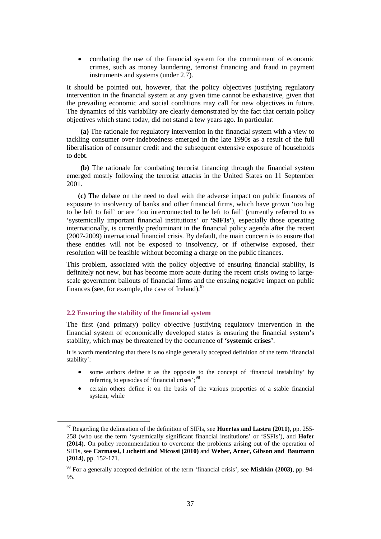• combating the use of the financial system for the commitment of economic crimes, such as money laundering, terrorist financing and fraud in payment instruments and systems (under 2.7).

It should be pointed out, however, that the policy objectives justifying regulatory intervention in the financial system at any given time cannot be exhaustive, given that the prevailing economic and social conditions may call for new objectives in future. The dynamics of this variability are clearly demonstrated by the fact that certain policy objectives which stand today, did not stand a few years ago. In particular:

**(a)** The rationale for regulatory intervention in the financial system with a view to tackling consumer over-indebtedness emerged in the late 1990s as a result of the full liberalisation of consumer credit and the subsequent extensive exposure of households to debt.

**(b)** The rationale for combating terrorist financing through the financial system emerged mostly following the terrorist attacks in the United States on 11 September 2001.

**(c)** The debate on the need to deal with the adverse impact on public finances of exposure to insolvency of banks and other financial firms, which have grown 'too big to be left to fail' or are 'too interconnected to be left to fail' (currently referred to as 'systemically important financial institutions' or **'SIFIs'**), especially those operating internationally, is currently predominant in the financial policy agenda after the recent (2007-2009) international financial crisis*.* By default, the main concern is to ensure that these entities will not be exposed to insolvency, or if otherwise exposed, their resolution will be feasible without becoming a charge on the public finances.

This problem, associated with the policy objective of ensuring financial stability, is definitely not new, but has become more acute during the recent crisis owing to largescale government bailouts of financial firms and the ensuing negative impact on public finances (see, for example, the case of Ireland).<sup>[97](#page-36-0)</sup>

### **2.2 Ensuring the stability of the financial system**

The first (and primary) policy objective justifying regulatory intervention in the financial system of economically developed states is ensuring the financial system's stability, which may be threatened by the occurrence of **'systemic crises'**.

It is worth mentioning that there is no single generally accepted definition of the term 'financial stability':

- some authors define it as the opposite to the concept of 'financial instability' by referring to episodes of 'financial crises';  $98$
- certain others define it on the basis of the various properties of a stable financial system, while

<span id="page-36-0"></span><sup>97</sup> Regarding the delineation of the definition of SIFIs, see **Huertas and Lastra (2011)**, pp. 255- 258 (who use the term 'systemically significant financial institutions' or 'SSFIs'), and **Hofer (2014)**. On policy recommendation to overcome the problems arising out of the operation of SIFIs, see **Carmassi, Luchetti and Micossi (2010)** and **Weber, Arner, Gibson and Baumann (2014)**, pp. 152-171.

<span id="page-36-1"></span><sup>98</sup> For a generally accepted definition of the term 'financial crisis', see **Mishkin (2003)**, pp. 94- 95.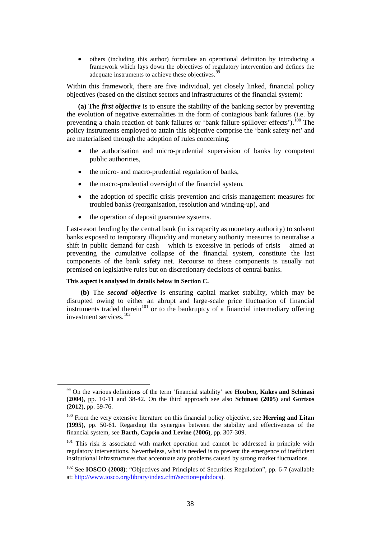• others (including this author) formulate an operational definition by introducing a framework which lays down the objectives of regulatory intervention and defines the adequate instruments to achieve these objectives.<sup>[99](#page-37-0)</sup>

Within this framework, there are five individual, yet closely linked, financial policy objectives (based on the distinct sectors and infrastructures of the financial system):

**(a)** The *first objective* is to ensure the stability of the banking sector by preventing the evolution of negative externalities in the form of contagious bank failures (i.e. by preventing a chain reaction of bank failures or 'bank failure spillover effects').<sup>[100](#page-37-1)</sup> The policy instruments employed to attain this objective comprise the 'bank safety net' and are materialised through the adoption of rules concerning:

- the authorisation and micro-prudential supervision of banks by competent public authorities,
- the micro- and macro-prudential regulation of banks,
- the macro-prudential oversight of the financial system,
- the adoption of specific crisis prevention and crisis management measures for troubled banks (reorganisation, resolution and winding-up), and
- the operation of deposit guarantee systems.

Last-resort lending by the central bank (in its capacity as monetary authority) to solvent banks exposed to temporary illiquidity and monetary authority measures to neutralise a shift in public demand for cash – which is excessive in periods of crisis – aimed at preventing the cumulative collapse of the financial system, constitute the last components of the bank safety net. Recourse to these components is usually not premised on legislative rules but on discretionary decisions of central banks.

#### **This aspect is analysed in details below in Section C.**

**(b)** The *second objective* is ensuring capital market stability, which may be disrupted owing to either an abrupt and large-scale price fluctuation of financial instruments traded therein<sup>[101](#page-37-2)</sup> or to the bankruptcy of a financial intermediary offering investment services.<sup>[102](#page-37-3)</sup>

<span id="page-37-0"></span><sup>99</sup> On the various definitions of the term 'financial stability' see **Houben, Kakes and Schinasi (2004)**, pp. 10-11 and 38-42. On the third approach see also **Schinasi (2005)** and **Gortsos (2012)**, pp. 59-76.

<span id="page-37-1"></span><sup>100</sup> From the very extensive literature on this financial policy objective, see **Herring and Litan (1995)**, pp. 50-61. Regarding the synergies between the stability and effectiveness of the financial system, see **Barth, Caprio and Levine (2006)**, pp. 307-309.

<span id="page-37-2"></span><sup>&</sup>lt;sup>101</sup> This risk is associated with market operation and cannot be addressed in principle with regulatory interventions. Nevertheless, what is needed is to prevent the emergence of inefficient institutional infrastructures that accentuate any problems caused by strong market fluctuations.

<span id="page-37-3"></span><sup>&</sup>lt;sup>102</sup> See **IOSCO (2008)**: "Objectives and Principles of Securities Regulation", pp. 6-7 (available at[: http://www.iosco.org/library/index.cfm?section=pubdocs\)](http://www.iosco.org/library/index.cfm?section=pubdocs).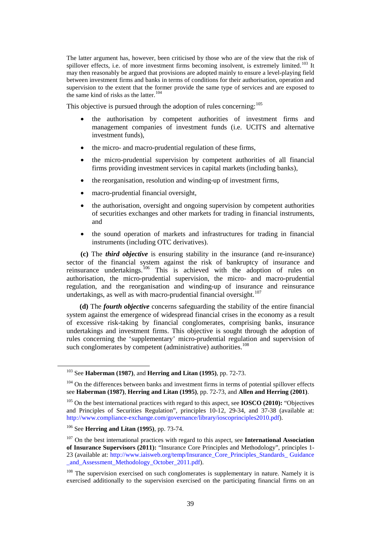The latter argument has, however, been criticised by those who are of the view that the risk of spillover effects, i.e. of more investment firms becoming insolvent, is extremely limited.<sup>[103](#page-38-0)</sup> It may then reasonably be argued that provisions are adopted mainly to ensure a level-playing field between investment firms and banks in terms of conditions for their authorisation, operation and supervision to the extent that the former provide the same type of services and are exposed to the same kind of risks as the latter. $104$ 

This objective is pursued through the adoption of rules concerning:  $^{105}$  $^{105}$  $^{105}$ 

- the authorisation by competent authorities of investment firms and management companies of investment funds (i.e. UCITS and alternative investment funds),
- the micro- and macro-prudential regulation of these firms,
- the micro-prudential supervision by competent authorities of all financial firms providing investment services in capital markets (including banks),
- the reorganisation, resolution and winding-up of investment firms,
- macro-prudential financial oversight,
- the authorisation, oversight and ongoing supervision by competent authorities of securities exchanges and other markets for trading in financial instruments, and
- the sound operation of markets and infrastructures for trading in financial instruments (including OTC derivatives).

**(c)** The *third objective* is ensuring stability in the insurance (and re-insurance) sector of the financial system against the risk of bankruptcy of insurance and reinsurance undertakings.<sup>[106](#page-38-3)</sup> This is achieved with the adoption of rules on authorisation, the micro-prudential supervision, the micro- and macro-prudential regulation, and the reorganisation and winding-up of insurance and reinsurance undertakings, as well as with macro-prudential financial oversight.<sup>[107](#page-38-4)</sup>

**(d)** The *fourth objective* concerns safeguarding the stability of the entire financial system against the emergence of widespread financial crises in the economy as a result of excessive risk-taking by financial conglomerates, comprising banks, insurance undertakings and investment firms. This objective is sought through the adoption of rules concerning the 'supplementary' micro-prudential regulation and supervision of such conglomerates by competent (administrative) authorities.<sup>[108](#page-38-5)</sup>

<span id="page-38-0"></span><sup>103</sup> See **Haberman (1987)**, and **Herring and Litan (1995)**, pp. 72-73.

<span id="page-38-1"></span> $104$  On the differences between banks and investment firms in terms of potential spillover effects see **Haberman (1987)**, **Herring and Litan (1995)**, pp. 72-73, and **Allen and Herring (2001)**.

<span id="page-38-2"></span><sup>&</sup>lt;sup>105</sup> On the best international practices with regard to this aspect, see **IOSCO (2010):** "Objectives" and Principles of Securities Regulation", principles 10-12, 29-34, and 37-38 (available at: http://www.compliance-exchange.com/governance/library/ioscoprinciples2010.pdf).

<span id="page-38-3"></span><sup>106</sup> See **Herring and Litan (1995)**, pp. 73-74.

<span id="page-38-4"></span><sup>107</sup> On the best international practices with regard to this aspect, see **International Association of Insurance Supervisors (2011):** "Insurance Core Principles and Methodology", principles 1- 23 (available at: [http://www.iaisweb.org/temp/Insurance\\_Core\\_Principles\\_Standards\\_ Guidance](http://www.iaisweb.org/temp/Insurance_Core_Principles_Standards_%20Guidance_and_Assessment_Methodology_October_2011.pdf)  [\\_and\\_Assessment\\_Methodology\\_October\\_2011.pdf\)](http://www.iaisweb.org/temp/Insurance_Core_Principles_Standards_%20Guidance_and_Assessment_Methodology_October_2011.pdf).

<span id="page-38-5"></span> $108$  The supervision exercised on such conglomerates is supplementary in nature. Namely it is exercised additionally to the supervision exercised on the participating financial firms on an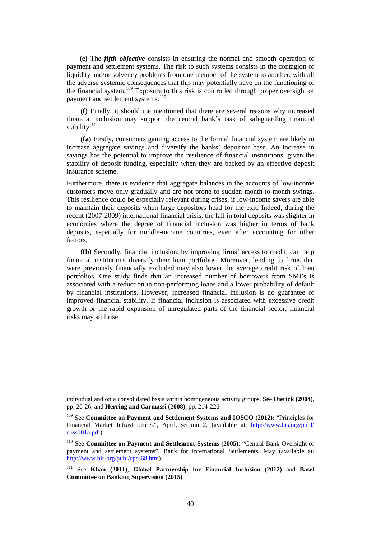**(e)** The *fifth objective* consists in ensuring the normal and smooth operation of payment and settlement systems. The risk to such systems consists in the contagion of liquidity and/or solvency problems from one member of the system to another, with all the adverse systemic consequences that this may potentially have on the functioning of the financial system.<sup>[109](#page-39-0)</sup> Exposure to this risk is controlled through proper oversight of payment and settlement systems.<sup>[110](#page-39-1)</sup>

**(f)** Finally, it should me mentioned that there are several reasons why increased financial inclusion may support the central bank's task of safeguarding financial stability: $111$ 

**(fa)** Firstly, consumers gaining access to the formal financial system are likely to increase aggregate savings and diversify the banks' depositor base. An increase in savings has the potential to improve the resilience of financial institutions, given the stability of deposit funding, especially when they are backed by an effective deposit insurance scheme.

Furthermore, there is evidence that aggregate balances in the accounts of low-income customers move only gradually and are not prone to sudden month-to-month swings. This resilience could be especially relevant during crises, if low-income savers are able to maintain their deposits when large depositors head for the exit. Indeed, during the recent (2007-2009) international financial crisis, the fall in total deposits was slighter in economies where the degree of financial inclusion was higher in terms of bank deposits, especially for middle-income countries, even after accounting for other factors.

**(fb)** Secondly, financial inclusion, by improving firms' access to credit, can help financial institutions diversify their loan portfolios. Moreover, lending to firms that were previously financially excluded may also lower the average credit risk of loan portfolios. One study finds that an increased number of borrowers from SMEs is associated with a reduction in non-performing loans and a lower probability of default by financial institutions. However, increased financial inclusion is no guarantee of improved financial stability. If financial inclusion is associated with excessive credit growth or the rapid expansion of unregulated parts of the financial sector, financial risks may still rise.

<span id="page-39-0"></span> $\overline{a}$ 

individual and on a consolidated basis within homogeneous activity groups. See **Dierick (2004)**, pp. 20-26, and **Herring and Carmassi (2008)**, pp. 214-226.

<sup>109</sup> See **Committee on Payment and Settlement Systems and IOSCO (2012)**: "Principles for Financial Market Infrastructures", April, section 2, (available at: http://www.bis.org/publ/ cpss101a.pdf).

<span id="page-39-1"></span><sup>110</sup> See **Committee on Payment and Settlement Systems (2005)**: "Central Bank Oversight of payment and settlement systems", Bank for International Settlements, May (available at: [http://www.bis.org/publ/cpss68.htm\)](http://www.bis.org/publ/cpss68.htm).

<span id="page-39-2"></span><sup>111</sup> See **Khan (2011)**, **Global Partnership for Financial Inclusion (2012)** and **Basel Committee on Banking Supervision (2015)**.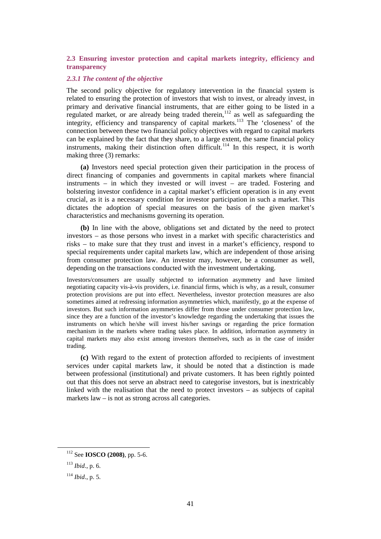# **2.3 Ensuring investor protection and capital markets integrity, efficiency and transparency**

### *2.3.1 The content of the objective*

The second policy objective for regulatory intervention in the financial system is related to ensuring the protection of investors that wish to invest, or already invest, in primary and derivative financial instruments, that are either going to be listed in a regulated market, or are already being traded therein,  $112$  as well as safeguarding the integrity, efficiency and transparency of capital markets.<sup>[113](#page-40-1)</sup> The 'closeness' of the connection between these two financial policy objectives with regard to capital markets can be explained by the fact that they share, to a large extent, the same financial policy instruments, making their distinction often difficult.<sup>[114](#page-40-2)</sup> In this respect, it is worth making three (3) remarks:

**(a)** Investors need special protection given their participation in the process of direct financing of companies and governments in capital markets where financial instruments – in which they invested or will invest – are traded. Fostering and bolstering investor confidence in a capital market's efficient operation is in any event crucial, as it is a necessary condition for investor participation in such a market. This dictates the adoption of special measures on the basis of the given market's characteristics and mechanisms governing its operation.

**(b)** In line with the above, obligations set and dictated by the need to protect investors – as those persons who invest in a market with specific characteristics and risks – to make sure that they trust and invest in a market's efficiency, respond to special requirements under capital markets law, which are independent of those arising from consumer protection law. An investor may, however, be a consumer as well, depending on the transactions conducted with the investment undertaking.

Investors/consumers are usually subjected to information asymmetry and have limited negotiating capacity vis-à-vis providers, i.e. financial firms, which is why, as a result, consumer protection provisions are put into effect. Nevertheless, investor protection measures are also sometimes aimed at redressing information asymmetries which, manifestly, go at the expense of investors. But such information asymmetries differ from those under consumer protection law, since they are a function of the investor's knowledge regarding the undertaking that issues the instruments on which he/she will invest his/her savings or regarding the price formation mechanism in the markets where trading takes place. In addition, information asymmetry in capital markets may also exist among investors themselves, such as in the case of insider trading.

**(c)** With regard to the extent of protection afforded to recipients of investment services under capital markets law, it should be noted that a distinction is made between professional (institutional) and private customers. It has been rightly pointed out that this does not serve an abstract need to categorise investors, but is inextricably linked with the realisation that the need to protect investors – as subjects of capital markets law – is not as strong across all categories.

<span id="page-40-0"></span><sup>112</sup> See **IOSCO (2008)**, pp. 5-6.

<span id="page-40-1"></span><sup>113</sup> *Ibid*., p. 6.

<span id="page-40-2"></span><sup>114</sup> *Ibid*., p. 5.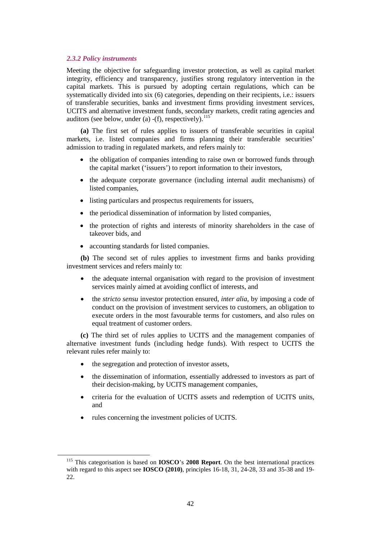### *2.3.2 Policy instruments*

Meeting the objective for safeguarding investor protection, as well as capital market integrity, efficiency and transparency, justifies strong regulatory intervention in the capital markets. This is pursued by adopting certain regulations, which can be systematically divided into six (6) categories, depending on their recipients, i.e.: issuers of transferable securities, banks and investment firms providing investment services, UCITS and alternative investment funds, secondary markets, credit rating agencies and auditors (see below, under (a) -(f), respectively).<sup>[115](#page-41-0)</sup>

**(a)** The first set of rules applies to issuers of transferable securities in capital markets, i.e. listed companies and firms planning their transferable securities' admission to trading in regulated markets, and refers mainly to:

- the obligation of companies intending to raise own or borrowed funds through the capital market ('issuers') to report information to their investors,
- the adequate corporate governance (including internal audit mechanisms) of listed companies,
- listing particulars and prospectus requirements for issuers,
- the periodical dissemination of information by listed companies,
- the protection of rights and interests of minority shareholders in the case of takeover bids, and
- accounting standards for listed companies.

**(b)** The second set of rules applies to investment firms and banks providing investment services and refers mainly to:

- the adequate internal organisation with regard to the provision of investment services mainly aimed at avoiding conflict of interests, and
- the *stricto sensu* investor protection ensured, *inter alia*, by imposing a code of conduct on the provision of investment services to customers, an obligation to execute orders in the most favourable terms for customers, and also rules on equal treatment of customer orders.

**(c)** The third set of rules applies to UCITS and the management companies of alternative investment funds (including hedge funds). With respect to UCITS the relevant rules refer mainly to:

- the segregation and protection of investor assets,
- the dissemination of information, essentially addressed to investors as part of their decision-making, by UCITS management companies,
- criteria for the evaluation of UCITS assets and redemption of UCITS units, and
- rules concerning the investment policies of UCITS.

<span id="page-41-0"></span><sup>115</sup> This categorisation is based on **IOSCO**'s **<sup>2008</sup> Report**. On the best international practices with regard to this aspect see **IOSCO (2010)**, principles 16-18, 31, 24-28, 33 and 35-38 and 19- 22.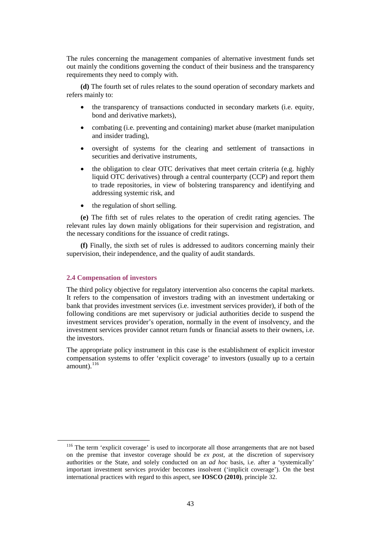The rules concerning the management companies of alternative investment funds set out mainly the conditions governing the conduct of their business and the transparency requirements they need to comply with.

**(d)** The fourth set of rules relates to the sound operation of secondary markets and refers mainly to:

- the transparency of transactions conducted in secondary markets (i.e. equity, bond and derivative markets),
- combating (i.e. preventing and containing) market abuse (market manipulation and insider trading),
- oversight of systems for the clearing and settlement of transactions in securities and derivative instruments,
- the obligation to clear OTC derivatives that meet certain criteria (e.g. highly liquid OTC derivatives) through a central counterparty (CCP) and report them to trade repositories, in view of bolstering transparency and identifying and addressing systemic risk, and
- the regulation of short selling.

**(e)** The fifth set of rules relates to the operation of credit rating agencies. The relevant rules lay down mainly obligations for their supervision and registration, and the necessary conditions for the issuance of credit ratings.

**(f)** Finally, the sixth set of rules is addressed to auditors concerning mainly their supervision, their independence, and the quality of audit standards.

### **2.4 Compensation of investors**

The third policy objective for regulatory intervention also concerns the capital markets. It refers to the compensation of investors trading with an investment undertaking or bank that provides investment services (i.e. investment services provider), if both of the following conditions are met supervisory or judicial authorities decide to suspend the investment services provider's operation, normally in the event of insolvency, and the investment services provider cannot return funds or financial assets to their owners, i.e. the investors.

The appropriate policy instrument in this case is the establishment of explicit investor compensation systems to offer 'explicit coverage' to investors (usually up to a certain amount). $^{116}$  $^{116}$  $^{116}$ 

<span id="page-42-0"></span><sup>&</sup>lt;sup>116</sup> The term 'explicit coverage' is used to incorporate all those arrangements that are not based on the premise that investor coverage should be *ex post*, at the discretion of supervisory authorities or the State, and solely conducted on an *ad hoc* basis, i.e. after a 'systemically' important investment services provider becomes insolvent ('implicit coverage'). On the best international practices with regard to this aspect, see **IOSCO (2010)**, principle 32.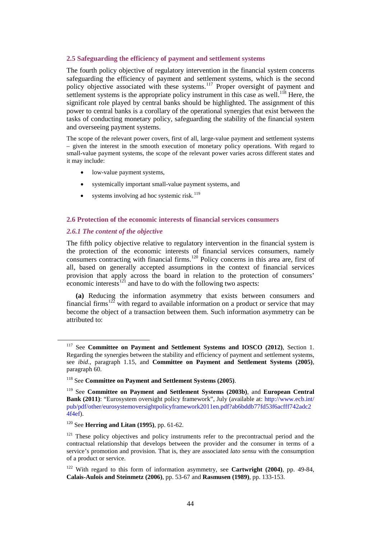#### **2.5 Safeguarding the efficiency of payment and settlement systems**

The fourth policy objective of regulatory intervention in the financial system concerns safeguarding the efficiency of payment and settlement systems, which is the second policy objective associated with these systems.<sup>[117](#page-43-0)</sup> Proper oversight of payment and settlement systems is the appropriate policy instrument in this case as well.<sup>[118](#page-43-1)</sup> Here, the significant role played by central banks should be highlighted. The assignment of this power to central banks is a corollary of the operational synergies that exist between the tasks of conducting monetary policy, safeguarding the stability of the financial system and overseeing payment systems.

The scope of the relevant power covers, first of all, large-value payment and settlement systems – given the interest in the smooth execution of monetary policy operations. With regard to small-value payment systems, the scope of the relevant power varies across different states and it may include:

- low-value payment systems,
- systemically important small-value payment systems, and
- systems involving ad hoc systemic risk. $119$

#### **2.6 Protection of the economic interests of financial services consumers**

#### *2.6.1 The content of the objective*

The fifth policy objective relative to regulatory intervention in the financial system is the protection of the economic interests of financial services consumers, namely consumers contracting with financial firms.<sup>[120](#page-43-3)</sup> Policy concerns in this area are, first of all, based on generally accepted assumptions in the context of financial services provision that apply across the board in relation to the protection of consumers' economic interests $^{121}$  $^{121}$  $^{121}$  and have to do with the following two aspects:

**(a)** Reducing the information asymmetry that exists between consumers and financial firms<sup>[122](#page-43-5)</sup> with regard to available information on a product or service that may become the object of a transaction between them. Such information asymmetry can be attributed to:

<span id="page-43-0"></span><sup>117</sup> See **Committee on Payment and Settlement Systems and IOSCO (2012)**, Section 1. Regarding the synergies between the stability and efficiency of payment and settlement systems, see *ibid*., paragraph 1.15, and **Committee on Payment and Settlement Systems (2005)**, paragraph 60.

<span id="page-43-1"></span><sup>118</sup> See **Committee on Payment and Settlement Systems (2005)**.

<span id="page-43-2"></span><sup>119</sup> See **Committee on Payment and Settlement Systems (2003b)**, and **European Central Bank (2011)**: "Eurosystem oversight policy framework", July (available at: [http://www.ecb.int/](http://www.ecb.int/pub/pdf/other/eurosystemoversightpolicyframework2011en.pdf?ab6bddb77fd53f6acfff742adc24f4ef)  [pub/pdf/other/eurosystemoversightpolicyframework2011en.pdf?ab6bddb77fd53f6acfff742adc2](http://www.ecb.int/pub/pdf/other/eurosystemoversightpolicyframework2011en.pdf?ab6bddb77fd53f6acfff742adc24f4ef) [4f4ef\)](http://www.ecb.int/pub/pdf/other/eurosystemoversightpolicyframework2011en.pdf?ab6bddb77fd53f6acfff742adc24f4ef).

<span id="page-43-3"></span><sup>120</sup> See **Herring and Litan (1995)**, pp. 61-62.

<span id="page-43-4"></span> $121$  These policy objectives and policy instruments refer to the precontractual period and the contractual relationship that develops between the provider and the consumer in terms of a service's promotion and provision. That is, they are associated *lato sensu* with the consumption of a product or service.

<span id="page-43-5"></span><sup>122</sup> With regard to this form of information asymmetry, see **Cartwright (2004)**, pp. 49-84, **Calais-Aulois and Steinmetz (2006)**, pp. 53-67 and **Rasmusen (1989)**, pp. 133-153.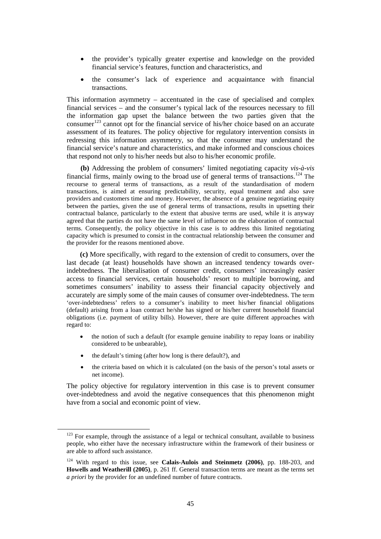- the provider's typically greater expertise and knowledge on the provided financial service's features, function and characteristics, and
- the consumer's lack of experience and acquaintance with financial transactions.

This information asymmetry – accentuated in the case of specialised and complex financial services – and the consumer's typical lack of the resources necessary to fill the information gap upset the balance between the two parties given that the consumer<sup>[123](#page-44-0)</sup> cannot opt for the financial service of his/her choice based on an accurate assessment of its features. The policy objective for regulatory intervention consists in redressing this information asymmetry, so that the consumer may understand the financial service's nature and characteristics, and make informed and conscious choices that respond not only to his/her needs but also to his/her economic profile.

**(b)** Addressing the problem of consumers' limited negotiating capacity *vis-à-vis* financial firms, mainly owing to the broad use of general terms of transactions.[124](#page-44-1) The recourse to general terms of transactions, as a result of the standardisation of modern transactions, is aimed at ensuring predictability, security, equal treatment and also save providers and customers time and money. However, the absence of a genuine negotiating equity between the parties, given the use of general terms of transactions, results in upsetting their contractual balance, particularly to the extent that abusive terms are used, while it is anyway agreed that the parties do not have the same level of influence on the elaboration of contractual terms. Consequently, the policy objective in this case is to address this limited negotiating capacity which is presumed to consist in the contractual relationship between the consumer and the provider for the reasons mentioned above.

**(c)** More specifically, with regard to the extension of credit to consumers, over the last decade (at least) households have shown an increased tendency towards overindebtedness. The liberalisation of consumer credit, consumers' increasingly easier access to financial services, certain households' resort to multiple borrowing, and sometimes consumers' inability to assess their financial capacity objectively and accurately are simply some of the main causes of consumer over-indebtedness. The term 'over-indebtedness' refers to a consumer's inability to meet his/her financial obligations (default) arising from a loan contract he/she has signed or his/her current household financial obligations (i.e. payment of utility bills). However, there are quite different approaches with regard to:

- the notion of such a default (for example genuine inability to repay loans or inability considered to be unbearable),
- the default's timing (after how long is there default?), and
- the criteria based on which it is calculated (on the basis of the person's total assets or net income).

The policy objective for regulatory intervention in this case is to prevent consumer over-indebtedness and avoid the negative consequences that this phenomenon might have from a social and economic point of view.

<span id="page-44-0"></span><sup>&</sup>lt;sup>123</sup> For example, through the assistance of a legal or technical consultant, available to business people, who either have the necessary infrastructure within the framework of their business or are able to afford such assistance.

<span id="page-44-1"></span><sup>124</sup> With regard to this issue, see **Calais-Aulois and Steinmetz (2006)**, pp. 188-203, and **Howells and Weatherill (2005)**, p. 261 ff. General transaction terms are meant as the terms set *a priori* by the provider for an undefined number of future contracts.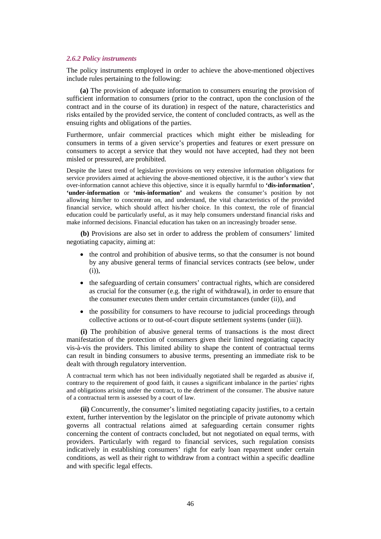#### *2.6.2 Policy instruments*

The policy instruments employed in order to achieve the above-mentioned objectives include rules pertaining to the following:

**(a)** The provision of adequate information to consumers ensuring the provision of sufficient information to consumers (prior to the contract, upon the conclusion of the contract and in the course of its duration) in respect of the nature, characteristics and risks entailed by the provided service, the content of concluded contracts, as well as the ensuing rights and obligations of the parties.

Furthermore, unfair commercial practices which might either be misleading for consumers in terms of a given service's properties and features or exert pressure on consumers to accept a service that they would not have accepted, had they not been misled or pressured, are prohibited.

Despite the latest trend of legislative provisions on very extensive information obligations for service providers aimed at achieving the above-mentioned objective, it is the author's view that over-information cannot achieve this objective, since it is equally harmful to **'dis-information'**, **'under-information** or **'mis-information'** and weakens the consumer's position by not allowing him/her to concentrate on, and understand, the vital characteristics of the provided financial service, which should affect his/her choice. In this context, the role of financial education could be particularly useful, as it may help consumers understand financial risks and make informed decisions. Financial education has taken on an increasingly broader sense.

**(b)** Provisions are also set in order to address the problem of consumers' limited negotiating capacity, aiming at:

- the control and prohibition of abusive terms, so that the consumer is not bound by any abusive general terms of financial services contracts (see below, under  $(i)$ ).
- the safeguarding of certain consumers' contractual rights, which are considered as crucial for the consumer (e.g. the right of withdrawal), in order to ensure that the consumer executes them under certain circumstances (under (ii)), and
- the possibility for consumers to have recourse to judicial proceedings through collective actions or to out-of-court dispute settlement systems (under (iii)).

**(i)** The prohibition of abusive general terms of transactions is the most direct manifestation of the protection of consumers given their limited negotiating capacity vis-à-vis the providers. This limited ability to shape the content of contractual terms can result in binding consumers to abusive terms, presenting an immediate risk to be dealt with through regulatory intervention.

A contractual term which has not been individually negotiated shall be regarded as abusive if, contrary to the requirement of good faith, it causes a significant imbalance in the parties' rights and obligations arising under the contract, to the detriment of the consumer. The abusive nature of a contractual term is assessed by a court of law.

**(ii)** Concurrently, the consumer's limited negotiating capacity justifies, to a certain extent, further intervention by the legislator on the principle of private autonomy which governs all contractual relations aimed at safeguarding certain consumer rights concerning the content of contracts concluded, but not negotiated on equal terms, with providers. Particularly with regard to financial services, such regulation consists indicatively in establishing consumers' right for early loan repayment under certain conditions, as well as their right to withdraw from a contract within a specific deadline and with specific legal effects.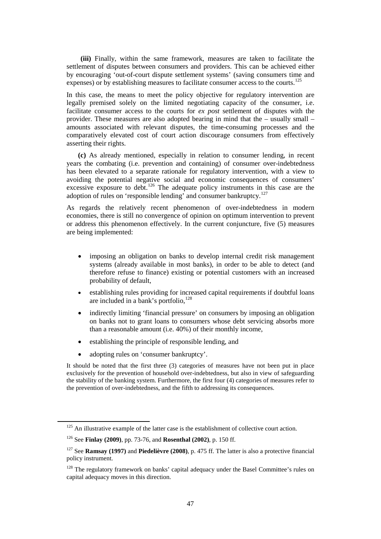**(iii)** Finally, within the same framework, measures are taken to facilitate the settlement of disputes between consumers and providers. This can be achieved either by encouraging 'out-of-court dispute settlement systems' (saving consumers time and expenses) or by establishing measures to facilitate consumer access to the courts.<sup>[125](#page-46-0)</sup>

In this case, the means to meet the policy objective for regulatory intervention are legally premised solely on the limited negotiating capacity of the consumer, i.e. facilitate consumer access to the courts for *ex post* settlement of disputes with the provider. These measures are also adopted bearing in mind that the – usually small – amounts associated with relevant disputes, the time-consuming processes and the comparatively elevated cost of court action discourage consumers from effectively asserting their rights.

**(c)** As already mentioned, especially in relation to consumer lending, in recent years the combating (i.e. prevention and containing) of consumer over-indebtedness has been elevated to a separate rationale for regulatory intervention, with a view to avoiding the potential negative social and economic consequences of consumers' excessive exposure to debt.<sup>[126](#page-46-1)</sup> The adequate policy instruments in this case are the adoption of rules on 'responsible lending' and consumer bankruptcy.<sup>[127](#page-46-2)</sup>

As regards the relatively recent phenomenon of over-indebtedness in modern economies, there is still no convergence of opinion on optimum intervention to prevent or address this phenomenon effectively. In the current conjuncture, five (5) measures are being implemented:

- imposing an obligation on banks to develop internal credit risk management systems (already available in most banks), in order to be able to detect (and therefore refuse to finance) existing or potential customers with an increased probability of default,
- establishing rules providing for increased capital requirements if doubtful loans are included in a bank's portfolio, [128](#page-46-3)
- indirectly limiting 'financial pressure' on consumers by imposing an obligation on banks not to grant loans to consumers whose debt servicing absorbs more than a reasonable amount (i.e. 40%) of their monthly income,
- establishing the principle of responsible lending, and
- adopting rules on 'consumer bankruptcy'.

It should be noted that the first three (3) categories of measures have not been put in place exclusively for the prevention of household over-indebtedness, but also in view of safeguarding the stability of the banking system. Furthermore, the first four (4) categories of measures refer to the prevention of over-indebtedness, and the fifth to addressing its consequences.

<span id="page-46-0"></span> $125$  An illustrative example of the latter case is the establishment of collective court action.

<span id="page-46-1"></span><sup>126</sup> See **Finlay (2009)**, pp. 73-76, and **Rosenthal (2002)**, p. 150 ff.

<span id="page-46-2"></span><sup>127</sup> See **Ramsay (1997)** and **Piedelièvre (2008)**, p. 475 ff. The latter is also a protective financial policy instrument.

<span id="page-46-3"></span> $128$  The regulatory framework on banks' capital adequacy under the Basel Committee's rules on capital adequacy moves in this direction.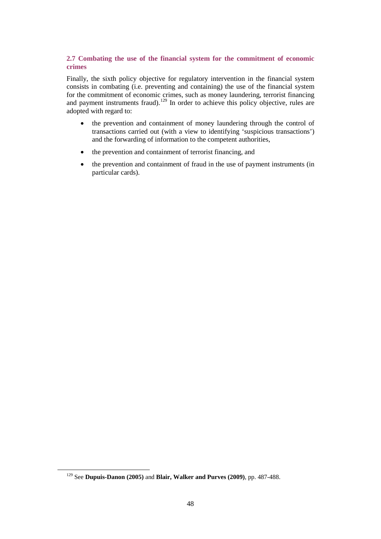# **2.7 Combating the use of the financial system for the commitment of economic crimes**

Finally, the sixth policy objective for regulatory intervention in the financial system consists in combating (i.e. preventing and containing) the use of the financial system for the commitment of economic crimes, such as money laundering, terrorist financing and payment instruments fraud).<sup>[129](#page-47-0)</sup> In order to achieve this policy objective, rules are adopted with regard to:

- the prevention and containment of money laundering through the control of transactions carried out (with a view to identifying 'suspicious transactions') and the forwarding of information to the competent authorities,
- the prevention and containment of terrorist financing, and
- the prevention and containment of fraud in the use of payment instruments (in particular cards).

<span id="page-47-0"></span><sup>129</sup> See **Dupuis-Danon (2005)** and **Blair, Walker and Purves (2009)**, pp. 487-488.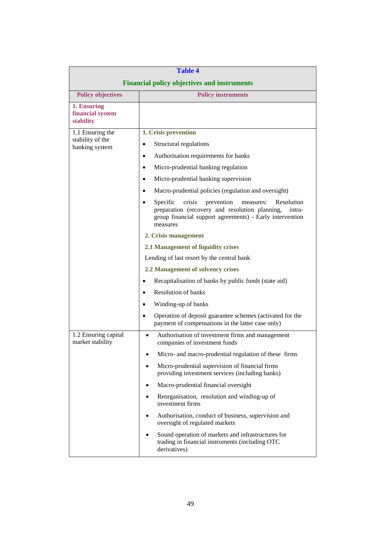| <b>Table 4</b>                                         |                                                                                                                                                                                                                                                                                                                                                                                                                                                                                                                                                                                                                                                                                                                                                                                                                       |  |  |  |  |
|--------------------------------------------------------|-----------------------------------------------------------------------------------------------------------------------------------------------------------------------------------------------------------------------------------------------------------------------------------------------------------------------------------------------------------------------------------------------------------------------------------------------------------------------------------------------------------------------------------------------------------------------------------------------------------------------------------------------------------------------------------------------------------------------------------------------------------------------------------------------------------------------|--|--|--|--|
| <b>Financial policy objectives and instruments</b>     |                                                                                                                                                                                                                                                                                                                                                                                                                                                                                                                                                                                                                                                                                                                                                                                                                       |  |  |  |  |
| <b>Policy objectives</b>                               | <b>Policy instruments</b>                                                                                                                                                                                                                                                                                                                                                                                                                                                                                                                                                                                                                                                                                                                                                                                             |  |  |  |  |
| 1. Ensuring<br>financial system<br>stability           |                                                                                                                                                                                                                                                                                                                                                                                                                                                                                                                                                                                                                                                                                                                                                                                                                       |  |  |  |  |
| 1.1 Ensuring the<br>stability of the<br>banking system | 1. Crisis prevention<br>Structural regulations<br>$\bullet$<br>Authorisation requirements for banks<br>$\bullet$<br>Micro-prudential banking regulation<br>$\bullet$<br>Micro-prudential banking supervision<br>Macro-prudential policies (regulation and oversight)<br>Specific<br>crisis<br>prevention<br>Resolution<br>measures:<br>preparation (recovery and resolution planning,<br>intra-<br>group financial support agreements) - Early intervention<br>measures<br>2. Crisis management<br>2.1 Management of liquidity crises<br>Lending of last resort by the central bank<br>2.2 Management of solvency crises<br>Recapitalisation of banks by public funds (state aid)<br><b>Resolution of banks</b><br>$\bullet$<br>Winding-up of banks<br>٠<br>Operation of deposit guarantee schemes (activated for the |  |  |  |  |
| 1.2 Ensuring capital<br>market stability               | payment of compensations in the latter case only)<br>Authorisation of investment firms and management<br>$\bullet$<br>companies of investment funds<br>Micro- and macro-prudential regulation of these firms<br>Micro-prudential supervision of financial firms<br>providing investment services (including banks)<br>Macro-prudential financial oversight<br>Reorganisation, resolution and winding-up of<br>investment firms<br>Authorisation, conduct of business, supervision and<br>oversight of regulated markets<br>Sound operation of markets and infrastructures for<br>trading in financial instruments (including OTC<br>derivatives)                                                                                                                                                                      |  |  |  |  |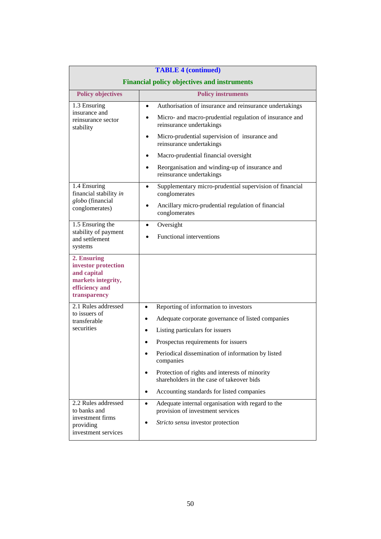| <b>TABLE 4 (continued)</b>                                                                                |                                                                                                                                                                                                                                                                                                                                                                                                 |  |  |  |  |
|-----------------------------------------------------------------------------------------------------------|-------------------------------------------------------------------------------------------------------------------------------------------------------------------------------------------------------------------------------------------------------------------------------------------------------------------------------------------------------------------------------------------------|--|--|--|--|
| <b>Financial policy objectives and instruments</b>                                                        |                                                                                                                                                                                                                                                                                                                                                                                                 |  |  |  |  |
| <b>Policy objectives</b>                                                                                  | <b>Policy instruments</b>                                                                                                                                                                                                                                                                                                                                                                       |  |  |  |  |
| 1.3 Ensuring<br>insurance and<br>reinsurance sector<br>stability                                          | Authorisation of insurance and reinsurance undertakings<br>$\bullet$<br>Micro- and macro-prudential regulation of insurance and<br>reinsurance undertakings<br>Micro-prudential supervision of insurance and<br>reinsurance undertakings                                                                                                                                                        |  |  |  |  |
|                                                                                                           | Macro-prudential financial oversight<br>Reorganisation and winding-up of insurance and<br>reinsurance undertakings                                                                                                                                                                                                                                                                              |  |  |  |  |
| 1.4 Ensuring<br>financial stability in<br>globo (financial<br>conglomerates)                              | Supplementary micro-prudential supervision of financial<br>conglomerates<br>Ancillary micro-prudential regulation of financial<br>conglomerates                                                                                                                                                                                                                                                 |  |  |  |  |
| 1.5 Ensuring the<br>stability of payment<br>and settlement<br>systems                                     | Oversight<br>$\bullet$<br>Functional interventions                                                                                                                                                                                                                                                                                                                                              |  |  |  |  |
| 2. Ensuring<br>investor protection<br>and capital<br>markets integrity,<br>efficiency and<br>transparency |                                                                                                                                                                                                                                                                                                                                                                                                 |  |  |  |  |
| 2.1 Rules addressed<br>to issuers of<br>transferable<br>securities                                        | Reporting of information to investors<br>$\bullet$<br>Adequate corporate governance of listed companies<br>Listing particulars for issuers<br>Prospectus requirements for issuers<br>Periodical dissemination of information by listed<br>companies<br>Protection of rights and interests of minority<br>shareholders in the case of takeover bids<br>Accounting standards for listed companies |  |  |  |  |
| 2.2 Rules addressed<br>to banks and<br>investment firms<br>providing<br>investment services               | Adequate internal organisation with regard to the<br>$\bullet$<br>provision of investment services<br>Stricto sensu investor protection                                                                                                                                                                                                                                                         |  |  |  |  |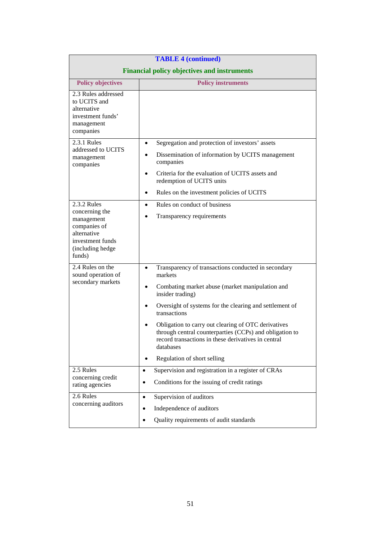| <b>TABLE 4 (continued)</b>                                                                                    |                                                                                                                                                                                    |  |  |  |  |
|---------------------------------------------------------------------------------------------------------------|------------------------------------------------------------------------------------------------------------------------------------------------------------------------------------|--|--|--|--|
| <b>Financial policy objectives and instruments</b>                                                            |                                                                                                                                                                                    |  |  |  |  |
| <b>Policy objectives</b>                                                                                      | <b>Policy instruments</b>                                                                                                                                                          |  |  |  |  |
| 2.3 Rules addressed<br>to UCITS and<br>alternative<br>investment funds'<br>management<br>companies            |                                                                                                                                                                                    |  |  |  |  |
| 2.3.1 Rules<br>addressed to UCITS<br>management<br>companies                                                  | Segregation and protection of investors' assets<br>$\bullet$                                                                                                                       |  |  |  |  |
|                                                                                                               | Dissemination of information by UCITS management<br>companies                                                                                                                      |  |  |  |  |
|                                                                                                               | Criteria for the evaluation of UCITS assets and<br>redemption of UCITS units                                                                                                       |  |  |  |  |
|                                                                                                               | Rules on the investment policies of UCITS<br>$\bullet$                                                                                                                             |  |  |  |  |
| 2.3.2 Rules                                                                                                   | Rules on conduct of business<br>$\bullet$                                                                                                                                          |  |  |  |  |
| concerning the<br>management<br>companies of<br>alternative<br>investment funds<br>(including hedge<br>funds) | Transparency requirements                                                                                                                                                          |  |  |  |  |
| 2.4 Rules on the<br>sound operation of                                                                        | Transparency of transactions conducted in secondary<br>$\bullet$<br>markets                                                                                                        |  |  |  |  |
| secondary markets                                                                                             | Combating market abuse (market manipulation and<br>insider trading)                                                                                                                |  |  |  |  |
|                                                                                                               | Oversight of systems for the clearing and settlement of<br>transactions                                                                                                            |  |  |  |  |
|                                                                                                               | Obligation to carry out clearing of OTC derivatives<br>through central counterparties (CCPs) and obligation to<br>record transactions in these derivatives in central<br>databases |  |  |  |  |
|                                                                                                               | Regulation of short selling                                                                                                                                                        |  |  |  |  |
| 2.5 Rules                                                                                                     | Supervision and registration in a register of CRAs<br>$\bullet$                                                                                                                    |  |  |  |  |
| concerning credit<br>rating agencies                                                                          | Conditions for the issuing of credit ratings                                                                                                                                       |  |  |  |  |
| 2.6 Rules<br>concerning auditors                                                                              | Supervision of auditors<br>$\bullet$                                                                                                                                               |  |  |  |  |
|                                                                                                               | Independence of auditors<br>٠                                                                                                                                                      |  |  |  |  |
|                                                                                                               | Quality requirements of audit standards                                                                                                                                            |  |  |  |  |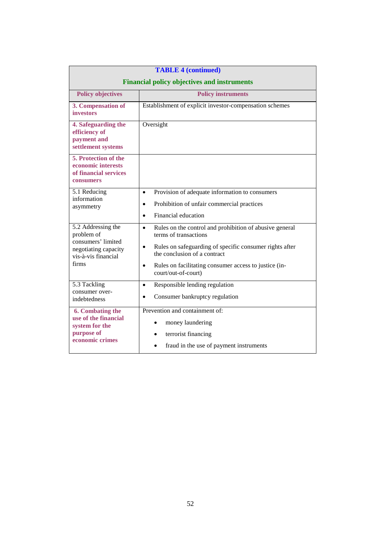| <b>TABLE 4 (continued)</b>                                                                                     |                                                                                                                                                                                                                                                                                                    |  |  |  |
|----------------------------------------------------------------------------------------------------------------|----------------------------------------------------------------------------------------------------------------------------------------------------------------------------------------------------------------------------------------------------------------------------------------------------|--|--|--|
| <b>Financial policy objectives and instruments</b>                                                             |                                                                                                                                                                                                                                                                                                    |  |  |  |
| <b>Policy objectives</b>                                                                                       | <b>Policy instruments</b>                                                                                                                                                                                                                                                                          |  |  |  |
| 3. Compensation of<br><i>investors</i>                                                                         | Establishment of explicit investor-compensation schemes                                                                                                                                                                                                                                            |  |  |  |
| 4. Safeguarding the<br>efficiency of<br>payment and<br>settlement systems                                      | Oversight                                                                                                                                                                                                                                                                                          |  |  |  |
| 5. Protection of the<br>economic interests<br>of financial services<br>consumers                               |                                                                                                                                                                                                                                                                                                    |  |  |  |
| 5.1 Reducing<br>information<br>asymmetry                                                                       | Provision of adequate information to consumers<br>$\bullet$<br>Prohibition of unfair commercial practices<br>$\bullet$<br>Financial education<br>$\bullet$                                                                                                                                         |  |  |  |
| 5.2 Addressing the<br>problem of<br>consumers' limited<br>negotiating capacity<br>vis-à-vis financial<br>firms | Rules on the control and prohibition of abusive general<br>$\bullet$<br>terms of transactions<br>Rules on safeguarding of specific consumer rights after<br>$\bullet$<br>the conclusion of a contract<br>Rules on facilitating consumer access to justice (in-<br>$\bullet$<br>court/out-of-court) |  |  |  |
| 5.3 Tackling<br>consumer over-<br>indebtedness                                                                 | Responsible lending regulation<br>$\bullet$<br>Consumer bankruptcy regulation                                                                                                                                                                                                                      |  |  |  |
| <b>6. Combating the</b><br>use of the financial<br>system for the<br>purpose of<br>economic crimes             | Prevention and containment of:<br>money laundering<br>$\bullet$<br>terrorist financing<br>fraud in the use of payment instruments                                                                                                                                                                  |  |  |  |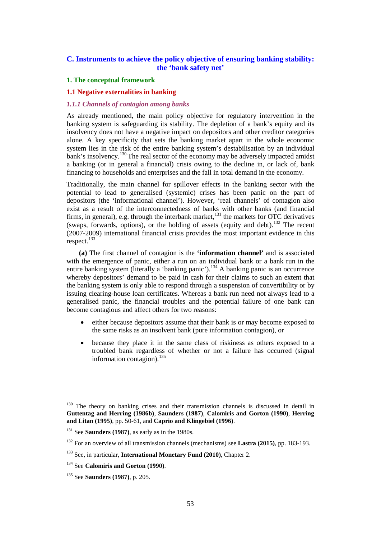# **C. Instruments to achieve the policy objective of ensuring banking stability: the 'bank safety net'**

# **1. The conceptual framework**

# **1.1 Negative externalities in banking**

# *1.1.1 Channels of contagion among banks*

As already mentioned, the main policy objective for regulatory intervention in the banking system is safeguarding its stability. The depletion of a bank's equity and its insolvency does not have a negative impact on depositors and other creditor categories alone. A key specificity that sets the banking market apart in the whole economic system lies in the risk of the entire banking system's destabilisation by an individual bank's insolvency.<sup>[130](#page-52-0)</sup> The real sector of the economy may be adversely impacted amidst a banking (or in general a financial) crisis owing to the decline in, or lack of, bank financing to households and enterprises and the fall in total demand in the economy.

Traditionally, the main channel for spillover effects in the banking sector with the potential to lead to generalised (systemic) crises has been panic on the part of depositors (the 'informational channel'). However, 'real channels' of contagion also exist as a result of the interconnectedness of banks with other banks (and financial firms, in general), e.g. through the interbank market,  $^{131}$  $^{131}$  $^{131}$  the markets for OTC derivatives (swaps, forwards, options), or the holding of assets (equity and debt).<sup>[132](#page-52-2)</sup> The recent (2007-2009) international financial crisis provides the most important evidence in this respect. $133$ 

 **(a)** The first channel of contagion is the **'information channel'** and is associated with the emergence of panic, either a run on an individual bank or a bank run in the entire banking system (literally a 'banking panic').<sup>[134](#page-52-4)</sup> A banking panic is an occurrence whereby depositors' demand to be paid in cash for their claims to such an extent that the banking system is only able to respond through a suspension of convertibility or by issuing clearing-house loan certificates. Whereas a bank run need not always lead to a generalised panic, the financial troubles and the potential failure of one bank can become contagious and affect others for two reasons:

- either because depositors assume that their bank is or may become exposed to the same risks as an insolvent bank (pure information contagion), or
- because they place it in the same class of riskiness as others exposed to a troubled bank regardless of whether or not a failure has occurred (signal information contagion).<sup>[135](#page-52-5)</sup>

<span id="page-52-0"></span><sup>&</sup>lt;sup>130</sup> The theory on banking crises and their transmission channels is discussed in detail in **Guttentag and Herring (1986b)**, **Saunders (1987)**, **Calomiris and Gorton (1990)**, **Herring and Litan (1995)**, pp. 50-61, and **Caprio and Klingebiel (1996)**.

<span id="page-52-1"></span><sup>131</sup> See **Saunders (1987)**, as early as in the 1980s.

<span id="page-52-2"></span><sup>132</sup> For an overview of all transmission channels (mechanisms) see **Lastra (2015)**, pp. 183-193.

<span id="page-52-3"></span><sup>133</sup> See, in particular, **International Monetary Fund (2010)**, Chapter 2.

<span id="page-52-4"></span><sup>134</sup> See **Calomiris and Gorton (1990)**.

<span id="page-52-5"></span><sup>135</sup> See **Saunders (1987)**, p. 205.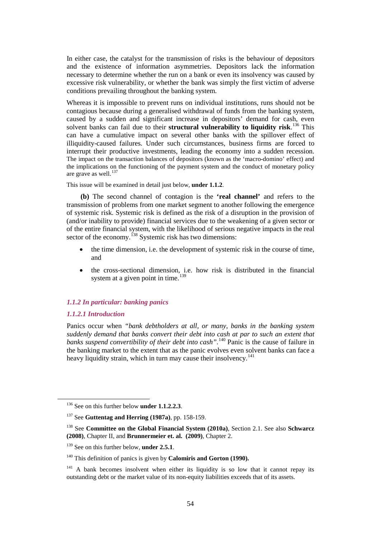In either case, the catalyst for the transmission of risks is the behaviour of depositors and the existence of information asymmetries. Depositors lack the information necessary to determine whether the run on a bank or even its insolvency was caused by excessive risk vulnerability, or whether the bank was simply the first victim of adverse conditions prevailing throughout the banking system.

Whereas it is impossible to prevent runs on individual institutions, runs should not be contagious because during a generalised withdrawal of funds from the banking system, caused by a sudden and significant increase in depositors' demand for cash, even solvent banks can fail due to their **structural vulnerability to liquidity risk**. [136](#page-53-0) This can have a cumulative impact on several other banks with the spillover effect of illiquidity-caused failures. Under such circumstances, business firms are forced to interrupt their productive investments, leading the economy into a sudden recession. The impact on the transaction balances of depositors (known as the 'macro-domino' effect) and the implications on the functioning of the payment system and the conduct of monetary policy are grave as well.<sup>[137](#page-53-1)</sup>

This issue will be examined in detail just below, **under 1.1.2**.

**(b)** The second channel of contagion is the **'real channel'** and refers to the transmission of problems from one market segment to another following the emergence of systemic risk. Systemic risk is defined as the risk of a disruption in the provision of (and/or inability to provide) financial services due to the weakening of a given sector or of the entire financial system, with the likelihood of serious negative impacts in the real sector of the economy.<sup>[138](#page-53-2)</sup> Systemic risk has two dimensions:

- the time dimension, i.e. the development of systemic risk in the course of time, and
- the cross-sectional dimension, i.e. how risk is distributed in the financial system at a given point in time. $139$

#### *1.1.2 In particular: banking panics*

### *1.1.2.1 Introduction*

Panics occur when *"bank debtholders at all, or many, banks in the banking system suddenly demand that banks convert their debt into cash at par to such an extent that banks suspend convertibility of their debt into cash*<sup>". [140](#page-53-4)</sup> Panic is the cause of failure in the banking market to the extent that as the panic evolves even solvent banks can face a heavy liquidity strain, which in turn may cause their insolvency.<sup>[141](#page-53-5)</sup>

<span id="page-53-0"></span><sup>136</sup> See on this further below **under 1.1.2.2.3**.

<span id="page-53-1"></span><sup>137</sup> See **Guttentag and Herring (1987a)**, pp. 158-159.

<span id="page-53-2"></span><sup>138</sup> See **Committee on the Global Financial System (2010a)**, Section 2.1. See also **Schwarcz (2008)**, Chapter ΙΙ, and **Brunnermeier et. al. (2009)**, Chapter 2.

<span id="page-53-3"></span><sup>&</sup>lt;sup>139</sup> See on this further below, **under 2.5.1**.

<span id="page-53-4"></span><sup>140</sup> This definition of panics is given by **Calomiris and Gorton (1990).**

<span id="page-53-5"></span> $141$  A bank becomes insolvent when either its liquidity is so low that it cannot repay its outstanding debt or the market value of its non-equity liabilities exceeds that of its assets.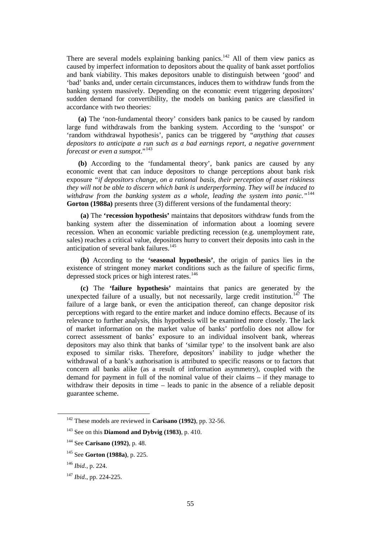There are several models explaining banking panics.<sup>[142](#page-54-0)</sup> All of them view panics as caused by imperfect information to depositors about the quality of bank asset portfolios and bank viability. This makes depositors unable to distinguish between 'good' and 'bad' banks and, under certain circumstances, induces them to withdraw funds from the banking system massively. Depending on the economic event triggering depositors' sudden demand for convertibility, the models on banking panics are classified in accordance with two theories:

**(a)** The 'non-fundamental theory' considers bank panics to be caused by random large fund withdrawals from the banking system. According to the 'sunspot' or 'random withdrawal hypothesis', panics can be triggered by *"anything that causes depositors to anticipate a run such as a bad earnings report, a negative government forecast or even a sunspot.*"<sup>[143](#page-54-1)</sup>

**(b)** According to the 'fundamental theory', bank panics are caused by any economic event that can induce depositors to change perceptions about bank risk exposure *"if depositors change, on a rational basis, their perception of asset riskiness they will not be able to discern which bank is underperforming. They will be induced to*  withdraw from the banking system as a whole, leading the system into panic."<sup>[144](#page-54-2)</sup> **Gorton (1988a)** presents three (3) different versions of the fundamental theory:

**(a)** The **'recession hypothesis'** maintains that depositors withdraw funds from the banking system after the dissemination of information about a looming severe recession. When an economic variable predicting recession (e.g. unemployment rate, sales) reaches a critical value, depositors hurry to convert their deposits into cash in the anticipation of several bank failures.<sup>[145](#page-54-3)</sup>

**(b)** According to the **'seasonal hypothesis'**, the origin of panics lies in the existence of stringent money market conditions such as the failure of specific firms, depressed stock prices or high interest rates.<sup>[146](#page-54-4)</sup>

**(c)** The **'failure hypothesis'** maintains that panics are generated by the unexpected failure of a usually, but not necessarily, large credit institution.<sup>[147](#page-54-5)</sup> The failure of a large bank, or even the anticipation thereof, can change depositor risk perceptions with regard to the entire market and induce domino effects. Because of its relevance to further analysis, this hypothesis will be examined more closely. The lack of market information on the market value of banks' portfolio does not allow for correct assessment of banks' exposure to an individual insolvent bank, whereas depositors may also think that banks of 'similar type' to the insolvent bank are also exposed to similar risks. Therefore, depositors' inability to judge whether the withdrawal of a bank's authorisation is attributed to specific reasons or to factors that concern all banks alike (as a result of information asymmetry), coupled with the demand for payment in full of the nominal value of their claims – if they manage to withdraw their deposits in time – leads to panic in the absence of a reliable deposit guarantee scheme.

<span id="page-54-0"></span><sup>142</sup> These models are reviewed in **Carisano (1992)**, pp. 32-56.

<span id="page-54-1"></span><sup>143</sup> See on this **Diamond and Dybvig (1983)**, p. 410.

<span id="page-54-2"></span><sup>144</sup> See **Carisano (1992)**, p. 48.

<span id="page-54-3"></span><sup>145</sup> See **Gorton (1988a)**, p. 225.

<span id="page-54-4"></span><sup>146</sup> *Ibid.*, p. 224.

<span id="page-54-5"></span><sup>147</sup> *Ibid*., pp. 224-225.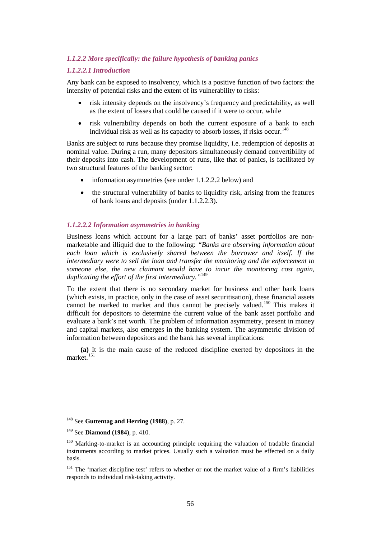## *1.1.2.2 More specifically: the failure hypothesis of banking panics*

#### *1.1.2.2.1 Introduction*

Any bank can be exposed to insolvency, which is a positive function of two factors: the intensity of potential risks and the extent of its vulnerability to risks:

- risk intensity depends on the insolvency's frequency and predictability, as well as the extent of losses that could be caused if it were to occur, while
- risk vulnerability depends on both the current exposure of a bank to each individual risk as well as its capacity to absorb losses, if risks occur.<sup>[148](#page-55-0)</sup>

Banks are subject to runs because they promise liquidity, i.e. redemption of deposits at nominal value. During a run, many depositors simultaneously demand convertibility of their deposits into cash. The development of runs, like that of panics, is facilitated by two structural features of the banking sector:

- information asymmetries (see under 1.1.2.2.2 below) and
- the structural vulnerability of banks to liquidity risk, arising from the features of bank loans and deposits (under 1.1.2.2.3).

#### *1.1.2.2.2 Information asymmetries in banking*

Business loans which account for a large part of banks' asset portfolios are nonmarketable and illiquid due to the following: *"Banks are observing information about each loan which is exclusively shared between the borrower and itself. If the intermediary were to sell the loan and transfer the monitoring and the enforcement to someone else, the new claimant would have to incur the monitoring cost again, duplicating the effort of the first intermediary."*[149](#page-55-1)

To the extent that there is no secondary market for business and other bank loans (which exists, in practice, only in the case of asset securitisation), these financial assets cannot be marked to market and thus cannot be precisely valued.<sup>[150](#page-55-2)</sup> This makes it difficult for depositors to determine the current value of the bank asset portfolio and evaluate a bank's net worth. The problem of information asymmetry, present in money and capital markets, also emerges in the banking system. The asymmetric division of information between depositors and the bank has several implications:

**(a)** It is the main cause of the reduced discipline exerted by depositors in the market<sup>[151](#page-55-3)</sup>

<span id="page-55-0"></span><sup>148</sup> See **Guttentag and Herring (1988)**, p. 27.

<span id="page-55-1"></span><sup>149</sup> See **Diamond (1984)**, p. 410.

<span id="page-55-2"></span><sup>&</sup>lt;sup>150</sup> Marking-to-market is an accounting principle requiring the valuation of tradable financial instruments according to market prices. Usually such a valuation must be effected on a daily basis.

<span id="page-55-3"></span><sup>&</sup>lt;sup>151</sup> The 'market discipline test' refers to whether or not the market value of a firm's liabilities responds to individual risk-taking activity.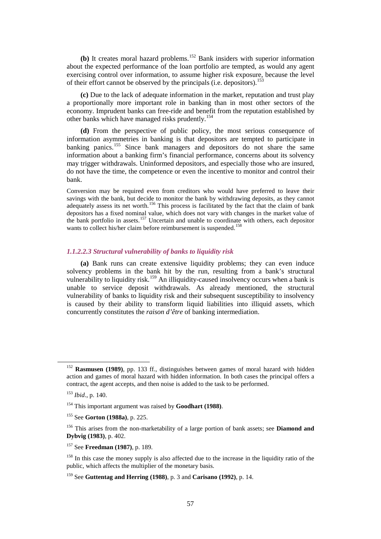**(b)** It creates moral hazard problems.<sup>[152](#page-56-0)</sup> Bank insiders with superior information about the expected performance of the loan portfolio are tempted, as would any agent exercising control over information, to assume higher risk exposure, because the level of their effort cannot be observed by the principals (i.e. depositors).<sup>[153](#page-56-1)</sup>

**(c)** Due to the lack of adequate information in the market, reputation and trust play a proportionally more important role in banking than in most other sectors of the economy. Imprudent banks can free-ride and benefit from the reputation established by other banks which have managed risks prudently.[154](#page-56-2)

**(d)** From the perspective of public policy, the most serious consequence of information asymmetries in banking is that depositors are tempted to participate in banking panics.<sup>[155](#page-56-3)</sup> Since bank managers and depositors do not share the same information about a banking firm's financial performance, concerns about its solvency may trigger withdrawals. Uninformed depositors, and especially those who are insured, do not have the time, the competence or even the incentive to monitor and control their bank.

Conversion may be required even from creditors who would have preferred to leave their savings with the bank, but decide to monitor the bank by withdrawing deposits, as they cannot adequately assess its net worth.<sup>[156](#page-56-4)</sup> This process is facilitated by the fact that the claim of bank depositors has a fixed nominal value, which does not vary with changes in the market value of the bank portfolio in assets.<sup>[157](#page-56-5)</sup> Uncertain and unable to coordinate with others, each depositor wants to collect his/her claim before reimbursement is suspended.<sup>[158](#page-56-6)</sup>

# *1.1.2.2.3 Structural vulnerability of banks to liquidity risk*

**(a)** Bank runs can create extensive liquidity problems; they can even induce solvency problems in the bank hit by the run, resulting from a bank's structural vulnerability to liquidity risk.<sup>[159](#page-56-7)</sup> An illiquidity-caused insolvency occurs when a bank is unable to service deposit withdrawals. As already mentioned, the structural vulnerability of banks to liquidity risk and their subsequent susceptibility to insolvency is caused by their ability to transform liquid liabilities into illiquid assets, which concurrently constitutes the *raison d'être* of banking intermediation.

<span id="page-56-5"></span><sup>157</sup> See **Freedman (1987)**, p. 189.

<span id="page-56-0"></span><sup>152</sup> **Rasmusen (1989)**, pp. 133 ff., distinguishes between games of moral hazard with hidden action and games of moral hazard with hidden information. In both cases the principal offers a contract, the agent accepts, and then noise is added to the task to be performed.

<span id="page-56-1"></span><sup>153</sup> *Ibid*., p. 140.

<span id="page-56-2"></span><sup>154</sup> This important argument was raised by **Goodhart (1988)**.

<span id="page-56-3"></span><sup>155</sup> See **Gorton (1988a)**, p. 225.

<span id="page-56-4"></span><sup>156</sup> This arises from the non-marketability of a large portion of bank assets; see **Diamond and Dybvig (1983)**, p. 402.

<span id="page-56-6"></span><sup>&</sup>lt;sup>158</sup> In this case the money supply is also affected due to the increase in the liquidity ratio of the public, which affects the multiplier of the monetary basis.

<span id="page-56-7"></span><sup>159</sup> See **Guttentag and Herring (1988)**, p. 3 and **Carisano (1992)**, p. 14.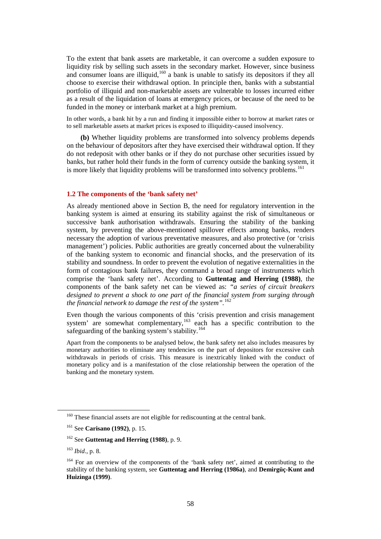To the extent that bank assets are marketable, it can overcome a sudden exposure to liquidity risk by selling such assets in the secondary market. However, since business and consumer loans are illiquid, $160$  a bank is unable to satisfy its depositors if they all choose to exercise their withdrawal option. In principle then, banks with a substantial portfolio of illiquid and non-marketable assets are vulnerable to losses incurred either as a result of the liquidation of loans at emergency prices, or because of the need to be funded in the money or interbank market at a high premium.

In other words, a bank hit by a run and finding it impossible either to borrow at market rates or to sell marketable assets at market prices is exposed to illiquidity-caused insolvency.

**(b)** Whether liquidity problems are transformed into solvency problems depends on the behaviour of depositors after they have exercised their withdrawal option. If they do not redeposit with other banks or if they do not purchase other securities issued by banks, but rather hold their funds in the form of currency outside the banking system, it is more likely that liquidity problems will be transformed into solvency problems.<sup>[161](#page-57-1)</sup>

# **1.2 The components of the 'bank safety net'**

As already mentioned above in Section B, the need for regulatory intervention in the banking system is aimed at ensuring its stability against the risk of simultaneous or successive bank authorisation withdrawals. Ensuring the stability of the banking system, by preventing the above-mentioned spillover effects among banks, renders necessary the adoption of various preventative measures, and also protective (or 'crisis management') policies. Public authorities are greatly concerned about the vulnerability of the banking system to economic and financial shocks, and the preservation of its stability and soundness. In order to prevent the evolution of negative externalities in the form of contagious bank failures, they command a broad range of instruments which comprise the 'bank safety net'. According to **Guttentag and Herring (1988)**, the components of the bank safety net can be viewed as: *"a series of circuit breakers designed to prevent a shock to one part of the financial system from surging through the financial network to damage the rest of the system".*[162](#page-57-2)

Even though the various components of this 'crisis prevention and crisis management system' are somewhat complementary, $163$  each has a specific contribution to the safeguarding of the banking system's stability.<sup>[164](#page-57-4)</sup>

Apart from the components to be analysed below, the bank safety net also includes measures by monetary authorities to eliminate any tendencies on the part of depositors for excessive cash withdrawals in periods of crisis. This measure is inextricably linked with the conduct of monetary policy and is a manifestation of the close relationship between the operation of the banking and the monetary system.

<span id="page-57-0"></span><sup>&</sup>lt;sup>160</sup> These financial assets are not eligible for rediscounting at the central bank.

<span id="page-57-1"></span><sup>161</sup> See **Carisano (1992)**, p. 15.

<span id="page-57-2"></span><sup>162</sup> See **Guttentag and Herring (1988)**, p. 9.

<span id="page-57-3"></span><sup>163</sup> *Ibid*., p. 8.

<span id="page-57-4"></span><sup>164</sup> For an overview of the components of the 'bank safety net', aimed at contributing to the stability of the banking system, see **Guttentag and Herring (1986a)**, and **Demirgüç-Kunt and Huizinga (1999)**.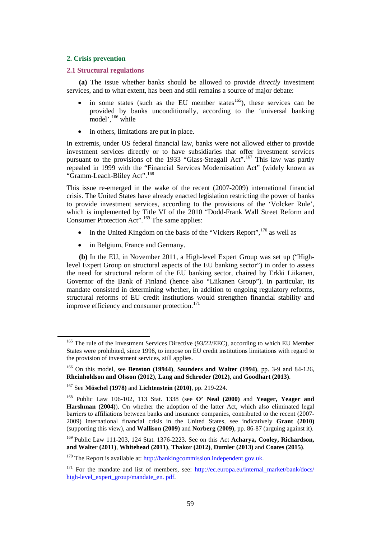#### **2. Crisis prevention**

# **2.1 Structural regulations**

 **(a)** The issue whether banks should be allowed to provide *directly* investment services, and to what extent, has been and still remains a source of major debate:

- in some states (such as the EU member states<sup>[165](#page-58-0)</sup>), these services can be provided by banks unconditionally, according to the 'universal banking model',  $\frac{166}{166}$  $\frac{166}{166}$  $\frac{166}{166}$  while
- in others, limitations are put in place.

In extremis, under US federal financial law, banks were not allowed either to provide investment services directly or to have subsidiaries that offer investment services pursuant to the provisions of the 1933 "Glass-Steagall Act".<sup>[167](#page-58-2)</sup> This law was partly repealed in 1999 with the "Financial Services Modernisation Act" (widely known as "Gramm-Leach-Bliley Act".[168](#page-58-3)

This issue re-emerged in the wake of the recent (2007-2009) international financial crisis. The United States have already enacted legislation restricting the power of banks to provide investment services, according to the provisions of the 'Volcker Rule', which is implemented by Title VI of the 2010 "Dodd-Frank Wall Street Reform and Consumer Protection Act".<sup>[169](#page-58-4)</sup> The same applies:

- in the United Kingdom on the basis of the "Vickers Report",  $170$  as well as
- in Belgium, France and Germany.

 **(b)** In the EU, in November 2011, a High-level Expert Group was set up ("Highlevel Expert Group on structural aspects of the EU banking sector") in order to assess the need for structural reform of the EU banking sector, chaired by Erkki Liikanen, Governor of the Bank of Finland (hence also "Liikanen Group"). In particular, its mandate consisted in determining whether, in addition to ongoing regulatory reforms, structural reforms of EU credit institutions would strengthen financial stability and improve efficiency and consumer protection. $171$ 

<span id="page-58-0"></span><sup>&</sup>lt;sup>165</sup> The rule of the Investment Services Directive (93/22/EEC), according to which EU Member States were prohibited, since 1996, to impose on EU credit institutions limitations with regard to the provision of investment services, still applies.

<span id="page-58-1"></span><sup>166</sup> On this model, see **Benston (19944)**, **Saunders and Walter (1994)**, pp. 3-9 and 84-126, **Rheinholdson and Olsson (2012)**, **Lang and Schroder (2012)**, and **Goodhart (2013)**.

<span id="page-58-2"></span><sup>167</sup> See **Möschel (1978)** and **Lichtenstein (2010)**, pp. 219-224.

<span id="page-58-3"></span><sup>168</sup> Public Law 106-102, 113 Stat. 1338 (see **O' Neal (2000)** and **Yeager, Yeager and Harshman (2004)**). On whether the adoption of the latter Act, which also eliminated legal barriers to affiliations between banks and insurance companies, contributed to the recent (2007- 2009) international financial crisis in the United States, see indicatively **Grant (2010)** (supporting this view), and **Wallison (2009)** and **Norberg (2009)**, pp. 86-87 (arguing against it).

<span id="page-58-4"></span><sup>169</sup> Public Law 111-203, 124 Stat. 1376-2223. See on this Act **Acharya, Cooley, Richardson, and Walter (2011)**, **Whitehead (2011)**, **Thakor (2012)**, **Dumler (2013)** and **Coates (2015)**.

<span id="page-58-5"></span><sup>&</sup>lt;sup>170</sup> The Report is available at: http://bankingcommission.independent.gov.uk.

<span id="page-58-6"></span><sup>&</sup>lt;sup>171</sup> For the mandate and list of members, see: http://ec.europa.eu/internal\_market/bank/docs/ high-level\_expert\_group/mandate\_en. pdf.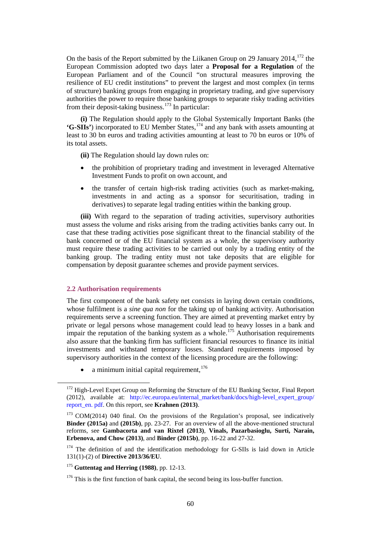On the basis of the Report submitted by the Liikanen Group on 29 January  $2014$ ,  $^{172}$  $^{172}$  $^{172}$  the European Commission adopted two days later a **Proposal for a Regulation** of the European Parliament and of the Council "on structural measures improving the resilience of EU credit institutions" to prevent the largest and most complex (in terms of structure) banking groups from engaging in proprietary trading, and give supervisory authorities the power to require those banking groups to separate risky trading activities from their deposit-taking business.<sup>[173](#page-59-1)</sup> In particular:

**(i)** The Regulation should apply to the Global Systemically Important Banks (the **'G-SIIs'**) incorporated to EU Member States, <sup>[174](#page-59-2)</sup> and any bank with assets amounting at least to 30 bn euros and trading activities amounting at least to 70 bn euros or 10% of its total assets.

**(ii)** The Regulation should lay down rules on:

- the prohibition of proprietary trading and investment in leveraged Alternative Investment Funds to profit on own account, and
- the transfer of certain high-risk trading activities (such as market-making, investments in and acting as a sponsor for securitisation, trading in derivatives) to separate legal trading entities within the banking group.

**(iii)** With regard to the separation of trading activities, supervisory authorities must assess the volume and risks arising from the trading activities banks carry out. In case that these trading activities pose significant threat to the financial stability of the bank concerned or of the EU financial system as a whole, the supervisory authority must require these trading activities to be carried out only by a trading entity of the banking group. The trading entity must not take deposits that are eligible for compensation by deposit guarantee schemes and provide payment services.

#### **2.2 Authorisation requirements**

The first component of the bank safety net consists in laying down certain conditions, whose fulfilment is a *sine qua non* for the taking up of banking activity. Authorisation requirements serve a screening function. They are aimed at preventing market entry by private or legal persons whose management could lead to heavy losses in a bank and impair the reputation of the banking system as a whole.<sup>[175](#page-59-3)</sup> Authorisation requirements also assure that the banking firm has sufficient financial resources to finance its initial investments and withstand temporary losses. Standard requirements imposed by supervisory authorities in the context of the licensing procedure are the following:

a minimum initial capital requirement,  $176$ 

<span id="page-59-0"></span><sup>&</sup>lt;sup>172</sup> High-Level Expet Group on Reforming the Structure of the EU Banking Sector, Final Report (2012), available at: [http://ec.europa.eu/internal\\_market/bank/docs/high-level\\_expert\\_g](http://ec.europa.eu/internal_market/bank/docs/high-level_expert_)roup/ report\_en. pdf. On this report, see **Krahnen (2013)**.

<span id="page-59-1"></span><sup>&</sup>lt;sup>173</sup> COM(2014) 040 final. On the provisions of the Regulation's proposal, see indicatively **Binder (2015a)** and **(2015b)**, pp. 23-27. For an overview of all the above-mentioned structural reforms, see **Gambacorta and van Rixtel (2013)**, **Vinals, Pazarbasioglu, Surti, Narain, Erbenova, and Chow (2013)**, and **Binder (2015b)**, pp. 16-22 and 27-32.

<span id="page-59-2"></span> $174$  The definition of and the identification methodology for G-SIIs is laid down in Article 131(1)-(2) of **Directive 2013/36/EU**.

<span id="page-59-3"></span><sup>175</sup> **Guttentag and Herring (1988)**, pp. 12-13.

<span id="page-59-4"></span><sup>&</sup>lt;sup>176</sup> This is the first function of bank capital, the second being its loss-buffer function.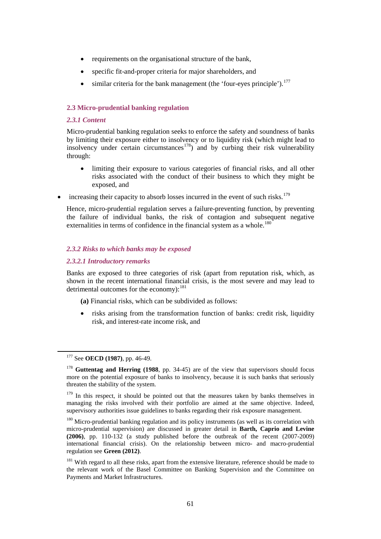- requirements on the organisational structure of the bank,
- specific fit-and-proper criteria for major shareholders, and
- similar criteria for the bank management (the 'four-eyes principle').<sup>[177](#page-60-0)</sup>

# **2.3 Micro-prudential banking regulation**

### *2.3.1 Content*

Micro-prudential banking regulation seeks to enforce the safety and soundness of banks by limiting their exposure either to insolvency or to liquidity risk (which might lead to insolvency under certain circumstances<sup>[178](#page-60-1)</sup>) and by curbing their risk vulnerability through:

- limiting their exposure to various categories of financial risks, and all other risks associated with the conduct of their business to which they might be exposed, and
- $\bullet$  increasing their capacity to absorb losses incurred in the event of such risks.<sup>[179](#page-60-2)</sup>

Hence, micro-prudential regulation serves a failure-preventing function, by preventing the failure of individual banks, the risk of contagion and subsequent negative externalities in terms of confidence in the financial system as a whole.<sup>[180](#page-60-3)</sup>

#### *2.3.2 Risks to which banks may be exposed*

### *2.3.2.1 Introductory remarks*

Banks are exposed to three categories of risk (apart from reputation risk, which, as shown in the recent international financial crisis, is the most severe and may lead to detrimental outcomes for the economy):  $181$ 

- **(a)** Financial risks, which can be subdivided as follows:
- risks arising from the transformation function of banks: credit risk, liquidity risk, and interest-rate income risk, and

<span id="page-60-0"></span><sup>177</sup> See **OECD (1987)**, pp. 46-49.

<span id="page-60-1"></span><sup>178</sup> **Guttentag and Herring (1988**, pp. 34-45) are of the view that supervisors should focus more on the potential exposure of banks to insolvency, because it is such banks that seriously threaten the stability of the system.

<span id="page-60-2"></span> $179$  In this respect, it should be pointed out that the measures taken by banks themselves in managing the risks involved with their portfolio are aimed at the same objective. Indeed, supervisory authorities issue guidelines to banks regarding their risk exposure management.

<span id="page-60-3"></span><sup>&</sup>lt;sup>180</sup> Micro-prudential banking regulation and its policy instruments (as well as its correlation with micro-prudential supervision) are discussed in greater detail in **Barth, Caprio and Levine (2006)**, pp. 110-132 (a study published before the outbreak of the recent (2007-2009) international financial crisis). On the relationship between micro- and macro-prudential regulation see **Green (2012)**.

<span id="page-60-4"></span><sup>&</sup>lt;sup>181</sup> With regard to all these risks, apart from the extensive literature, reference should be made to the relevant work of the Basel Committee on Banking Supervision and the Committee on Payments and Market Infrastructures.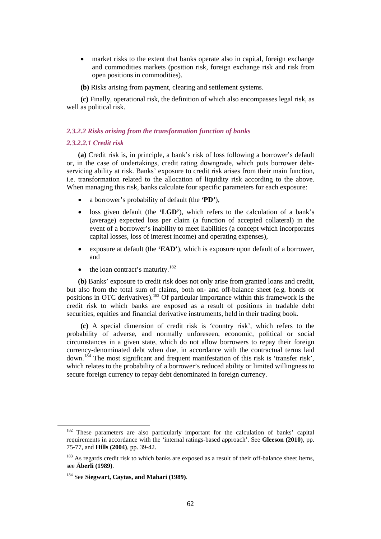- market risks to the extent that banks operate also in capital, foreign exchange and commodities markets (position risk, foreign exchange risk and risk from open positions in commodities).
- **(b)** Risks arising from payment, clearing and settlement systems.

**(c)** Finally, operational risk, the definition of which also encompasses legal risk, as well as political risk.

### *2.3.2.2 Risks arising from the transformation function of banks*

#### *2.3.2.2.1 Credit risk*

**(a)** Credit risk is, in principle, a bank's risk of loss following a borrower's default or, in the case of undertakings, credit rating downgrade, which puts borrower debtservicing ability at risk. Banks' exposure to credit risk arises from their main function, i.e. transformation related to the allocation of liquidity risk according to the above. When managing this risk, banks calculate four specific parameters for each exposure:

- a borrower's probability of default (the **'PD'**),
- loss given default (the **'LGD'**), which refers to the calculation of a bank's (average) expected loss per claim (a function of accepted collateral) in the event of a borrower's inability to meet liabilities (a concept which incorporates capital losses, loss of interest income) and operating expenses),
- exposure at default (the **'EAD'**), which is exposure upon default of a borrower, and
- the loan contract's maturity.<sup>[182](#page-61-0)</sup>

**(b)** Banks' exposure to credit risk does not only arise from granted loans and credit, but also from the total sum of claims, both on- and off-balance sheet (e*.*g*.* bonds or positions in OTC derivatives).[183](#page-61-1) Of particular importance within this framework is the credit risk to which banks are exposed as a result of positions in tradable debt securities, equities and financial derivative instruments, held in their trading book.

**(c)** A special dimension of credit risk is 'country risk', which refers to the probability of adverse, and normally unforeseen, economic, political or social circumstances in a given state, which do not allow borrowers to repay their foreign currency-denominated debt when due, in accordance with the contractual terms laid down.[184](#page-61-2) The most significant and frequent manifestation of this risk is 'transfer risk', which relates to the probability of a borrower's reduced ability or limited willingness to secure foreign currency to repay debt denominated in foreign currency.

<span id="page-61-0"></span><sup>&</sup>lt;sup>182</sup> These parameters are also particularly important for the calculation of banks' capital requirements in accordance with the 'internal ratings-based approach'. See **Gleeson (2010)**, pp. 75-77, and **Hills (2004)**, pp. 39-42.

<span id="page-61-1"></span><sup>&</sup>lt;sup>183</sup> As regards credit risk to which banks are exposed as a result of their off-balance sheet items, see **Äberli (1989)**.

<span id="page-61-2"></span><sup>184</sup> See **Siegwart, Caytas, and Mahari (1989)**.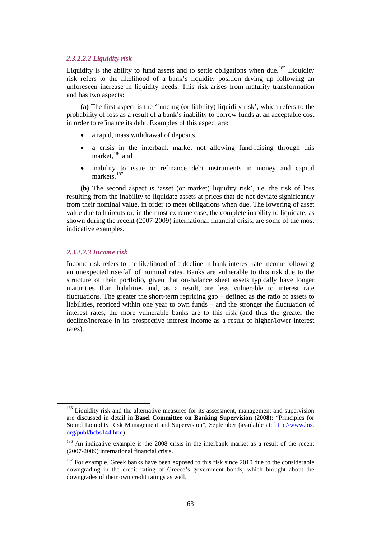#### *2.3.2.2.2 Liquidity risk*

Liquidity is the ability to fund assets and to settle obligations when due.<sup>[185](#page-62-0)</sup> Liquidity risk refers to the likelihood of a bank's liquidity position drying up following an unforeseen increase in liquidity needs. This risk arises from maturity transformation and has two aspects:

**(a)** The first aspect is the 'funding (or liability) liquidity risk', which refers to the probability of loss as a result of a bank's inability to borrow funds at an acceptable cost in order to refinance its debt. Examples of this aspect are:

- a rapid, mass withdrawal of deposits,
- a crisis in the interbank market not allowing fund-raising through this market, [186](#page-62-1) and
- inability to issue or refinance debt instruments in money and capital markets.<sup>[187](#page-62-2)</sup>

**(b)** The second aspect is 'asset (or market) liquidity risk', i.e. the risk of loss resulting from the inability to liquidate assets at prices that do not deviate significantly from their nominal value, in order to meet obligations when due. The lowering of asset value due to haircuts or, in the most extreme case, the complete inability to liquidate, as shown during the recent (2007-2009) international financial crisis, are some of the most indicative examples.

### *2.3.2.2.3 Income risk*

Income risk refers to the likelihood of a decline in bank interest rate income following an unexpected rise/fall of nominal rates. Banks are vulnerable to this risk due to the structure of their portfolio, given that on-balance sheet assets typically have longer maturities than liabilities and, as a result, are less vulnerable to interest rate fluctuations. The greater the short-term repricing gap – defined as the ratio of assets to liabilities, repriced within one year to own funds – and the stronger the fluctuation of interest rates, the more vulnerable banks are to this risk (and thus the greater the decline/increase in its prospective interest income as a result of higher/lower interest rates).

<span id="page-62-0"></span><sup>&</sup>lt;sup>185</sup> Liquidity risk and the alternative measures for its assessment, management and supervision are discussed in detail in **Basel Committee on Banking Supervision (2008)**: "Principles for Sound Liquidity Risk Management and Supervision", September (available at: http://www.bis. org/publ/bcbs144.htm).

<span id="page-62-1"></span><sup>&</sup>lt;sup>186</sup> An indicative example is the 2008 crisis in the interbank market as a result of the recent (2007-2009) international financial crisis.

<span id="page-62-2"></span> $187$  For example, Greek banks have been exposed to this risk since 2010 due to the considerable downgrading in the credit rating of Greece's government bonds, which brought about the downgrades of their own credit ratings as well.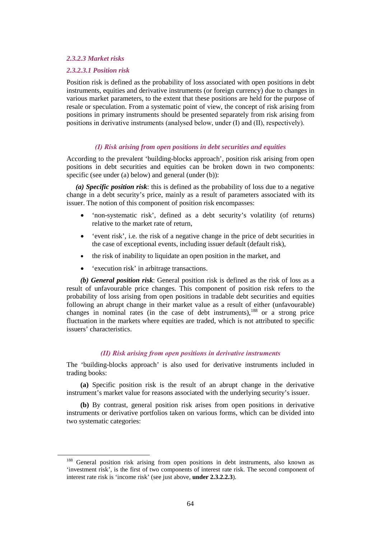#### *2.3.2.3 Market risks*

#### *2.3.2.3.1 Position risk*

Position risk is defined as the probability of loss associated with open positions in debt instruments, equities and derivative instruments (or foreign currency) due to changes in various market parameters, to the extent that these positions are held for the purpose of resale or speculation. From a systematic point of view, the concept of risk arising from positions in primary instruments should be presented separately from risk arising from positions in derivative instruments (analysed below, under (I) and (II), respectively).

#### *(Ι) Risk arising from open positions in debt securities and equities*

According to the prevalent 'building-blocks approach', position risk arising from open positions in debt securities and equities can be broken down in two components: specific (see under (a) below) and general (under (b)):

*(a) Specific position risk*: this is defined as the probability of loss due to a negative change in a debt security's price, mainly as a result of parameters associated with its issuer. The notion of this component of position risk encompasses:

- 'non-systematic risk', defined as a debt security's volatility (of returns) relative to the market rate of return,
- 'event risk', i.e. the risk of a negative change in the price of debt securities in the case of exceptional events, including issuer default (default risk),
- the risk of inability to liquidate an open position in the market, and
- 'execution risk' in arbitrage transactions.

*(b) General position risk*: General position risk is defined as the risk of loss as a result of unfavourable price changes*.* This component of position risk refers to the probability of loss arising from open positions in tradable debt securities and equities following an abrupt change in their market value as a result of either (unfavourable) changes in nominal rates (in the case of debt instruments),<sup>[188](#page-63-0)</sup> or a strong price fluctuation in the markets where equities are traded, which is not attributed to specific issuers' characteristics.

#### *(ΙΙ) Risk arising from open positions in derivative instruments*

The 'building-blocks approach' is also used for derivative instruments included in trading books:

**(a)** Specific position risk is the result of an abrupt change in the derivative instrument's market value for reasons associated with the underlying security's issuer.

**(b)** By contrast, general position risk arises from open positions in derivative instruments or derivative portfolios taken on various forms, which can be divided into two systematic categories:

<span id="page-63-0"></span>General position risk arising from open positions in debt instruments, also known as 'investment risk', is the first of two components of interest rate risk. The second component of interest rate risk is 'income risk' (see just above, **under 2.3.2.2.3**).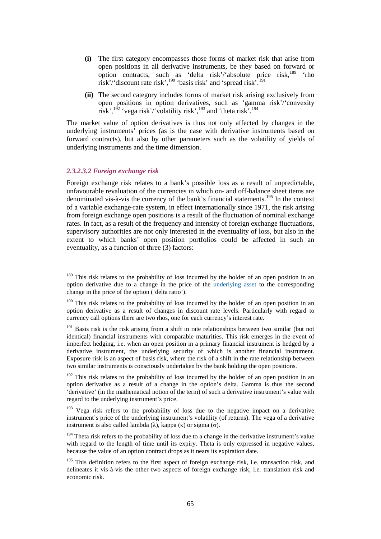- **(i)** The first category encompasses those forms of market risk that arise from open positions in all derivative instruments, be they based on forward or option contracts, such as 'delta risk'/'absolute price risk,[189](#page-64-0) 'rho risk'/'discount rate risk', $^{190}$  $^{190}$  $^{190}$  'basis risk' and 'spread risk'.<sup>[191](#page-64-2)</sup>
- **(ii)** The second category includes forms of market risk arising exclusively from open positions in option derivatives, such as 'gamma risk'/'convexity risk',  $\frac{1}{92}$  'vega risk'/'volatility risk',  $\frac{193}{93}$  $\frac{193}{93}$  $\frac{193}{93}$  and 'theta risk'.<sup>[194](#page-64-5)</sup>

The market value of option derivatives is thus not only affected by changes in the underlying instruments' prices (as is the case with derivative instruments based on forward contracts), but also by other parameters such as the volatility of yields of underlying instruments and the time dimension.

# *2.3.2.3.2 Foreign exchange risk*

Foreign exchange risk relates to a bank's possible loss as a result of unpredictable, unfavourable revaluation of the currencies in which on- and off-balance sheet items are denominated vis-à-vis the currency of the bank's financial statements.<sup>[195](#page-64-6)</sup> In the context of a variable exchange-rate system, in effect internationally since 1971, the risk arising from foreign exchange open positions is a result of the fluctuation of nominal exchange rates. In fact, as a result of the frequency and intensity of foreign exchange fluctuations, supervisory authorities are not only interested in the eventuality of loss, but also in the extent to which banks' open position portfolios could be affected in such an eventuality, as a function of three (3) factors:

<span id="page-64-0"></span><sup>&</sup>lt;sup>189</sup> This risk relates to the probability of loss incurred by the holder of an open position in an option derivative due to a change in the price of the [underlying asset](http://www.investopedia.com/terms/u/underlying-asset.asp) to the corresponding change in the price of the option ('delta ratio').

<span id="page-64-1"></span><sup>&</sup>lt;sup>190</sup> This risk relates to the probability of loss incurred by the holder of an open position in an option derivative as a result of changes in discount rate levels. Particularly with regard to currency call options there are two rhos, one for each currency's interest rate.

<span id="page-64-2"></span><sup>&</sup>lt;sup>191</sup> Basis risk is the risk arising from a shift in rate relationships between two similar (but not identical) financial instruments with comparable maturities. This risk emerges in the event of imperfect hedging, i.e. when an open position in a primary financial instrument is hedged by a derivative instrument, the underlying security of which is another financial instrument. Exposure risk is an aspect of basis risk, where the risk of a shift in the rate relationship between two similar instruments is consciously undertaken by the bank holding the open positions.

<span id="page-64-3"></span> $192$  This risk relates to the probability of loss incurred by the holder of an open position in an option derivative as a result of a change in the option's delta. Gamma is thus the second 'derivative' (in the mathematical notion of the term) of such a derivative instrument's value with regard to the underlying instrument's price.

<span id="page-64-4"></span><sup>&</sup>lt;sup>193</sup> Vega risk refers to the probability of loss due to the negative impact on a derivative instrument's price of the underlying instrument's volatility (of returns). The vega of a derivative instrument is also called lambda (λ), kappa (κ) or sigma (σ).

<span id="page-64-5"></span><sup>&</sup>lt;sup>194</sup> Theta risk refers to the probability of loss due to a change in the derivative instrument's value with regard to the length of time until its expiry. Theta is only expressed in negative values, because the value of an option contract drops as it nears its expiration date.

<span id="page-64-6"></span><sup>&</sup>lt;sup>195</sup> This definition refers to the first aspect of foreign exchange risk, i.e. transaction risk, and delineates it vis-à-vis the other two aspects of foreign exchange risk, i.e. translation risk and economic risk.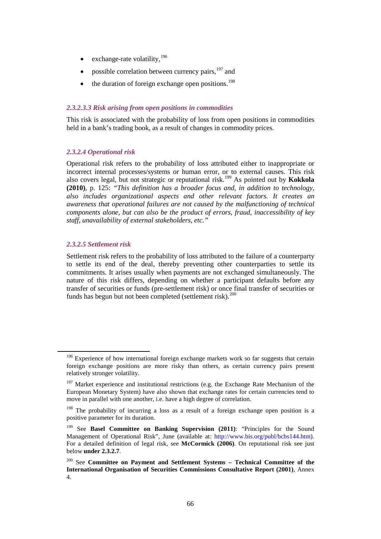- exchange-rate volatility,  $196$
- possible correlation between currency pairs,  $197$  and
- the duration of foreign exchange open positions. $198$

# *2.3.2.3.3 Risk arising from open positions in commodities*

This risk is associated with the probability of loss from open positions in commodities held in a bank's trading book, as a result of changes in commodity prices.

### *2.3.2.4 Operational risk*

Operational risk refers to the probability of loss attributed either to inappropriate or incorrect internal processes/systems or human error, or to external causes. This risk also covers legal, but not strategic or reputational risk.[199](#page-65-3) As pointed out by **Kokkola (2010)**, p. 125: *"This definition has a broader focus and, in addition to technology, also includes organizational aspects and other relevant factors. It creates an awareness that operational failures are not caused by the malfunctioning of technical components alone, but can also be the product of errors, fraud, inaccessibility of key staff, unavailability of external stakeholders, etc."*

#### *2.3.2.5 Settlement risk*

Settlement risk refers to the probability of loss attributed to the failure of a counterparty to settle its end of the deal, thereby preventing other counterparties to settle its commitments. It arises usually when [payments](http://www.businessdictionary.com/definition/payment.html) are not exchanged simultaneously. The nature of this risk differs, depending on whether a participant defaults before any transfer of securities or funds (pre-settlement risk) or once final transfer of securities or funds has begun but not been completed (settlement risk).<sup>[200](#page-65-4)</sup>

<span id="page-65-0"></span> $196$  Experience of how international foreign exchange markets work so far suggests that certain foreign exchange positions are more risky than others, as certain currency pairs present relatively stronger volatility.

<span id="page-65-1"></span> $197$  Market experience and institutional restrictions (e.g. the Exchange Rate Mechanism of the European Monetary System) have also shown that exchange rates for certain currencies tend to move in parallel with one another, i.e. have a high degree of correlation.

<span id="page-65-2"></span><sup>&</sup>lt;sup>198</sup> The probability of incurring a loss as a result of a foreign exchange open position is a positive parameter for its duration.

<span id="page-65-3"></span><sup>&</sup>lt;sup>199</sup> See **Basel Committee on Banking Supervision (2011)**: "Principles for the Sound Management of Operational Risk", June (available at: http://www.bis.org/publ/bcbs144.htm). For a detailed definition of legal risk, see **McCormick (2006)**. On reputational risk see just below **under 2.3.2.7**.

<span id="page-65-4"></span><sup>200</sup> See **Committee on Payment and Settlement Systems – Technical Committee of the International Organisation of Securities Commissions Consultative Report (2001)**, Annex 4.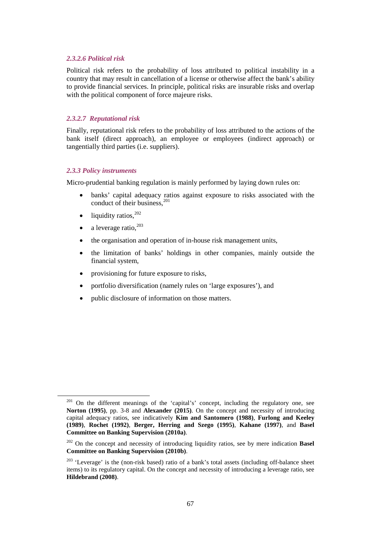#### *2.3.2.6 Political risk*

Political risk refers to the probability of loss attributed to political instability in a country that may result in cancellation of a license or otherwise affect the bank's ability to provide financial services. In principle, political risks are insurable risks and overlap with the political component of force majeure risks.

# *2.3.2.7 Reputational risk*

Finally, reputational risk refers to the probability of loss attributed to the actions of the bank itself (direct approach), an employee or employees (indirect approach) or tangentially third parties (i.e. suppliers).

#### *2.3.3 Policy instruments*

Micro-prudential banking regulation is mainly performed by laying down rules on:

- banks' capital adequacy ratios against exposure to risks associated with the conduct of their business.<sup>[201](#page-66-0)</sup>
- $\bullet$  liquidity ratios,  $202$
- a leverage ratio,  $203$
- the organisation and operation of in-house risk management units,
- the limitation of banks' holdings in other companies, mainly outside the financial system,
- provisioning for future exposure to risks,
- portfolio diversification (namely rules on 'large exposures'), and
- public disclosure of information on those matters.

<span id="page-66-0"></span><sup>&</sup>lt;sup>201</sup> On the different meanings of the 'capital's' concept, including the regulatory one, see **Norton (1995)**, pp. 3-8 and **Alexander (2015)**. On the concept and necessity of introducing capital adequacy ratios, see indicatively **Kim and Santomero (1988)**, **Furlong and Keeley (1989)**, **Rochet (1992)**, **Berger, Herring and Szego (1995)**, **Kahane (1997)**, and **Basel Committee on Banking Supervision (2010a)**.

<span id="page-66-1"></span><sup>202</sup> On the concept and necessity of introducing liquidity ratios, see by mere indication **Basel Committee on Banking Supervision (2010b)**.

<span id="page-66-2"></span> $203$  'Leverage' is the (non-risk based) ratio of a bank's total assets (including off-balance sheet items) to its regulatory capital. On the concept and necessity of introducing a leverage ratio, see **Hildebrand (2008)**.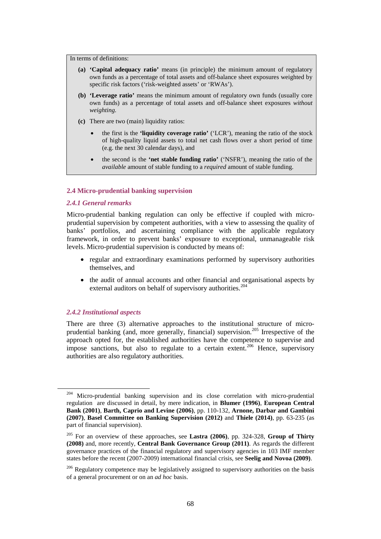In terms of definitions:

- **(a) 'Capital adequacy ratio'** means (in principle) the minimum amount of regulatory own funds as a percentage of total assets and off-balance sheet exposures weighted by specific risk factors ('risk-weighted assets' or 'RWAs').
- **(b) 'Leverage ratio'** means the minimum amount of regulatory own funds (usually core own funds) as a percentage of total assets and off-balance sheet exposures *without weighting.*
- **(c)** There are two (main) liquidity ratios:
	- the first is the **'liquidity coverage ratio'** ('LCR'), meaning the ratio of the stock of high-quality liquid assets to total net cash flows over a short period of time (e.g. the next 30 calendar days), and
	- the second is the **'net stable funding ratio'** ('NSFR'), meaning the ratio of the *available* amount of stable funding to a *required* amount of stable funding.

#### **2.4 Micro-prudential banking supervision**

### *2.4.1 General remarks*

Micro-prudential banking regulation can only be effective if coupled with microprudential supervision by competent authorities, with a view to assessing the quality of banks' portfolios, and ascertaining compliance with the applicable regulatory framework, in order to prevent banks' exposure to exceptional, unmanageable risk levels. Micro-prudential supervision is conducted by means of:

- regular and extraordinary examinations performed by supervisory authorities themselves, and
- the audit of annual accounts and other financial and organisational aspects by external auditors on behalf of supervisory authorities.<sup>[204](#page-67-0)</sup>

#### *2.4.2 Institutional aspects*

There are three (3) alternative approaches to the institutional structure of micro-prudential banking (and, more generally, financial) supervision.<sup>[205](#page-67-1)</sup> Irrespective of the approach opted for, the established authorities have the competence to supervise and impose sanctions, but also to regulate to a certain extent.<sup>[206](#page-67-2)</sup> Hence, supervisory authorities are also regulatory authorities.

<span id="page-67-0"></span><sup>&</sup>lt;sup>204</sup> Micro-prudential banking supervision and its close correlation with micro-prudential regulation are discussed in detail, by mere indication, in **Blumer (1996)**, **European Central Bank (2001)**, **Barth, Caprio and Levine (2006)**, pp. 110-132, **Arnone, Darbar and Gambini (2007)**, **Basel Committee on Banking Supervision (2012)** and **Thiele (2014)**, pp. 63-235 (as part of financial supervision).

<span id="page-67-1"></span><sup>205</sup> For an overview of these approaches, see **Lastra (2006)**, pp. 324-328, **Group of Thirty (2008)** and, more recently, **Central Bank Governance Group (2011)**. As regards the different governance practices of the financial regulatory and supervisory agencies in 103 IMF member states before the recent (2007-2009) international financial crisis, see **Seelig and Novoa (2009)**.

<span id="page-67-2"></span><sup>&</sup>lt;sup>206</sup> Regulatory competence may be legislatively assigned to supervisory authorities on the basis of a general procurement or on an *ad hoc* basis.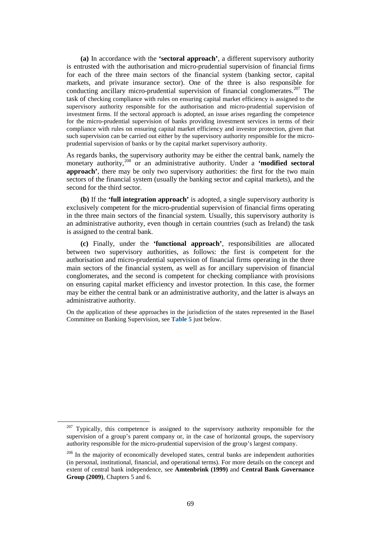**(a)** In accordance with the **'sectoral approach'**, a different supervisory authority is entrusted with the authorisation and micro-prudential supervision of financial firms for each of the three main sectors of the financial system (banking sector, capital markets, and private insurance sector). One of the three is also responsible for conducting ancillary micro-prudential supervision of financial conglomerates.<sup>[207](#page-68-0)</sup> The task of checking compliance with rules on ensuring capital market efficiency is assigned to the supervisory authority responsible for the authorisation and micro-prudential supervision of investment firms. If the sectoral approach is adopted, an issue arises regarding the competence for the micro-prudential supervision of banks providing investment services in terms of their compliance with rules on ensuring capital market efficiency and investor protection, given that such supervision can be carried out either by the supervisory authority responsible for the microprudential supervision of banks or by the capital market supervisory authority.

As regards banks, the supervisory authority may be either the central bank, namely the monetary authority,<sup>[208](#page-68-1)</sup> or an administrative authority. Under a **'modified sectoral approach'**, there may be only two supervisory authorities: the first for the two main sectors of the financial system (usually the banking sector and capital markets), and the second for the third sector.

**(b)** If the **'full integration approach'** is adopted, a single supervisory authority is exclusively competent for the micro-prudential supervision of financial firms operating in the three main sectors of the financial system. Usually, this supervisory authority is an administrative authority, even though in certain countries (such as Ireland) the task is assigned to the central bank.

**(c)** Finally, under the **'functional approach'**, responsibilities are allocated between two supervisory authorities, as follows: the first is competent for the authorisation and micro-prudential supervision of financial firms operating in the three main sectors of the financial system, as well as for ancillary supervision of financial conglomerates, and the second is competent for checking compliance with provisions on ensuring capital market efficiency and investor protection. In this case, the former may be either the central bank or an administrative authority, and the latter is always an administrative authority.

On the application of these approaches in the jurisdiction of the states represented in the Basel Committee on Banking Supervision, see **Table 5** just below.

<span id="page-68-0"></span> $207$  Typically, this competence is assigned to the supervisory authority responsible for the supervision of a group's parent company or, in the case of horizontal groups, the supervisory authority responsible for the micro-prudential supervision of the group's largest company.

<span id="page-68-1"></span> $208$  In the majority of economically developed states, central banks are independent authorities (in personal, institutional, financial, and operational terms). For more details on the concept and extent of central bank independence, see **Amtenbrink (1999)** and **Central Bank Governance Group (2009)**, Chapters 5 and 6.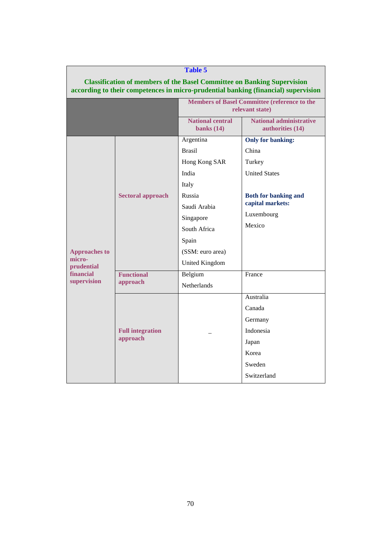| <b>Table 5</b>                                                                                                                                                       |                                     |                                                                        |                                                    |  |  |  |  |
|----------------------------------------------------------------------------------------------------------------------------------------------------------------------|-------------------------------------|------------------------------------------------------------------------|----------------------------------------------------|--|--|--|--|
| <b>Classification of members of the Basel Committee on Banking Supervision</b><br>according to their competences in micro-prudential banking (financial) supervision |                                     |                                                                        |                                                    |  |  |  |  |
|                                                                                                                                                                      |                                     | <b>Members of Basel Committee (reference to the</b><br>relevant state) |                                                    |  |  |  |  |
|                                                                                                                                                                      |                                     | <b>National central</b><br>banks $(14)$                                | <b>National administrative</b><br>authorities (14) |  |  |  |  |
|                                                                                                                                                                      |                                     | Argentina                                                              | <b>Only for banking:</b>                           |  |  |  |  |
|                                                                                                                                                                      |                                     | <b>Brasil</b>                                                          | China                                              |  |  |  |  |
|                                                                                                                                                                      |                                     | Hong Kong SAR                                                          | Turkey                                             |  |  |  |  |
|                                                                                                                                                                      | <b>Sectoral approach</b>            | India                                                                  | <b>United States</b>                               |  |  |  |  |
|                                                                                                                                                                      |                                     | Italy                                                                  |                                                    |  |  |  |  |
|                                                                                                                                                                      |                                     | Russia                                                                 | <b>Both for banking and</b><br>capital markets:    |  |  |  |  |
|                                                                                                                                                                      |                                     | Saudi Arabia                                                           |                                                    |  |  |  |  |
|                                                                                                                                                                      |                                     | Singapore                                                              | Luxembourg                                         |  |  |  |  |
|                                                                                                                                                                      |                                     | South Africa                                                           | Mexico                                             |  |  |  |  |
|                                                                                                                                                                      |                                     | Spain                                                                  |                                                    |  |  |  |  |
| <b>Approaches to</b>                                                                                                                                                 |                                     | (SSM: euro area)                                                       |                                                    |  |  |  |  |
| micro-<br>prudential<br>financial<br>supervision                                                                                                                     |                                     | <b>United Kingdom</b>                                                  |                                                    |  |  |  |  |
|                                                                                                                                                                      | <b>Functional</b><br>approach       | Belgium                                                                | France                                             |  |  |  |  |
|                                                                                                                                                                      |                                     | Netherlands                                                            |                                                    |  |  |  |  |
|                                                                                                                                                                      | <b>Full integration</b><br>approach |                                                                        | Australia                                          |  |  |  |  |
|                                                                                                                                                                      |                                     |                                                                        | Canada                                             |  |  |  |  |
|                                                                                                                                                                      |                                     |                                                                        | Germany                                            |  |  |  |  |
|                                                                                                                                                                      |                                     |                                                                        | Indonesia                                          |  |  |  |  |
|                                                                                                                                                                      |                                     |                                                                        | Japan                                              |  |  |  |  |
|                                                                                                                                                                      |                                     |                                                                        | Korea                                              |  |  |  |  |
|                                                                                                                                                                      |                                     |                                                                        | Sweden                                             |  |  |  |  |
|                                                                                                                                                                      |                                     |                                                                        | Switzerland                                        |  |  |  |  |

┑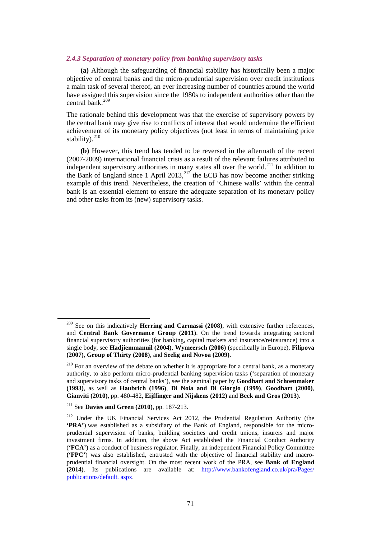#### *2.4.3 Separation of monetary policy from banking supervisory tasks*

**(a)** Although the safeguarding of financial stability has historically been a major objective of central banks and the micro-prudential supervision over credit institutions a main task of several thereof, an ever increasing number of countries around the world have assigned this supervision since the 1980s to independent authorities other than the central bank.[209](#page-70-0)

The rationale behind this development was that the exercise of supervisory powers by the central bank may give rise to conflicts of interest that would undermine the efficient achievement of its monetary policy objectives (not least in terms of maintaining price stability).<sup>[210](#page-70-1)</sup>

**(b)** However, this trend has tended to be reversed in the aftermath of the recent (2007-2009) international financial crisis as a result of the relevant failures attributed to independent supervisory authorities in many states all over the world.<sup>[211](#page-70-2)</sup> In addition to the Bank of England since 1 April 2013,<sup>[212](#page-70-3)</sup> the ECB has now become another striking example of this trend. Nevertheless, the creation of 'Chinese walls' within the central bank is an essential element to ensure the adequate separation of its monetary policy and other tasks from its (new) supervisory tasks.

<span id="page-70-0"></span><sup>&</sup>lt;sup>209</sup> See on this indicatively **Herring and Carmassi (2008)**, with extensive further references, and **Central Bank Governance Group (2011)**. On the trend towards integrating sectoral financial supervisory authorities (for banking, capital markets and insurance/reinsurance) into a single body, see **Hadjiemmanuil (2004)**, **Wymeersch (2006)** (specifically in Europe), **Filipova (2007)**, **Group of Thirty (2008)**, and **Seelig and Novoa (2009)**.

<span id="page-70-1"></span><sup>&</sup>lt;sup>210</sup> For an overview of the debate on whether it is appropriate for a central bank, as a monetary authority, to also perform micro-prudential banking supervision tasks ('separation of monetary and supervisory tasks of central banks'), see the seminal paper by **Goodhart and Schoenmaker (1993)**, as well as **Haubrich (1996)**, **Di Noia and Di Giorgio (1999)**, **Goodhart (2000)**, **Gianviti (2010)**, pp. 480-482, **Eijffinger and Nijskens (2012)** and **Beck and Gros (2013)**.

<span id="page-70-2"></span><sup>211</sup> See **Davies and Green (2010)**, pp. 187-213.

<span id="page-70-3"></span><sup>212</sup> Under the UK Financial Services Act 2012, the Prudential Regulation Authority (the **'PRA'**) was established as a subsidiary of the Bank of England, responsible for the microprudential supervision of banks, building societies and credit unions, insurers and major investment firms. In addition, the above Act established the Financial Conduct Authority (**'FCA'**) as a conduct of business regulator. Finally, an independent Financial Policy Committee **('FPC'**) was also established, entrusted with the objective of financial stability and macroprudential financial oversight. On the most recent work of the PRA, see **Bank of England (2014)**. Its publications are available at: <http://www.bankofengland.co.uk/pra/Pages/> publications/default. aspx.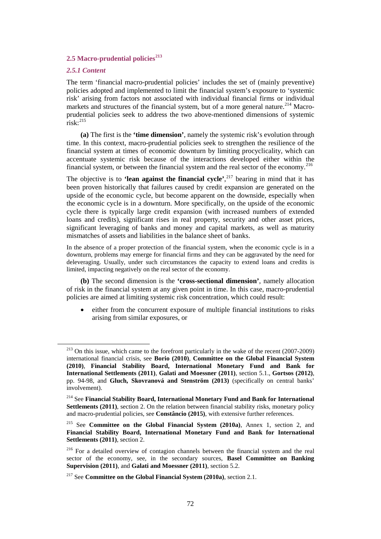### **2.5 Macro-prudential policies[213](#page-71-0)**

### *2.5.1 Content*

The term 'financial macro-prudential policies' includes the set of (mainly preventive) policies adopted and implemented to limit the financial system's exposure to 'systemic risk' arising from factors not associated with individual financial firms or individual markets and structures of the financial system, but of a more general nature.<sup>[214](#page-71-1)</sup> Macroprudential policies seek to address the two above-mentioned dimensions of systemic  $\text{risk}: \frac{215}{2}$  $\text{risk}: \frac{215}{2}$  $\text{risk}: \frac{215}{2}$ 

**(a)** The first is the **'time dimension'**, namely the systemic risk's evolution through time. In this context, macro-prudential policies seek to strengthen the resilience of the financial system at times of economic downturn by limiting procyclicality, which can accentuate systemic risk because of the interactions developed either within the financial system, or between the financial system and the real sector of the economy.<sup>[216](#page-71-3)</sup>

The objective is to **'lean against the financial cycle'**, [217](#page-71-4) bearing in mind that it has been proven historically that failures caused by credit expansion are generated on the upside of the economic cycle, but become apparent on the downside, especially when the economic cycle is in a downturn. More specifically, on the upside of the economic cycle there is typically large credit expansion (with increased numbers of extended loans and credits), significant rises in real property, security and other asset prices, significant leveraging of banks and money and capital markets, as well as maturity mismatches of assets and liabilities in the balance sheet of banks.

In the absence of a proper protection of the financial system, when the economic cycle is in a downturn, problems may emerge for financial firms and they can be aggravated by the need for deleveraging. Usually, under such circumstances the capacity to extend loans and credits is limited, impacting negatively on the real sector of the economy.

**(b)** The second dimension is the **'cross-sectional dimension'**, namely allocation of risk in the financial system at any given point in time. In this case, macro-prudential policies are aimed at limiting systemic risk concentration, which could result:

either from the concurrent exposure of multiple financial institutions to risks arising from similar exposures, or

<span id="page-71-0"></span> $213$  On this issue, which came to the forefront particularly in the wake of the recent (2007-2009) international financial crisis, see **Borio (2010)**, **Committee on the Global Financial System (2010)**, **Financial Stability Board, International Monetary Fund and Bank for International Settlements (2011)**, **Galati and Moessner (2011)**, section 5.1., **Gortsos (2012)**, pp. 94-98, and **Gluch, Skovranová and Stenström (2013)** (specifically on central banks' involvement).

<span id="page-71-1"></span><sup>214</sup> See **Financial Stability Board, International Monetary Fund and Bank for International Settlements (2011)**, section 2. On the relation between financial stability risks, monetary policy and macro-prudential policies, see **Constâncio (2015)**, with extensive further references.

<span id="page-71-2"></span><sup>215</sup> See **Committee on the Global Financial System (2010a)**, Annex 1, section 2, and **Financial Stability Board, International Monetary Fund and Bank for International Settlements (2011)**, section 2.

<span id="page-71-3"></span><sup>&</sup>lt;sup>216</sup> For a detailed overview of contagion channels between the financial system and the real sector of the economy, see, in the secondary sources, **Basel Committee on Banking Supervision (2011)**, and **Galati and Moessner (2011)**, section 5.2.

<span id="page-71-4"></span><sup>217</sup> See **Committee on the Global Financial System (2010a)**, section 2.1.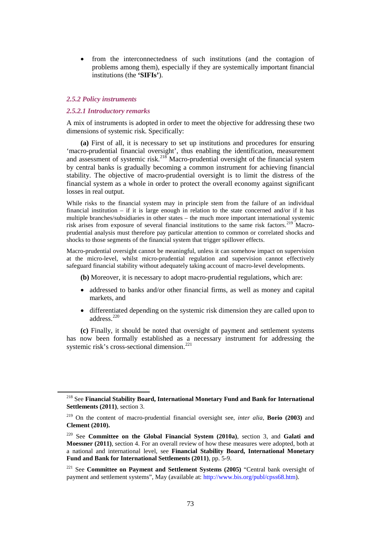• from the interconnectedness of such institutions (and the contagion of problems among them), especially if they are systemically important financial institutions (the **'SIFIs'**).

#### *2.5.2 Policy instruments*

### *2.5.2.1 Introductory remarks*

A mix of instruments is adopted in order to meet the objective for addressing these two dimensions of systemic risk. Specifically:

**(a)** First of all, it is necessary to set up institutions and procedures for ensuring 'macro-prudential financial oversight', thus enabling the identification, measurement and assessment of systemic risk.<sup>[218](#page-72-0)</sup> Macro-prudential oversight of the financial system by central banks is gradually becoming a common instrument for achieving financial stability. The objective of macro-prudential oversight is to limit the distress of the financial system as a whole in order to protect the overall economy against significant losses in real output.

While risks to the financial system may in principle stem from the failure of an individual financial institution – if it is large enough in relation to the state concerned and/or if it has multiple branches/subsidiaries in other states – the much more important international systemic risk arises from exposure of several financial institutions to the same risk factors.[219](#page-72-1) Macroprudential analysis must therefore pay particular attention to common or correlated shocks and shocks to those segments of the financial system that trigger spillover effects.

Macro-prudential oversight cannot be meaningful, unless it can somehow impact on supervision at the micro-level, whilst micro-prudential regulation and supervision cannot effectively safeguard financial stability without adequately taking account of macro-level developments.

**(b)** Moreover, it is necessary to adopt macro-prudential regulations, which are:

- addressed to banks and/or other financial firms, as well as money and capital markets, and
- differentiated depending on the systemic risk dimension they are called upon to address.[220](#page-72-2)

**(c)** Finally, it should be noted that oversight of payment and settlement systems has now been formally established as a necessary instrument for addressing the systemic risk's cross-sectional dimension. $^{221}$  $^{221}$  $^{221}$ 

<span id="page-72-0"></span><sup>218</sup> See **Financial Stability Board, International Monetary Fund and Bank for International Settlements (2011)**, section 3.

<span id="page-72-1"></span><sup>219</sup> On the content of macro-prudential financial oversight see, *inter alia*, **Borio (2003)** and **Clement (2010).**

<span id="page-72-2"></span><sup>220</sup> See **Committee on the Global Financial System (2010a)**, section 3, and **Galati and Moessner (2011)**, section 4. For an overall review of how these measures were adopted, both at a national and international level, see **Financial Stability Board, International Monetary Fund and Bank for International Settlements (2011)**, pp. 5-9.

<span id="page-72-3"></span><sup>221</sup> See **Committee on Payment and Settlement Systems (2005)** "Central bank oversight of payment and settlement systems", May (available at: http:/[/www.bis.](http://www.bis/)org/publ/cpss68.htm).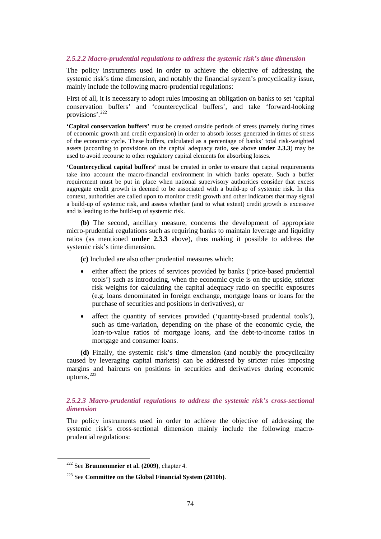#### *2.5.2.2 Macro-prudential regulations to address the systemic risk's time dimension*

The policy instruments used in order to achieve the objective of addressing the systemic risk's time dimension, and notably the financial system's procyclicality issue, mainly include the following macro-prudential regulations:

First of all, it is necessary to adopt rules imposing an obligation on banks to set 'capital conservation buffers' and 'countercyclical buffers', and take 'forward-looking provisions'.[222](#page-73-0)

**'Capital conservation buffers'** must be created outside periods of stress (namely during times of economic growth and credit expansion) in order to absorb losses generated in times of stress of the economic cycle. These buffers, calculated as a percentage of banks' total risk-weighted assets (according to provisions on the capital adequacy ratio, see above **under 2.3.3**) may be used to avoid recourse to other regulatory capital elements for absorbing losses.

**'Countercyclical capital buffers'** must be created in order to ensure that capital requirements take into account the macro-financial environment in which banks operate. Such a buffer requirement must be put in place when national supervisory authorities consider that excess aggregate credit growth is deemed to be associated with a build-up of systemic risk. In this context, authorities are called upon to monitor credit growth and other indicators that may signal a build-up of systemic risk, and assess whether (and to what extent) credit growth is excessive and is leading to the build-up of systemic risk.

**(b)** The second, ancillary measure, concerns the development of appropriate micro-prudential regulations such as requiring banks to maintain leverage and liquidity ratios (as mentioned **under 2.3.3** above), thus making it possible to address the systemic risk's time dimension.

**(c)** Included are also other prudential measures which:

- either affect the prices of services provided by banks ('price-based prudential tools') such as introducing, when the economic cycle is on the upside, stricter risk weights for calculating the capital adequacy ratio on specific exposures (e.g. loans denominated in foreign exchange, mortgage loans or loans for the purchase of securities and positions in derivatives), or
- affect the quantity of services provided ('quantity-based prudential tools'), such as time-variation, depending on the phase of the economic cycle, the loan-to-value ratios of mortgage loans, and the debt-to-income ratios in mortgage and consumer loans.

**(d)** Finally, the systemic risk's time dimension (and notably the procyclicality caused by leveraging capital markets) can be addressed by stricter rules imposing margins and haircuts on positions in securities and derivatives during economic upturns. $^{223}$  $^{223}$  $^{223}$ 

## *2.5.2.3 Macro-prudential regulations to address the systemic risk's cross-sectional dimension*

The policy instruments used in order to achieve the objective of addressing the systemic risk's cross-sectional dimension mainly include the following macroprudential regulations:

<span id="page-73-0"></span><sup>222</sup> See **Brunnenmeier et al. (2009)**, chapter 4.

<span id="page-73-1"></span><sup>223</sup> See **Committee on the Global Financial System (2010b)**.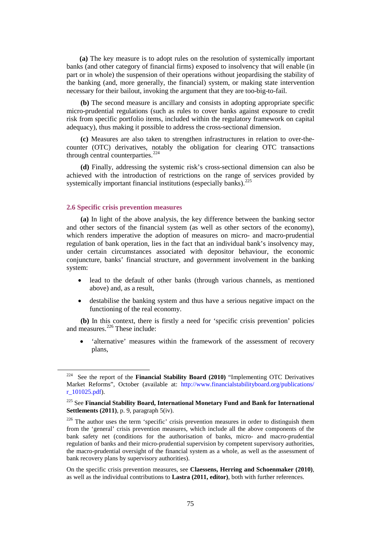**(a)** The key measure is to adopt rules on the resolution of systemically important banks (and other category of financial firms) exposed to insolvency that will enable (in part or in whole) the suspension of their operations without jeopardising the stability of the banking (and, more generally, the financial) system, or making state intervention necessary for their bailout, invoking the argument that they are too-big-to-fail.

**(b)** The second measure is ancillary and consists in adopting appropriate specific micro-prudential regulations (such as rules to cover banks against exposure to credit risk from specific portfolio items, included within the regulatory framework on capital adequacy), thus making it possible to address the cross-sectional dimension.

**(c)** Measures are also taken to strengthen infrastructures in relation to over-thecounter (OTC) derivatives, notably the obligation for clearing OTC transactions through central counterparties. $^{224}$  $^{224}$  $^{224}$ 

**(d)** Finally, addressing the systemic risk's cross-sectional dimension can also be achieved with the introduction of restrictions on the range of services provided by systemically important financial institutions (especially banks).<sup>[225](#page-74-1)</sup>

## **2.6 Specific crisis prevention measures**

**(a)** In light of the above analysis, the key difference between the banking sector and other sectors of the financial system (as well as other sectors of the economy), which renders imperative the adoption of measures on micro- and macro-prudential regulation of bank operation, lies in the fact that an individual bank's insolvency may, under certain circumstances associated with depositor behaviour, the economic conjuncture, banks' financial structure, and government involvement in the banking system:

- lead to the default of other banks (through various channels, as mentioned above) and, as a result,
- destabilise the banking system and thus have a serious negative impact on the functioning of the real economy.

**(b)** In this context, there is firstly a need for 'specific crisis prevention' policies and measures.<sup>[226](#page-74-2)</sup> These include:

• 'alternative' measures within the framework of the assessment of recovery plans,

<span id="page-74-0"></span>224 See the report of the **Financial Stability Board (2010)** "Implementing OTC Derivatives Market Reforms", October (available at: http://www.financialstabilityboard.org/publications/ [r\\_101025.pdf\)](http://www.financialstabilityboard.org/publications/%20r_101025.pdf).

<span id="page-74-1"></span><sup>225</sup> See **Financial Stability Board, International Monetary Fund and Bank for International Settlements (2011)**, p. 9, paragraph 5(iv).

<span id="page-74-2"></span> $226$  The author uses the term 'specific' crisis prevention measures in order to distinguish them from the 'general' crisis prevention measures, which include all the above components of the bank safety net (conditions for the authorisation of banks, micro- and macro-prudential regulation of banks and their micro-prudential supervision by competent supervisory authorities, the macro-prudential oversight of the financial system as a whole, as well as the assessment of bank recovery plans by supervisory authorities).

On the specific crisis prevention measures, see **Claessens, Herring and Schoenmaker (2010)**, as well as the individual contributions to **Lastra (2011, editor)**, both with further references.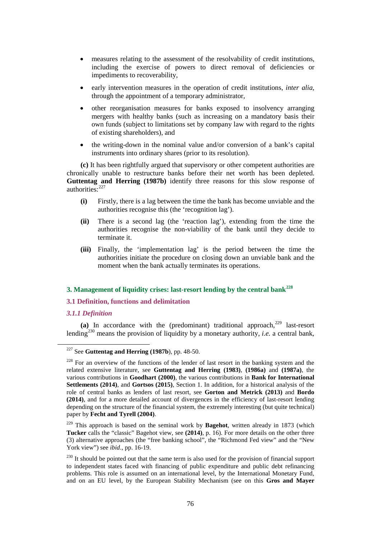- measures relating to the assessment of the resolvability of credit institutions, including the exercise of powers to direct removal of deficiencies or impediments to recoverability,
- early intervention measures in the operation of credit institutions, *inter alia*, through the appointment of a temporary administrator,
- other reorganisation measures for banks exposed to insolvency arranging mergers with healthy banks (such as increasing on a mandatory basis their own funds (subject to limitations set by company law with regard to the rights of existing shareholders), and
- the writing-down in the nominal value and/or conversion of a bank's capital instruments into ordinary shares (prior to its resolution).

**(c)** It has been rightfully argued that supervisory or other competent authorities are chronically unable to restructure banks before their net worth has been depleted. **Guttentag and Herring (1987b)** identify three reasons for this slow response of authorities:<sup>[227](#page-75-0)</sup>

- **(i)** Firstly, there is a lag between the time the bank has become unviable and the authorities recognise this (the 'recognition lag').
- **(ii)** There is a second lag (the 'reaction lag'), extending from the time the authorities recognise the non-viability of the bank until they decide to terminate it.
- **(iii)** Finally, the 'implementation lag' is the period between the time the authorities initiate the procedure on closing down an unviable bank and the moment when the bank actually terminates its operations.

## **3. Management of liquidity crises: last-resort lending by the central bank[228](#page-75-1)**

#### **3.1 Definition, functions and delimitation**

#### *3.1.1 Definition*

(a) In accordance with the (predominant) traditional approach, $229$  last-resort lending<sup>[230](#page-75-3)</sup> means the provision of liquidity by a monetary authority, *i.e.* a central bank,

<span id="page-75-0"></span><sup>227</sup> See **Guttentag and Herring (1987b**), pp. 48-50.

<span id="page-75-1"></span><sup>&</sup>lt;sup>228</sup> For an overview of the functions of the lender of last resort in the banking system and the related extensive literature, see **Guttentag and Herring (1983)**, **(1986a)** and **(1987a)**, the various contributions in **Goodhart (2000)**, the various contributions in **Bank for International Settlements (2014)**, and **Gortsos (2015)**, Section 1. In addition, for a historical analysis of the role of central banks as lenders of last resort, see **Gorton and Metrick (2013)** and **Bordo (2014)**, and for a more detailed account of divergences in the efficiency of last-resort lending depending on the structure of the financial system, the extremely interesting (but quite technical) paper by **Fecht and Tyrell (2004)**.

<span id="page-75-2"></span><sup>229</sup> This approach is based on the seminal work by **Bagehot**, written already in 1873 (which **Tucker** calls the "classic" Bagehot view, see **(2014)**, p. 16). For more details on the other three (3) alternative approaches (the "free banking school", the "Richmond Fed view" and the "New York view") see *ibid*., pp. 16-19.

<span id="page-75-3"></span> $230$  It should be pointed out that the same term is also used for the provision of financial support to independent states faced with financing of public expenditure and public debt refinancing problems. This role is assumed on an international level, by the International Monetary Fund, and on an EU level, by the European Stability Mechanism (see on this **Gros and Mayer**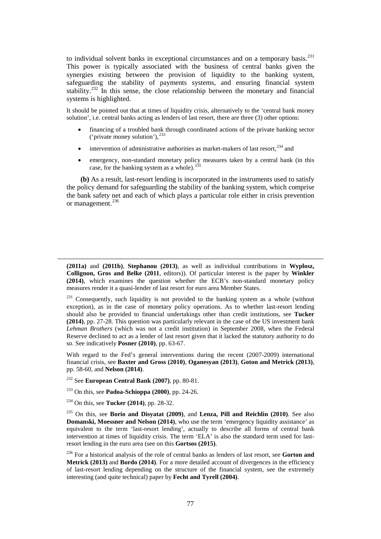to individual solvent banks in exceptional circumstances and on a temporary basis.<sup>[231](#page-76-0)</sup> This power is typically associated with the business of central banks given the synergies existing between the provision of liquidity to the banking system, safeguarding the stability of payments systems, and ensuring financial system stability.<sup>[232](#page-76-1)</sup> In this sense, the close relationship between the monetary and financial systems is highlighted.

It should be pointed out that at times of liquidity crisis, alternatively to the 'central bank money solution', i.e. central banks acting as lenders of last resort, there are three (3) other options:

- financing of a troubled bank through coordinated actions of the private banking sector ('private money solution'),  $^{233}$  $^{233}$  $^{233}$
- $\bullet$  intervention of administrative authorities as market-makers of last resort,  $^{234}$  $^{234}$  $^{234}$  and
- emergency, non-standard monetary policy measures taken by a central bank (in this case, for the banking system as a whole).

**(b)** As a result, last-resort lending is incorporated in the instruments used to satisfy the policy demand for safeguarding the stability of the banking system, which comprise the bank safety net and each of which plays a particular role either in crisis prevention or management.<sup>[236](#page-76-5)</sup>

With regard to the Fed's general interventions during the recent (2007-2009) international financial crisis, see **Baxter and Gross (2010)**, **Oganesyan (2013)**, **Goton and Metrick (2013)**, pp. 58-60, and **Nelson (2014)**.

<span id="page-76-1"></span><sup>232</sup> See **European Central Bank (2007)**, pp. 80-81.

<span id="page-76-2"></span><sup>233</sup> On this, see **Padoa-Schioppa (2000)**, pp. 24-26.

<span id="page-76-3"></span><sup>234</sup> On this, see **Tucker (2014)**, pp. 28-32.

 $\overline{a}$ 

<span id="page-76-4"></span><sup>235</sup> On this, see **Borio and Disyatat (2009)**, and **Lenza, Pill and Reichlin (2010)**. See also **Domanski, Moessner and Nelson (2014)**, who use the term 'emergency liquidity assistance' as equivalent to the term 'last-resort lending', actually to describe all forms of central bank intervention at times of liquidity crisis. The term 'ELA' is also the standard term used for lastresort lending in the euro area (see on this **Gortsos (2015)**.

<span id="page-76-5"></span><sup>236</sup> For a historical analysis of the role of central banks as lenders of last resort, see **Gorton and Metrick (2013)** and **Bordo (2014)**. For a more detailed account of divergences in the efficiency of last-resort lending depending on the structure of the financial system, see the extremely interesting (and quite technical) paper by **Fecht and Tyrell (2004)**.

**<sup>(2011</sup>a)** and **(2011b)**, **Stephanou (2013)**, as well as individual contributions in **Wyplosz, Collignon, Gros and Belke (2011**, editors)). Of particular interest is the paper by **Winkler (2014)**, which examines the question whether the ECB's non-standard monetary policy measures render it a quasi-lender of last resort for euro area Member States.

<span id="page-76-0"></span><sup>&</sup>lt;sup>231</sup> Consequently, such liquidity is not provided to the banking system as a whole (without exception), as in the case of monetary policy operations. As to whether last-resort lending should also be provided to financial undertakings other than credit institutions, see **Tucker (2014)**, pp. 27-28. This question was particularly relevant in the case of the US investment bank *Lehman Brothers* (which was not a credit institution) in September 2008, when the Federal Reserve declined to act as a lender of last resort given that it lacked the statutory authority to do so. See indicatively **Posner (2010)**, pp. 63-67.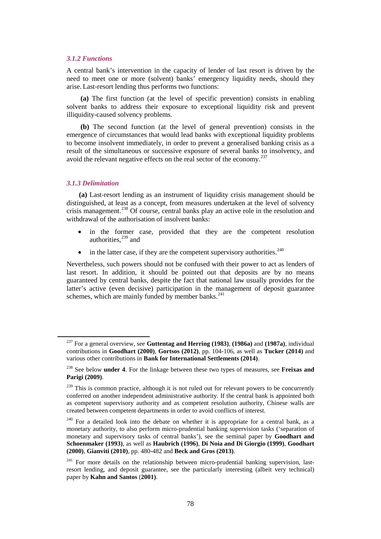#### *3.1.2 Functions*

A central bank's intervention in the capacity of lender of last resort is driven by the need to meet one or more (solvent) banks' emergency liquidity needs, should they arise. Last-resort lending thus performs two functions:

**(a)** The first function (at the level of specific prevention) consists in enabling solvent banks to address their exposure to exceptional liquidity risk and prevent illiquidity-caused solvency problems.

**(b)** The second function (at the level of general prevention) consists in the emergence of circumstances that would lead banks with exceptional liquidity problems to become insolvent immediately, in order to prevent a generalised banking crisis as a result of the simultaneous or successive exposure of several banks to insolvency, and avoid the relevant negative effects on the real sector of the economy.[237](#page-77-0)

#### *3.1.3 Delimitation*

 **(a)** Last-resort lending as an instrument of liquidity crisis management should be distinguished, at least as a concept, from measures undertaken at the level of solvency crisis management.[238](#page-77-1) Of course, central banks play an active role in the resolution and withdrawal of the authorisation of insolvent banks:

- in the former case, provided that they are the competent resolution authorities, $239$  and
- in the latter case, if they are the competent supervisory authorities.  $240$

Nevertheless, such powers should not be confused with their power to act as lenders of last resort. In addition, it should be pointed out that deposits are by no means guaranteed by central banks, despite the fact that national law usually provides for the latter's active (even decisive) participation in the management of deposit guarantee schemes, which are mainly funded by member banks.<sup>[241](#page-77-4)</sup>

<span id="page-77-0"></span><sup>237</sup> For a general overview, see **Guttentag and Herring (1983)**, **(1986a)** and **(1987a)**, individual contributions in **Goodhart (2000)**, **Gortsos (2012)**, pp. 104-106, as well as **Tucker (2014)** and various other contributions in **Bank for International Settlements (2014)**.

<span id="page-77-1"></span><sup>238</sup> See below **under 4**. For the linkage between these two types of measures, see **Freixas and Parigi (2009)**.

<span id="page-77-2"></span><sup>&</sup>lt;sup>239</sup> This is common practice, although it is not ruled out for relevant powers to be concurrently conferred on another independent administrative authority. If the central bank is appointed both as competent supervisory authority and as competent resolution authority, Chinese walls are created between competent departments in order to avoid conflicts of interest.

<span id="page-77-3"></span> $240$  For a detailed look into the debate on whether it is appropriate for a central bank, as a monetary authority, to also perform micro-prudential banking supervision tasks ('separation of monetary and supervisory tasks of central banks'), see the seminal paper by **Goodhart and Schoenmaker (1993)**, as well as **Haubrich (1996)**, **Di Noia and Di Giorgio (1999)**, **Goodhart (2000)**, **Gianviti (2010)**, pp. 480-482 and **Beck and Gros (2013)**.

<span id="page-77-4"></span> $241$  For more details on the relationship between micro-prudential banking supervision, lastresort lending, and deposit guarantee, see the particularly interesting (albeit very technical) paper by **Kahn and Santos** (**2001)**.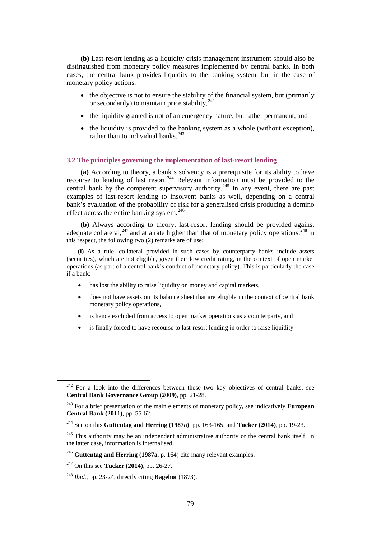**(b)** Last-resort lending as a liquidity crisis management instrument should also be distinguished from monetary policy measures implemented by central banks. In both cases, the central bank provides liquidity to the banking system, but in the case of monetary policy actions:

- the objective is not to ensure the stability of the financial system, but (primarily or secondarily) to maintain price stability,  $242$
- the liquidity granted is not of an emergency nature, but rather permanent, and
- the liquidity is provided to the banking system as a whole (without exception), rather than to individual banks. $^{243}$  $^{243}$  $^{243}$

## **3.2 The principles governing the implementation of last-resort lending**

**(a)** According to theory, a bank's solvency is a prerequisite for its ability to have recourse to lending of last resort.<sup>[244](#page-78-2)</sup> Relevant information must be provided to the central bank by the competent supervisory authority.<sup>[245](#page-78-3)</sup> In any event, there are past examples of last-resort lending to insolvent banks as well, depending on a central bank's evaluation of the probability of risk for a generalised crisis producing a domino effect across the entire banking system.<sup>[246](#page-78-4)</sup>

**(b)** Always according to theory, last-resort lending should be provided against adequate collateral,  $247$  and at a rate higher than that of monetary policy operations.  $248$  In this respect, the following two (2) remarks are of use:

 **(i)** As a rule, collateral provided in such cases by counterparty banks include assets (securities), which are not eligible, given their low credit rating, in the context of open market operations (as part of a central bank's conduct of monetary policy). This is particularly the case if a bank:

- has lost the ability to raise liquidity on money and capital markets,
- does not have assets on its balance sheet that are eligible in the context of central bank monetary policy operations,
- is hence excluded from access to open market operations as a counterparty, and
- is finally forced to have recourse to last-resort lending in order to raise liquidity.

<span id="page-78-0"></span> $242$  For a look into the differences between these two key objectives of central banks, see **Central Bank Governance Group (2009)**, pp. 21-28.

<span id="page-78-1"></span><sup>243</sup> For a brief presentation of the main elements of monetary policy, see indicatively **European Central Bank (2011)**, pp. 55-62.

<span id="page-78-2"></span><sup>244</sup> See on this **Guttentag and Herring (1987a)**, pp. 163-165, and **Tucker (2014)**, pp. 19-23.

<span id="page-78-3"></span> $^{245}$  This authority may be an independent administrative authority or the central bank itself. In the latter case, information is internalised.

<span id="page-78-4"></span><sup>246</sup> **Guttentag and Herring (1987a**, p. 164) cite many relevant examples.

<span id="page-78-5"></span><sup>247</sup> On this see **Tucker (2014)**, pp. 26-27.

<span id="page-78-6"></span><sup>248</sup> *Ibid.*, pp. 23-24, directly citing **Bagehot** (1873).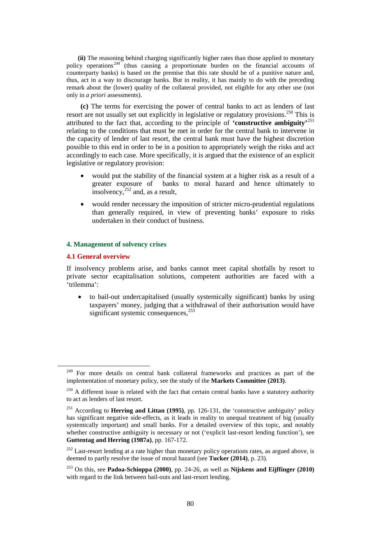**(ii)** The reasoning behind charging significantly higher rates than those applied to monetary policy operations<sup>[249](#page-79-0)</sup> (thus causing a proportionate burden on the financial accounts of counterparty banks) is based on the premise that this rate should be of a punitive nature and, thus, act in a way to discourage banks. But in reality, it has mainly to do with the preceding remark about the (lower) quality of the collateral provided, not eligible for any other use (not only in *a priori* assessments).

**(c)** The terms for exercising the power of central banks to act as lenders of last resort are not usually set out explicitly in legislative or regulatory provisions.<sup>[250](#page-79-1)</sup> This is attributed to the fact that, according to the principle of **'constructive ambiguity'**[251](#page-79-2) relating to the conditions that must be met in order for the central bank to intervene in the capacity of lender of last resort, the central bank must have the highest discretion possible to this end in order to be in a position to appropriately weigh the risks and act accordingly to each case. More specifically, it is argued that the existence of an explicit legislative or regulatory provision:

- would put the stability of the financial system at a higher risk as a result of a greater exposure of banks to moral hazard and hence ultimately to insolvency, $252$  and, as a result.
- would render necessary the imposition of stricter micro-prudential regulations than generally required, in view of preventing banks' exposure to risks undertaken in their conduct of business.

#### **4. Management of solvency crises**

#### **4.1 General overview**

If insolvency problems arise, and banks cannot meet capital shotfalls by resort to private sector ecapitalisation solutions, competent authorities are faced with a 'trilemma':

• to bail-out undercapitalised (usually systemically significant) banks by using taxpayers' money, judging that a withdrawal of their authorisation would have significant systemic consequences.<sup>[253](#page-79-4)</sup>

<span id="page-79-0"></span><sup>&</sup>lt;sup>249</sup> For more details on central bank collateral frameworks and practices as part of the implementation of monetary policy, see the study of the **Markets Committee (2013)**.

<span id="page-79-1"></span> $250$  A different issue is related with the fact that certain central banks have a statutory authority to act as lenders of last resort.

<span id="page-79-2"></span><sup>251</sup> According to **Herring and Littan (1995)**, pp. 126-131, the 'constructive ambiguity' policy has significant negative side-effects, as it leads in reality to unequal treatment of big (usually systemically important) and small banks. For a detailed overview of this topic, and notably whether constructive ambiguity is necessary or not ('explicit last-resort lending function'), see **Guttentag and Herring (1987a)**, pp. 167-172.

<span id="page-79-3"></span><sup>&</sup>lt;sup>252</sup> Last-resort lending at a rate higher than monetary policy operations rates, as argued above, is deemed to partly resolve the issue of moral hazard (see **Tucker (2014)**, p. 23).

<span id="page-79-4"></span><sup>253</sup> On this, see **Padoa-Schioppa (2000)**, pp. 24-26, as well as **Nijskens and Eijffinger (2010)** with regard to the link between bail-outs and last-resort lending.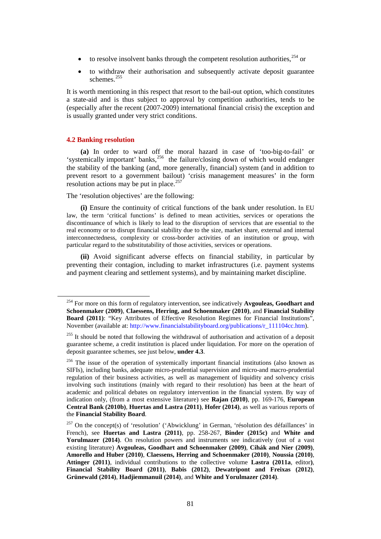- to resolve insolvent banks through the competent resolution authorities, <sup>[254](#page-80-0)</sup> or
- to withdraw their authorisation and subsequently activate deposit guarantee schemes.<sup>[255](#page-80-1)</sup>

It is worth mentioning in this respect that resort to the bail-out option, which constitutes a state-aid and is thus subject to approval by competition authorities, tends to be (especially after the recent (2007-2009) international financial crisis) the exception and is usually granted under very strict conditions.

#### **4.2 Banking resolution**

**(a)** In order to ward off the moral hazard in case of 'too-big-to-fail' or 'systemically important' banks,  $256$  the failure/closing down of which would endanger the stability of the banking (and, more generally, financial) system (and in addition to prevent resort to a government bailout) 'crisis management measures' in the form resolution actions may be put in place.<sup>[257](#page-80-3)</sup>

The 'resolution objectives' are the following:

**(i)** Ensure the continuity of critical functions of the bank under resolution. In EU law, the term 'critical functions' is defined to mean activities, services or operations the discontinuance of which is likely to lead to the disruption of services that are essential to the real economy or to disrupt financial stability due to the size, market share, external and internal interconnectedness, complexity or cross-border activities of an institution or group, with particular regard to the substitutability of those activities, services or operations.

**(ii)** Avoid significant adverse effects on financial stability, in particular by preventing their contagion, including to market infrastructures (i.e. payment systems and payment clearing and settlement systems), and by maintaining market discipline.

<span id="page-80-0"></span><sup>&</sup>lt;sup>254</sup> For more on this form of regulatory intervention, see indicatively **Avgouleas, Goodhart and Schoenmaker (2009)**, **Claessens, Herring, and Schoenmaker (2010)**, and **Financial Stability Board (2011)**: "Key Attributes of Effective Resolution Regimes for Financial Institutions", November (available at: http://www.financialstabilityboard.org/publications/r\_111104cc.htm).

<span id="page-80-1"></span><sup>&</sup>lt;sup>255</sup> It should be noted that following the withdrawal of authorisation and activation of a deposit guarantee scheme, a credit institution is placed under liquidation. For more on the operation of deposit guarantee schemes, see just below, **under 4.3**.

<span id="page-80-2"></span><sup>&</sup>lt;sup>256</sup> The issue of the operation of systemically important financial institutions (also known as SIFIs), including banks, adequate micro-prudential supervision and micro-and macro-prudential regulation of their business activities, as well as management of liquidity and solvency crisis involving such institutions (mainly with regard to their resolution) has been at the heart of academic and political debates on regulatory intervention in the financial system. By way of indication only, (from a most extensive literature) see **Rajan (2010)**, pp. 169-176, **European Central Bank (2010b)**, **Huertas and Lastra (2011)**, **Hofer (2014)**, as well as various reports of the **Financial Stability Board**.

<span id="page-80-3"></span><sup>&</sup>lt;sup>257</sup> On the concept(s) of 'resolution' ('Abwicklung' in German, 'résolution des défaillances' in French), see **Huertas and Lastra (2011)**, pp. 258-267, **Binder (2015c)** and **White and Yorulmazer (2014)**. On resolution powers and instruments see indicatively (out of a vast existing literature) **Avgouleas, Goodhart and Schoenmaker (2009)**, **Cihák and Nier (2009)**, **Amorello and Huber (2010)**, **Claessens, Herring and Schoenmaker (2010)**, **Noussia (2010)**, **Attinger (2011)**, individual contributions to the collective volume **Lastra (2011a**, editor**)**, **Financial Stability Board (2011)**, **Babis (2012)**, **Dewatripont and Freixas (2012)**, **Grünewald (2014)**, **Hadjiemmanuil (2014)**, and **White and Yorulmazer (2014)**.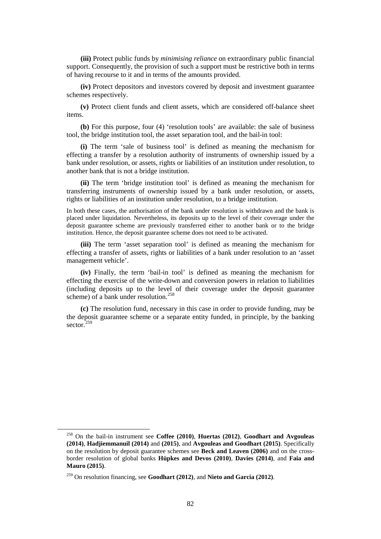**(iii)** Protect public funds by *minimising reliance* on extraordinary public financial support. Consequently, the provision of such a support must be restrictive both in terms of having recourse to it and in terms of the amounts provided.

**(iv)** Protect depositors and investors covered by deposit and investment guarantee schemes respectively.

**(v)** Protect client funds and client assets, which are considered off-balance sheet items.

**(b)** For this purpose, four (4) 'resolution tools' are available: the sale of business tool, the bridge institution tool, the asset separation tool, and the bail-in tool:

**(i)** The term 'sale of business tool' is defined as meaning the mechanism for effecting a transfer by a resolution authority of instruments of ownership issued by a bank under resolution, or assets, rights or liabilities of an institution under resolution, to another bank that is not a bridge institution.

**(ii)** The term 'bridge institution tool' is defined as meaning the mechanism for transferring instruments of ownership issued by a bank under resolution, or assets, rights or liabilities of an institution under resolution, to a bridge institution.

In both these cases, the authorisation of the bank under resolution is withdrawn and the bank is placed under liquidation. Nevertheless, its deposits up to the level of their coverage under the deposit guarantee scheme are previously transferred either to another bank or to the bridge institution. Hence, the deposit guarantee scheme does not need to be activated.

**(iii)** The term 'asset separation tool' is defined as meaning the mechanism for effecting a transfer of assets, rights or liabilities of a bank under resolution to an 'asset management vehicle'.

**(iv)** Finally, the term 'bail-in tool' is defined as meaning the mechanism for effecting the exercise of the write-down and conversion powers in relation to liabilities (including deposits up to the level of their coverage under the deposit guarantee scheme) of a bank under resolution.<sup>[258](#page-81-0)</sup>

**(c)** The resolution fund, necessary in this case in order to provide funding, may be the deposit guarantee scheme or a separate entity funded, in principle, by the banking sector.<sup>[259](#page-81-1)</sup>

<span id="page-81-0"></span><sup>258</sup> On the bail-in instrument see **Coffee (2010)**, **Huertas (2012)**, **Goodhart and Avgouleas (2014)**, **Hadjiemmanuil (2014)** and **(2015)**, and **Avgouleas and Goodhart (2015)**. Specifically on the resolution by deposit guarantee schemes see **Beck and Leaven (2006)** and on the crossborder resolution of global banks **Hüpkes and Devos (2010)**, **Davies (2014)**, and **Faia and Mauro (2015)**.

<span id="page-81-1"></span><sup>259</sup> On resolution financing, see **Goodhart (2012)**, and **Nieto and Garcia (2012)**.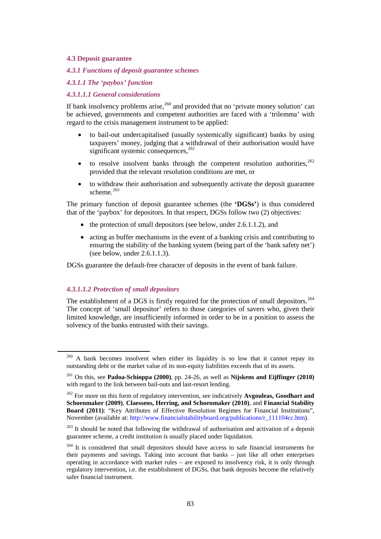### **4.3 Deposit guarantee**

## *4.3.1 Functions of deposit guarantee schemes*

## *4.3.1.1 The 'paybox' function*

# *4.3.1.1.1 General considerations*

If bank insolvency problems arise,  $260$  and provided that no 'private money solution' can be achieved, governments and competent authorities are faced with a 'trilemma' with regard to the crisis management instrument to be applied:

- to bail-out undercapitalised (usually systemically significant) banks by using taxpayers' money, judging that a withdrawal of their authorisation would have significant systemic consequences.<sup>[261](#page-82-1)</sup>
- to resolve insolvent banks through the competent resolution authorities,  $262$ provided that the relevant resolution conditions are met, or
- to withdraw their authorisation and subsequently activate the deposit guarantee scheme.<sup>[263](#page-82-3)</sup>

The primary function of deposit guarantee schemes (the **'DGSs'**) is thus considered that of the 'paybox' for depositors. In that respect, DGSs follow two (2) objectives:

- the protection of small depositors (see below, under  $2.6.1.1.2$ ), and
- acting as buffer mechanisms in the event of a banking crisis and contributing to ensuring the stability of the banking system (being part of the 'bank safety net') (see below, under 2.6.1.1.3).

DGSs guarantee the default-free character of deposits in the event of bank failure.

## *4.3.1.1.2 Protection of small depositors*

The establishment of a DGS is firstly required for the protection of small depositors.<sup>[264](#page-82-4)</sup> The concept of 'small depositor' refers to those categories of savers who, given their limited knowledge, are insufficiently informed in order to be in a position to assess the solvency of the banks entrusted with their savings.

<span id="page-82-0"></span> $260$  A bank becomes insolvent when either its liquidity is so low that it cannot repay its outstanding debt or the market value of its non-equity liabilities exceeds that of its assets.

<span id="page-82-1"></span><sup>261</sup> On this, see **Padoa-Schioppa (2000)**, pp. 24-26, as well as **Nijskens and Eijffinger (2010)** with regard to the link between bail-outs and last-resort lending.

<span id="page-82-2"></span><sup>&</sup>lt;sup>262</sup> For more on this form of regulatory intervention, see indicatively **Avgouleas, Goodhart and Schoenmaker (2009)**, **Claessens, Herring, and Schoenmaker (2010)**, and **Financial Stability Board (2011)**: "Key Attributes of Effective Resolution Regimes for Financial Institutions", November (available at: http://www.financialstabilityboard.org/publications/r\_111104cc.htm).

<span id="page-82-3"></span> $263$  It should be noted that following the withdrawal of authorisation and activation of a deposit guarantee scheme, a credit institution is usually placed under liquidation.

<span id="page-82-4"></span> $264$  It is considered that small depositors should have access to safe financial instruments for their payments and savings. Taking into account that banks – just like all other enterprises operating in accordance with market rules – are exposed to insolvency risk, it is only through regulatory intervention, i.e. the establishment of DGSs, that bank deposits become the relatively safer financial instrument.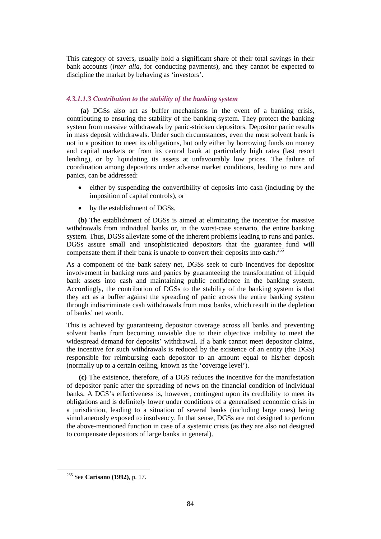This category of savers, usually hold a significant share of their total savings in their bank accounts (*inter alia*, for conducting payments), and they cannot be expected to discipline the market by behaving as 'investors'.

## *4.3.1.1.3 Contribution to the stability of the banking system*

**(a)** DGSs also act as buffer mechanisms in the event of a banking crisis, contributing to ensuring the stability of the banking system. They protect the banking system from massive withdrawals by panic-stricken depositors. Depositor panic results in mass deposit withdrawals. Under such circumstances, even the most solvent bank is not in a position to meet its obligations, but only either by borrowing funds on money and capital markets or from its central bank at particularly high rates (last resort lending), or by liquidating its assets at unfavourably low prices. The failure of coordination among depositors under adverse market conditions, leading to runs and panics, can be addressed:

- either by suspending the convertibility of deposits into cash (including by the imposition of capital controls), or
- by the establishment of DGSs.

**(b)** The establishment of DGSs is aimed at eliminating the incentive for massive withdrawals from individual banks or, in the worst-case scenario, the entire banking system. Thus, DGSs alleviate some of the inherent problems leading to runs and panics. DGSs assure small and unsophisticated depositors that the guarantee fund will compensate them if their bank is unable to convert their deposits into cash.<sup>[265](#page-83-0)</sup>

As a component of the bank safety net, DGSs seek to curb incentives for depositor involvement in banking runs and panics by guaranteeing the transformation of illiquid bank assets into cash and maintaining public confidence in the banking system. Accordingly, the contribution of DGSs to the stability of the banking system is that they act as a buffer against the spreading of panic across the entire banking system through indiscriminate cash withdrawals from most banks, which result in the depletion of banks' net worth.

This is achieved by guaranteeing depositor coverage across all banks and preventing solvent banks from becoming unviable due to their objective inability to meet the widespread demand for deposits' withdrawal. If a bank cannot meet depositor claims, the incentive for such withdrawals is reduced by the existence of an entity (the DGS) responsible for reimbursing each depositor to an amount equal to his/her deposit (normally up to a certain ceiling, known as the 'coverage level').

 **(c)** The existence, therefore, of a DGS reduces the incentive for the manifestation of depositor panic after the spreading of news on the financial condition of individual banks. A DGS's effectiveness is, however, contingent upon its credibility to meet its obligations and is definitely lower under conditions of a generalised economic crisis in a jurisdiction, leading to a situation of several banks (including large ones) being simultaneously exposed to insolvency. In that sense, DGSs are not designed to perform the above-mentioned function in case of a systemic crisis (as they are also not designed to compensate depositors of large banks in general).

<span id="page-83-0"></span><sup>265</sup> See **Carisano (1992)**, p. 17.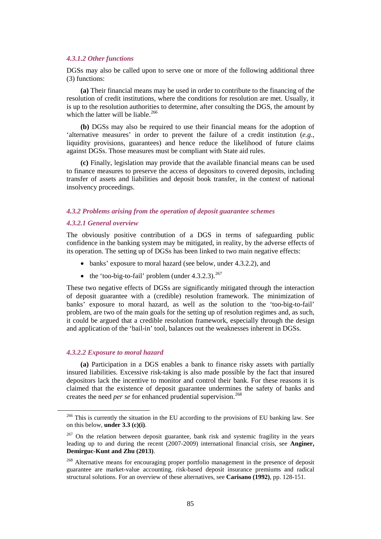#### *4.3.1.2 Other functions*

DGSs may also be called upon to serve one or more of the following additional three (3) functions:

**(a)** Their financial means may be used in order to contribute to the financing of the resolution of credit institutions, where the conditions for resolution are met. Usually, it is up to the resolution authorities to determine, after consulting the DGS, the amount by which the latter will be liable.<sup>[266](#page-84-0)</sup>

**(b)** DGSs may also be required to use their financial means for the adoption of 'alternative measures' in order to prevent the failure of a credit institution (*e.g*., liquidity provisions, guarantees) and hence reduce the likelihood of future claims against DGSs. Those measures must be compliant with State aid rules.

**(c)** Finally, legislation may provide that the available financial means can be used to finance measures to preserve the access of depositors to covered deposits, including transfer of assets and liabilities and deposit book transfer, in the context of national insolvency proceedings.

### *4.3.2 Problems arising from the operation of deposit guarantee schemes*

## *4.3.2.1 General overview*

The obviously positive contribution of a DGS in terms of safeguarding public confidence in the banking system may be mitigated, in reality, by the adverse effects of its operation. The setting up of DGSs has been linked to two main negative effects:

- banks' exposure to moral hazard (see below, under 4.3.2.2), and
- the 'too-big-to-fail' problem (under  $4.3.2.3$ ).<sup>[267](#page-84-1)</sup>

These two negative effects of DGSs are significantly mitigated through the interaction of deposit guarantee with a (credible) resolution framework. The minimization of banks' exposure to moral hazard, as well as the solution to the 'too-big-to-fail' problem, are two of the main goals for the setting up of resolution regimes and, as such, it could be argued that a credible resolution framework, especially through the design and application of the 'bail-in' tool, balances out the weaknesses inherent in DGSs.

#### *4.3.2.2 Exposure to moral hazard*

**(a)** Participation in a DGS enables a bank to finance risky assets with partially insured liabilities. Excessive risk-taking is also made possible by the fact that insured depositors lack the incentive to monitor and control their bank. For these reasons it is claimed that the existence of deposit guarantee undermines the safety of banks and creates the need *per se* for enhanced prudential supervision.<sup>[268](#page-84-2)</sup>

<span id="page-84-0"></span><sup>&</sup>lt;sup>266</sup> This is currently the situation in the EU according to the provisions of EU banking law. See on this below, **under 3.3 (c)(i)**.

<span id="page-84-1"></span> $267$  On the relation between deposit guarantee, bank risk and systemic fragility in the years leading up to and during the recent (2007-2009) international financial crisis, see **Anginer, Demirguc-Kunt and Zhu (2013)**.

<span id="page-84-2"></span><sup>&</sup>lt;sup>268</sup> Alternative means for encouraging proper portfolio management in the presence of deposit guarantee are market-value accounting, risk-based deposit insurance premiums and radical structural solutions. For an overview of these alternatives, see **Carisano (1992)**, pp. 128-151.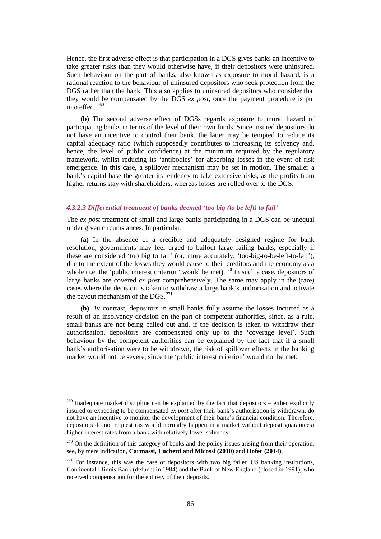Hence, the first adverse effect is that participation in a DGS gives banks an incentive to take greater risks than they would otherwise have, if their depositors were uninsured. Such behaviour on the part of banks, also known as exposure to moral hazard, is a rational reaction to the behaviour of uninsured depositors who seek protection from the DGS rather than the bank. This also applies to uninsured depositors who consider that they would be compensated by the DGS *ex post*, once the payment procedure is put into effect. $269$ 

**(b)** The second adverse effect of DGSs regards exposure to moral hazard of participating banks in terms of the level of their own funds. Since insured depositors do not have an incentive to control their bank, the latter may be tempted to reduce its capital adequacy ratio (which supposedly contributes to increasing its solvency and, hence, the level of public confidence) at the minimum required by the regulatory framework, whilst reducing its 'antibodies' for absorbing losses in the event of risk emergence. In this case, a spillover mechanism may be set in motion. The smaller a bank's capital base the greater its tendency to take extensive risks, as the profits from higher returns stay with shareholders, whereas losses are rolled over to the DGS.

# *4.3.2.3 Differential treatment of banks deemed 'too big (to be left) to fail'*

The *ex post* treatment of small and large banks participating in a DGS can be unequal under given circumstances. In particular:

**(a)** In the absence of a credible and adequately designed regime for bank resolution, governments may feel urged to bailout large failing banks, especially if these are considered 'too big to fail' (or, more accurately, 'too-big-to-be-left-to-fail'), due to the extent of the losses they would cause to their creditors and the economy as a whole (i.e. the 'public interest criterion' would be met).<sup>[270](#page-85-1)</sup> In such a case, depositors of large banks are covered *ex post* comprehensively. The same may apply in the (rare) cases where the decision is taken to withdraw a large bank's authorisation and activate the payout mechanism of the DGS. $^{271}$  $^{271}$  $^{271}$ 

**(b)** By contrast, depositors in small banks fully assume the losses incurred as a result of an insolvency decision on the part of competent authorities, since, as a rule, small banks are not being bailed out and, if the decision is taken to withdraw their authorisation, depositors are compensated only up to the 'coverage level'. Such behaviour by the competent authorities can be explained by the fact that if a small bank's authorisation were to be withdrawn, the risk of spillover effects in the banking market would not be severe, since the 'public interest criterion' would not be met.

<span id="page-85-0"></span><sup>&</sup>lt;sup>269</sup> Inadequate market discipline can be explained by the fact that depositors – either explicitly insured or expecting to be compensated *ex post* after their bank's authorisation is withdrawn, do not have an incentive to monitor the development of their bank's financial condition. Therefore, depositors do not request (as would normally happen in a market without deposit guarantees) higher interest rates from a bank with relatively lower solvency.

<span id="page-85-1"></span> $270$  On the definition of this category of banks and the policy issues arising from their operation, see, by mere indication, **Carmassi, Luchetti and Micossi (2010)** and **Hofer (2014)**.

<span id="page-85-2"></span> $271$  For instance, this was the case of depositors with two big failed US banking institutions, Continental Illinois Bank (defunct in 1984) and the Bank of New England (closed in 1991), who received compensation for the entirety of their deposits.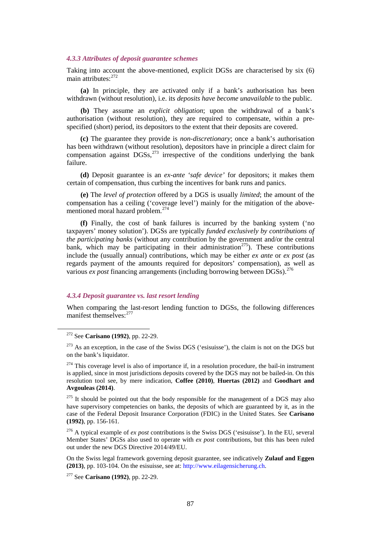#### *4.3.3 Attributes of deposit guarantee schemes*

Taking into account the above-mentioned, explicit DGSs are characterised by six (6) main attributes: $272$ 

**(a)** In principle, they are activated only if a bank's authorisation has been withdrawn (without resolution), i.e. its *deposits have become unavailable* to the public.

**(b)** They assume an *explicit obligation*; upon the withdrawal of a bank's authorisation (without resolution), they are required to compensate, within a prespecified (short) period, its depositors to the extent that their deposits are covered.

**(c)** The guarantee they provide is *non-discretionary*; once a bank's authorisation has been withdrawn (without resolution), depositors have in principle a direct claim for compensation against  $DGSs$ ,<sup>[273](#page-86-1)</sup> irrespective of the conditions underlying the bank failure.

**(d)** Deposit guarantee is an *ex-ante 'safe device'* for depositors; it makes them certain of compensation, thus curbing the incentives for bank runs and panics.

**(e)** The *level of protection* offered by a DGS is usually *limited*; the amount of the compensation has a ceiling ('coverage level') mainly for the mitigation of the abovementioned moral hazard problem.[274](#page-86-2)

**(f)** Finally, the cost of bank failures is incurred by the banking system ('no taxpayers' money solution'). DGSs are typically *funded exclusively by contributions of the participating banks* (without any contribution by the government and/or the central bank, which may be participating in their administration<sup>275</sup>). These contributions include the (usually annual) contributions, which may be either *ex ante* or *ex post* (as regards payment of the amounts required for depositors' compensation), as well as various *ex post* financing arrangements (including borrowing between DGSs).[276](#page-86-4)

### *4.3.4 Deposit guarantee vs. last resort lending*

When comparing the last-resort lending function to DGSs, the following differences manifest themselves:<sup>[277](#page-86-5)</sup>

<span id="page-86-0"></span><sup>272</sup> See **Carisano (1992)**, pp. 22-29.

<span id="page-86-1"></span> $273$  As an exception, in the case of the Swiss DGS ('esisuisse'), the claim is not on the DGS but on the bank's liquidator.

<span id="page-86-2"></span> $274$  This coverage level is also of importance if, in a resolution procedure, the bail-in instrument is applied, since in most jurisdictions deposits covered by the DGS may not be bailed-in. On this resolution tool see, by mere indication, **Coffee (2010)**, **Huertas (2012)** and **Goodhart and Avgouleas (2014)**.

<span id="page-86-3"></span> $275$  It should be pointed out that the body responsible for the management of a DGS may also have supervisory competencies on banks, the deposits of which are guaranteed by it, as in the case of the Federal Deposit Insurance Corporation (FDIC) in the United States. See **Carisano (1992)**, pp. 156-161.

<span id="page-86-4"></span><sup>276</sup> A typical example of *ex post* contributions is the Swiss DGS ('esisuisse'). In the EU, several Member States' DGSs also used to operate with *ex post* contributions, but this has been ruled out under the new DGS Directive 2014/49/EU.

On the Swiss legal framework governing deposit guarantee, see indicatively **Zulauf and Eggen (2013)**, pp. 103-104. On the esisuisse, see at: [http://www.eilagensicherung.ch.](http://www.eilagensicherung.ch/)

<span id="page-86-5"></span><sup>277</sup> See **Carisano (1992)**, pp. 22-29.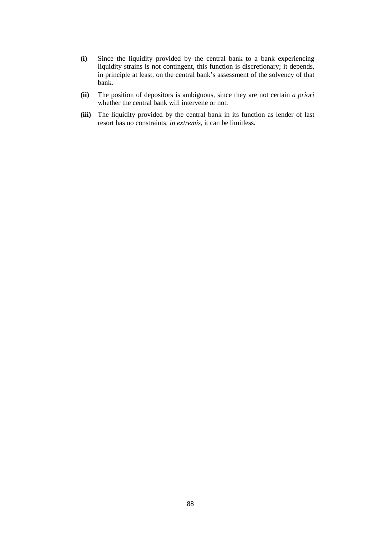- **(i)** Since the liquidity provided by the central bank to a bank experiencing liquidity strains is not contingent, this function is discretionary; it depends, in principle at least, on the central bank's assessment of the solvency of that bank.
- **(ii)** The position of depositors is ambiguous, since they are not certain *a priori* whether the central bank will intervene or not.
- **(iii)** The liquidity provided by the central bank in its function as lender of last resort has no constraints; *in extremis*, it can be limitless.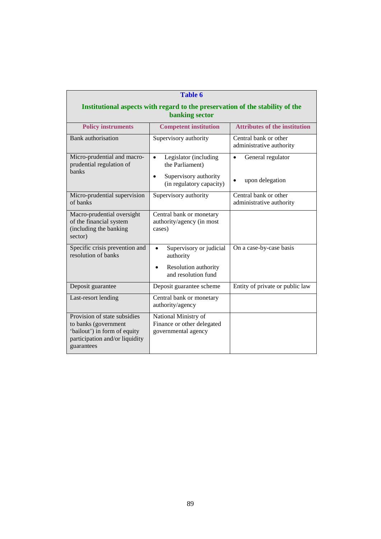| <b>Table 6</b>                                                                                                                       |                                                                                                       |                                                   |
|--------------------------------------------------------------------------------------------------------------------------------------|-------------------------------------------------------------------------------------------------------|---------------------------------------------------|
| Institutional aspects with regard to the preservation of the stability of the<br><b>banking</b> sector                               |                                                                                                       |                                                   |
| <b>Policy instruments</b>                                                                                                            | <b>Competent institution</b>                                                                          | <b>Attributes of the institution</b>              |
| Bank authorisation                                                                                                                   | Supervisory authority                                                                                 | Central bank or other<br>administrative authority |
| Micro-prudential and macro-<br>prudential regulation of<br>banks                                                                     | Legislator (including<br>$\bullet$<br>the Parliament)                                                 | General regulator<br>$\bullet$                    |
|                                                                                                                                      | Supervisory authority<br>$\bullet$<br>(in regulatory capacity)                                        | upon delegation                                   |
| Micro-prudential supervision<br>of banks                                                                                             | Supervisory authority                                                                                 | Central bank or other<br>administrative authority |
| Macro-prudential oversight<br>of the financial system<br>(including the banking<br>sector)                                           | Central bank or monetary<br>authority/agency (in most<br>cases)                                       |                                                   |
| Specific crisis prevention and<br>resolution of banks                                                                                | Supervisory or judicial<br>$\bullet$<br>authority<br>Resolution authority<br>٠<br>and resolution fund | On a case-by-case basis                           |
| Deposit guarantee                                                                                                                    | Deposit guarantee scheme                                                                              | Entity of private or public law                   |
| Last-resort lending                                                                                                                  | Central bank or monetary<br>authority/agency                                                          |                                                   |
| Provision of state subsidies<br>to banks (government<br>'bailout') in form of equity<br>participation and/or liquidity<br>guarantees | National Ministry of<br>Finance or other delegated<br>governmental agency                             |                                                   |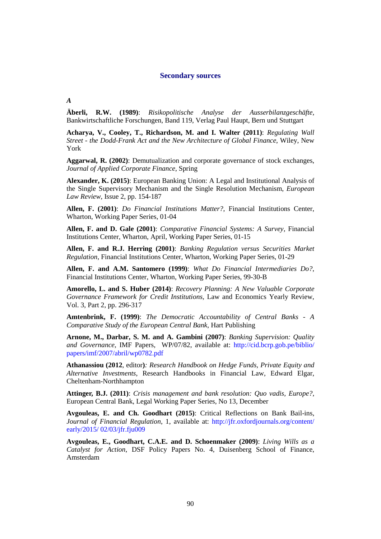## **Secondary sources**

*A*

**Äberli, R.W. (1989)**: *Risikopolitische Analyse der Ausserbilanzgeschäfte,*  Bankwirtschaftliche Forschungen, Band 119, Verlag Paul Haupt, Bern und Stuttgart

**Acharya, V., Cooley, T., Richardson, M. and I. Walter (2011)**: *Regulating Wall Street - the Dodd-Frank Act and the New Architecture of Global Finance*, Wiley, New York

**Aggarwal, R. (2002)**: Demutualization and corporate governance of stock exchanges, *Journal of Applied Corporate Finance*, Spring

**Alexander, K. (2015)**: European Banking Union: A Legal and Institutional Analysis of the Single Supervisory Mechanism and the Single Resolution Mechanism, *European Law Review*, Issue 2, pp. 154-187

**Allen, F. (2001)**: *Do Financial Institutions Matter?*, Financial Institutions Center, Wharton, Working Paper Series, 01-04

**Allen, F. and D. Gale (2001)**: *Comparative Financial Systems: A Survey,* Financial Institutions Center, Wharton, April, Working Paper Series, 01-15

**Allen, F. and R.J. Herring (2001)**: *Banking Regulation versus Securities Market Regulation*, Financial Institutions Center, Wharton, Working Paper Series, 01-29

**Allen, F. and A.M. Santomero (1999)**: *What Do Financial Intermediaries Do?*, Financial Institutions Center, Wharton, Working Paper Series, 99-30-B

**Amorello, L. and S. Huber (2014)**: *Recovery Planning: A New Valuable Corporate Governance Framework for Credit Institutions,* Law and Economics Yearly Review, Vol. 3, Part 2, pp. 296-317

**Amtenbrink, F. (1999)**: *The Democratic Accountability of Central Banks - A Comparative Study of the European Central Bank*, Hart Publishing

**Arnone, M., Darbar, S. M. and A. Gambini (2007)**: *Banking Supervision: Quality and Governance*, IMF Papers, WP/07/82, available at: http://cid.bcrp.gob.pe/biblio/ papers/imf/2007/abril/wp0782.pdf

**Athanassiou (2012**, editor**)***: Research Handbook on Hedge Funds, Private Equity and Alternative Investments*, Research Handbooks in Financial Law, Edward Elgar, Cheltenham-Northhampton

**[Attinger,](http://www.ecb.europa.eu/pub/research/authors/profiles/barbara-jeanne-attinger.en.html) B.J. (2011)**: *Crisis management and bank resolution: Quo vadis, Europe?*, European Central Bank, Legal Working Paper Series, No 13, December

**Avgouleas, E. and Ch. Goodhart (2015)**: Critical Reflections on Bank Bail-ins, *Journal of Financial Regulation*, 1, available at: [http://jfr.oxfordjournals.org/content/](http://jfr.oxfordjournals.org/content/early/2015/02/03/jfr.fju009)  [early/2015/ 02/03/jfr.fju009](http://jfr.oxfordjournals.org/content/early/2015/02/03/jfr.fju009)

**Avgouleas, E., Goodhart, C.A.E. and D. Schoenmaker (2009)**: *Living Wills as a Catalyst for Action*, DSF Policy Papers No. 4, Duisenberg School of Finance, Amsterdam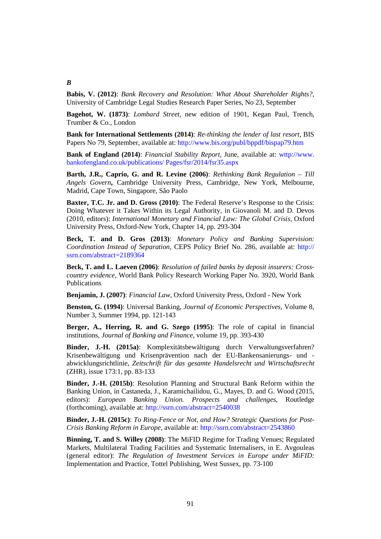## **Babis, V. (2012)**: *Bank Recovery and Resolution: What About Shareholder Rights?,* University of Cambridge Legal Studies Research Paper Series, No 23, September

**Bagehot, W. (1873)**: *Lombard Street,* new edition of 1901, Kegan Paul, Trench, Trumber & Co., London

**Bank for International Settlements (2014)**: *Re-thinking the lender of last resort*, BIS Papers No 79, September, available at: http://www.bis.org/publ/bppdf/bispap79.htm

**Bank of England (2014)**: *Financial Stability Report*, June, available at: wttp://www. bankofengland.co.uk/publications/ Pages/fsr/2014/fsr35.aspx

**Barth, J.R., Caprio, G. and R. Levine (2006)**: *Rethinking Bank Regulation – Till Angels Govern***,** Cambridge University Press, Cambridge, New York, Melbourne, Madrid, Cape Town, Singapore, São Paolo

**Baxter, T.C. Jr. and D. Gross (2010)**: The Federal Reserve's Response to the Crisis: Doing Whatever it Takes Within its Legal Authority, in Giovanoli M. and D. Devos (2010, editors): *International Monetary and Financial Law: The Global Crisis*, Oxford University Press, Oxford-New York, Chapter 14, pp. 293-304

**Beck, T. and D. Gros (2013)**: *Monetary Policy and Banking Supervision: Coordination Instead of Separation*, CEPS Policy Brief No. 286, available at: [http://](http://papers.ssrn.com/sol3/papers.cfm?abstract_id=2435847)  [ssrn.com/abstract=2189364](http://papers.ssrn.com/sol3/papers.cfm?abstract_id=2435847)

**Beck, T. and L. Laeven (2006)**: *Resolution of failed banks by deposit insurers: Crosscountry evidence*, World Bank Policy Research Working Paper No. 3920, World Bank Publications

**Benjamin, J. (2007)**: *Financial Law*, Oxford University Press, Oxford - New York

**Benston, G. (1994)**: Universal Banking, *Journal of Economic Perspectives*, Volume 8, Number 3, Summer 1994, pp. 121-143

**Berger, A., Herring, R. and G. Szego (1995)**: The role of capital in financial institutions, *Journal of Banking and Finance*, volume 19, pp. 393-430

**Binder, J.-H. (2015a)**: Komplexitätsbewältigung durch Verwaltungsverfahren? Krisenbewältigung und Krisenprävention nach der EU-Bankensanierungs- und abwicklungsrichtlinie, *Zeitschrift für das gesamte Handelsrecht und Wirtschaftsrecht* (ZHR), issue 173:1, pp. 83-133

**Binder, J.-H. (2015b)**: Resolution Planning and Structural Bank Reform within the Banking Union, in Castaneda, J., Karamichailidou, G., Mayes, D. and G. Wood (2015, editors): *European Banking Union. Prospects and challenges*, Routledge (forthcoming), available at:<http://ssrn.com/abstract=2540038>

**Binder, J.-H. (2015c)**: *To Ring-Fence or Not, and How? Strategic Questions for Post-Crisis Banking Reform in Europe*, available at: <http://ssrn.com/abstract=2543860>

**Binning, T. and S. Willey (2008)**: The MiFID Regime for Trading Venues; Regulated Markets, Multilateral Trading Facilities and Systematic Internalisers, in E. Avgouleas (general editor): *The Regulation of Investment Services in Europe under MiFID:* Implementation and Practice, Tottel Publishing, West Sussex, pp. 73-100

### *B*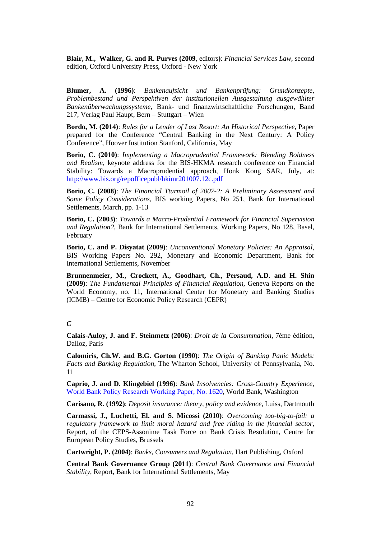**Blair, M., Walker, G. and R. Purves (2009**, editors**)**: *Financial Services Law*, second edition, Oxford University Press, Oxford - New York

**Blumer, A. (1996)**: *Bankenaufsicht und Bankenprüfung: Grundkonzepte, Problembestand und Perspektiven der institutionellen Ausgestaltung ausgewählter Bankenüberwachungssysteme*, Bank- und finanzwirtschaftliche Forschungen, Band 217, Verlag Paul Haupt, Bern – Stuttgart – Wien

**Bordo, M. (2014)**: *Rules for a Lender of Last Resort: An Historical Perspective,* Paper prepared for the Conference "Central Banking in the Next Century: A Policy Conference", Hoover Institution Stanford, California, May

**Borio, C. (2010)**: *Implementing a Macroprudential Framework: Blending Boldness and Realism*, keynote address for the BIS-HKMA research conference on Financial Stability: Towards a Macroprudential approach, Honk Kong SAR, July, at: <http://www.bis.org/repofficepubl/hkimr201007.12c.pdf>

**Borio, C. (2008)**: *The Financial Tturmoil of 2007-?: A Preliminary Assessment and Some Policy Considerations*, BIS working Papers, No 251, Bank for International Settlements, March, pp. 1-13

**Borio, C. (2003)**: *Towards a Macro-Prudential Framework for Financial Supervision and Regulation?*, Bank for International Settlements, Working Papers, No 128, Basel, February

**Borio, C. and P. Disyatat (2009)**: *Unconventional Monetary Policies: An Appraisal*, BIS Working Papers No. 292, Monetary and Economic Department, Bank for International Settlements, November

**Brunnenmeier, M., Crockett, A., Goodhart, Ch., Persaud, A.D. and H. Shin (2009)**: *The Fundamental Principles of Financial Regulation*, Geneva Reports on the World Economy, no. 11, International Center for Monetary and Banking Studies (ICMB) – Centre for Economic Policy Research (CEPR)

## *C*

**Calais-Auloy, J. and F. Steinmetz (2006)**: *Droit de la Consummation*, 7éme édition, Dalloz, Paris

**Calomiris, Ch.W. and B.G. Gorton (1990)**: *The Origin of Banking Panic Models: Facts and Banking Regulation*, The Wharton School, University of Pennsylvania, No. 11

**Caprio, J. and D. Klingebiel (1996)**: *Bank Insolvencies: Cross-Country Experience*, [World Bank Policy Research Working Paper, No. 1620,](javascript:WinOpen();) World Bank, Washington

**Carisano, R. (1992)**: *Deposit insurance: theory, policy and evidence*, Luiss, Dartmouth

**Carmassi, J., Luchetti, El. and S. Micossi (2010)**: *Overcoming too-big-to-fail: a regulatory framework to limit moral hazard and free riding in the financial sector*, Report, of the CEPS-Assonime Task Force on Bank Crisis Resolution, Centre for European Policy Studies, Brussels

**Cartwright, P. (2004)**: *Banks, Consumers and Regulation*, Hart Publishing, Oxford

**Central Bank Governance Group (2011)**: *Central Bank Governance and Financial Stability*, Report, Bank for International Settlements, May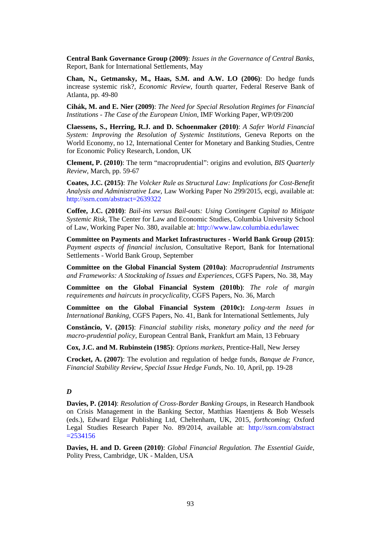**Central Bank Governance Group (2009)**: *Issues in the Governance of Central Banks*, Report, Bank for International Settlements, May

**Chan, N., Getmansky, M., Haas, S.M. and A.W. LO (2006)**: Do hedge funds increase systemic risk?, *Economic Review*, fourth quarter, Federal Reserve Bank of Atlanta, pp. 49-80

**Cihák, M. and E. Nier (2009)**: *The Need for Special Resolution Regimes for Financial Institutions - The Case of the European Union*, IMF Working Paper, WP/09/200

**Claessens, S., Herring, R.J. and D. Schoenmaker (2010)**: *A Safer World Financial System: Improving the Resolution of Systemic Institutions*, Geneva Reports on the World Economy, no 12, International Center for Monetary and Banking Studies, Centre for Economic Policy Research, London, UK

**Clement, P. (2010)**: The term "macroprudential": origins and evolution, *BIS Quarterly Review*, March, pp. 59-67

**Coates, J.C. (2015)**: *The Volcker Rule as Structural Law: Implications for Cost-Benefit Analysis and Administrative Law*, Law Working Paper No 299/2015, ecgi, available at: http://ssrn.com/abstract=2639322

**Coffee, J.C. (2010)**: *Bail-ins versus Bail-outs: Using Contingent Capital to Mitigate Systemic Risk*, The Center for Law and Economic Studies, Columbia University School of Law, Working Paper No. 380, available at: http://www.law.columbia.edu/lawec

**Committee on Payments and Market Infrastructures - World Bank Group (2015)**: *Payment aspects of financial inclusion*, Consultative Report, Bank for International Settlements - World Bank Group, September

**Committee on the Global Financial System (2010a)**: *Macroprudential Instruments and Frameworks: A Stocktaking of Issues and Experiences*, CGFS Papers, No. 38, May

**Committee on the Global Financial System (2010b)**: *The role of margin requirements and haircuts in procyclicality*, CGFS Papers, No. 36, March

**Committee on the Global Financial System (2010c):** *Long-term Issues in International Banking,* CGFS Papers, No. 41, Bank for International Settlements, July

**Constâncio, V. (2015)**: *Financial stability risks, monetary policy and the need for macro-prudential policy*, European Central Bank, Frankfurt am Main, 13 February

**Cox, J.C. and M. Rubinstein (1985)**: *Options markets*, Prentice-Hall, New Jersey

**Crocket, A. (2007)**: The evolution and regulation of hedge funds, *Banque de France, Financial Stability Review, Special Issue Hedge Funds,* No. 10, April, pp. 19-28

## *D*

**Davies, P. (2014)**: *Resolution of Cross-Border Banking Groups*, in Research Handbook on Crisis Management in the Banking Sector, Matthias Haentjens & Bob Wessels (eds.), Edward Elgar Publishing Ltd, Cheltenham, UK, 2015, *forthcoming*; Oxford Legal Studies Research Paper No. 89/2014, available at: [http://ssrn.com/abstract](http://ssrn.com/abstract=2534156)   $= 2534156$ 

**Davies, H. and D. Green (2010)**: *Global Financial Regulation. The Essential Guide*, Polity Press, Cambridge, UK - Malden, USA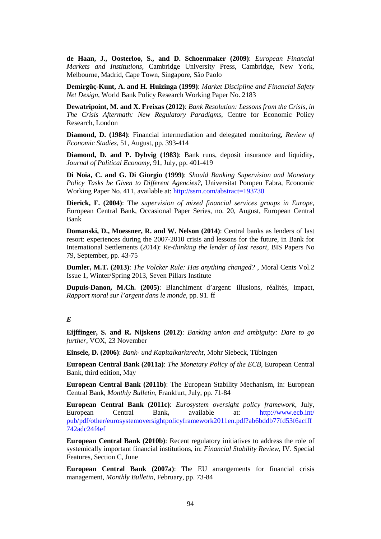**de Haan, J., Oosterloo, S., and D. Schoenmaker (2009)**: *European Financial Markets and Institutions*, Cambridge University Press, Cambridge, New York, Melbourne, Madrid, Cape Town, Singapore, São Paolo

**Demirgüç-Kunt, A. and H. Huizinga (1999)**: *Market Discipline and Financial Safety Net Design*, World Bank Policy Research Working Paper No. 2183

**Dewatripoint, M. and X. Freixas (2012)**: *Bank Resolution: Lessons from the Crisis, in The Crisis Aftermath: New Regulatory Paradigms*, Centre for Economic Policy Research, London

**Diamond, D. (1984)**: Financial intermediation and delegated monitoring, *Review of Economic Studies*, 51, August, pp. 393-414

**Diamond, D. and P. Dybvig (1983)**: Bank runs, deposit insurance and liquidity, *Journal of Political Economy*, 91, July, pp. 401-419

**Di Noia, C. and G. Di Giorgio (1999)**: *Should Banking Supervision and Monetary Policy Tasks be Given to Different Agencies?*, Universitat Pompeu Fabra, Economic Working Paper No. 411, available at: [http://ssrn.com/abstract=193730](http://papers.ssrn.com/sol3/papers.cfm?abstract_id=2435847)

**Dierick, F. (2004)**: The *supervision of mixed financial services groups in Europe*, European Central Bank, Occasional Paper Series, no. 20, August, European Central Bank

**Domanski, D., Moessner, R. and W. Nelson (2014)**: Central banks as lenders of last resort: experiences during the 2007-2010 crisis and lessons for the future, in Bank for International Settlements (2014): *Re-thinking the lender of last resort*, BIS Papers No 79, September, pp. 43-75

**Dumler, M.T. (2013)**: *The Volcker Rule: Has anything changed?* , Moral Cents Vol.2 Issue 1, Winter/Spring 2013, Seven Pillars Institute

**Dupuis-Danon, M.Ch. (2005)**: Blanchiment d'argent: illusions, réalités, impact, *Rapport moral sur l'argent dans le monde*, pp. 91. ff

# *E*

**Eijffinger, S. and R. Nijskens (2012)**: *Banking union and ambiguity: Dare to go further*, VOX, 23 November

**Einsele, D. (2006)**: *Bank- und Kapitalkarktrecht*, Mohr Siebeck, Tübingen

**European Central Bank (2011a)**: *The Monetary Policy of the ECB*, European Central Bank, third edition, May

**European Central Bank (2011b)**: The European Stability Mechanism, in: European Central Bank, *Monthly Bulletin*, Frankfurt, July, pp. 71-84

**European Central Bank (2011c)**: *Eurosystem oversight policy framework*, July, European Central Bank**,** available at: [http://www.ecb.int/](http://www.ecb.int/pub/pdf/other/eurosystemoversightpolicyframework2011en.pdf?ab6bddb77fd53f6acfff742adc24f4ef)  [pub/pdf/other/eurosystemoversightpolicyframework2011en.pdf?ab6bddb77fd53f6acfff](http://www.ecb.int/pub/pdf/other/eurosystemoversightpolicyframework2011en.pdf?ab6bddb77fd53f6acfff742adc24f4ef) [742adc24f4ef](http://www.ecb.int/pub/pdf/other/eurosystemoversightpolicyframework2011en.pdf?ab6bddb77fd53f6acfff742adc24f4ef)

**European Central Bank (2010b)**: Recent regulatory initiatives to address the role of systemically important financial institutions, in: *Financial Stability Review*, IV. Special Features, Section C, June

**European Central Bank (2007a)**: The EU arrangements for financial crisis management, *Monthly Bulletin*, February, pp. 73-84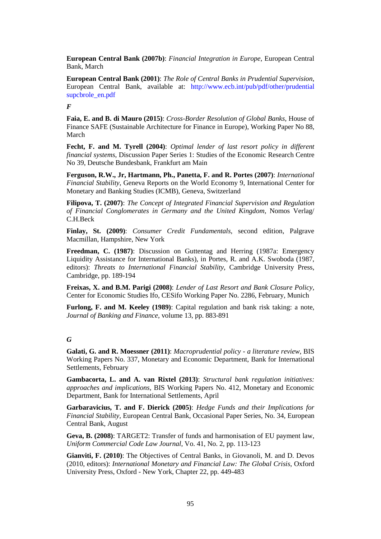**European Central Bank (2007b)**: *Financial Integration in Europe*, European Central Bank, March

**European Central Bank (2001)**: *The Role of Central Banks in Prudential Supervision*, European Central Bank, available at: http://www.ecb.int/pub/pdf/other/prudential supcbrole\_en.pdf

*F*

**Faia, E. and B. di Mauro (2015)**: *Cross-Border Resolution of Global Banks,* House of Finance SAFE (Sustainable Architecture for Finance in Europe), Working Paper No 88, March

**Fecht, F. and M. Tyrell (2004)**: *Optimal lender of last resort policy in different financial systems*, Discussion Paper Series 1: Studies of the Economic Research Centre No 39, Deutsche Bundesbank, Frankfurt am Main

**Ferguson, R.W., Jr, Hartmann, Ph., Panetta, F. and R. Portes (2007)**: *International Financial Stability*, Geneva Reports on the World Economy 9, International Center for Monetary and Banking Studies (ICMB), Geneva, Switzerland

**Filipova, T. (2007)**: *The Concept of Integrated Financial Supervision and Regulation of Financial Conglomerates in Germany and the United Kingdom*, Nomos Verlag/ C.H.Beck

**Finlay, St. (2009)**: *Consumer Credit Fundamentals*, second edition, Palgrave Macmillan, Hampshire, New York

**Freedman, C. (1987)**: Discussion on Guttentag and Herring (1987a: Emergency Liquidity Assistance for International Banks), in Portes, R. and A.K. Swoboda (1987, editors): *Threats to International Financial Stability*, Cambridge University Press, Cambridge, pp. 189-194

**Freixas, X. and B.M. Parigi (2008)**: *Lender of Last Resort and Bank Closure Policy,* Center for Economic Studies Ifo, CESifo Working Paper No. 2286, February, Munich

**Furlong, F. and M. Keeley (1989)**: Capital regulation and bank risk taking: a note, *Journal of Banking and Finance*, volume 13, pp. 883-891

## *G*

**Galati, G. and R. Moessner (2011)**: *Macroprudential policy - a literature review*, BIS Working Papers No. 337, Monetary and Economic Department, Bank for International Settlements, February

**Gambacorta, L. and A. van Rixtel (2013)**: *Structural bank regulation initiatives: approaches and implications*, BIS Working Papers No. 412, Monetary and Economic Department, Bank for International Settlements, April

**Garbaravicius, T. and F. Dierick (2005)**: *Hedge Funds and their Implications for Financial Stability,* European Central Bank, Occasional Paper Series, No. 34, European Central Bank, August

**Geva, B. (2008)**: TARGET2: Transfer of funds and harmonisation of EU payment law, *Uniform Commercial Code Law Journal*, Vo. 41, No. 2, pp. 113-123

**Gianviti, F. (2010)**: The Objectives of Central Banks, in Giovanoli, M. and D. Devos (2010, editors): *International Monetary and Financial Law: The Global Crisis*, Oxford University Press, Oxford - New York, Chapter 22, pp. 449-483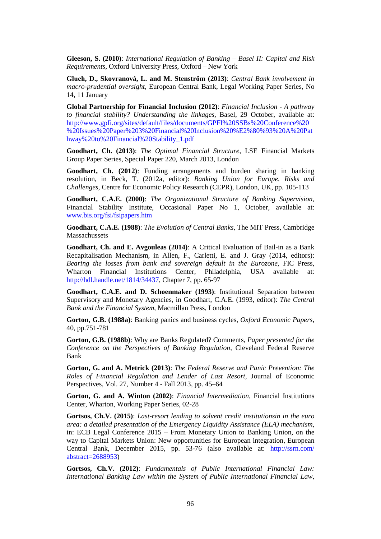**Gleeson, S. (2010)**: *International Regulation of Banking – Basel II: Capital and Risk Requirements*, Oxford University Press, Oxford – New York

**[Głuch](http://www.ecb.europa.eu/pub/research/authors/profiles/daniel-gluch.en.html), D., [Skovranová,](http://www.ecb.europa.eu/pub/research/authors/profiles/lucia-skovranova.en.html) L. and [M. Stenström](http://www.ecb.europa.eu/pub/research/authors/profiles/mikael-stenstroem.en.html) (2013)**: *Central Bank involvement in macro-prudential oversight*, European Central Bank, Legal Working Paper Series, No 14, 11 January

**Global Partnership for Financial Inclusion (2012)**: *Financial Inclusion - A pathway to financial stability? Understanding the linkages*, Basel, 29 October, available at: [http://www.gpfi.org/sites/default/files/documents/GPFI%20SSBs%20Conference%20](http://www.gpfi.org/sites/default/files/documents/GPFI%20SSBs%20Conference%20%20Issues%20Paper%203%20Financial%20Inclusion%20%E2%80%93%20A%20Pathway%20to%20Financial%20Stability_1.pdf)  [%20Issues%20Paper%203%20Financial%20Inclusion%20%E2%80%93%20A%20Pat](http://www.gpfi.org/sites/default/files/documents/GPFI%20SSBs%20Conference%20%20Issues%20Paper%203%20Financial%20Inclusion%20%E2%80%93%20A%20Pathway%20to%20Financial%20Stability_1.pdf) [hway%20to%20Financial%20Stability\\_1.pdf](http://www.gpfi.org/sites/default/files/documents/GPFI%20SSBs%20Conference%20%20Issues%20Paper%203%20Financial%20Inclusion%20%E2%80%93%20A%20Pathway%20to%20Financial%20Stability_1.pdf)

**Goodhart, Ch. (2013)**: *The Optimal Financial Structure*, LSE Financial Markets Group Paper Series, Special Paper 220, March 2013, London

**Goodhart, Ch. (2012)**: Funding arrangements and burden sharing in banking resolution, in Beck, T. (2012a, editor): *Banking Union for Europe. Risks and Challenges,* Centre for Economic Policy Research (CEPR), London, UK, pp. 105-113

**Goodhart, C.A.E. (2000)**: *The Organizational Structure of Banking Supervision*, Financial Stability Institute, Occasional Paper No 1, October, available at: www.bis.org/fsi/fsipapers.htm

**Goodhart, C.A.E. (1988)**: *The Evolution of Central Banks*, The MIT Press, Cambridge Massachussets

**Goodhart, Ch. and E. Avgouleas (2014)**: A Critical Evaluation of Bail-in as a Bank Recapitalisation Mechanism, in Allen, F., Carletti, E. and J. Gray (2014, editors): *Bearing the losses from bank and sovereign default in the Eurozone*, FIC Press, Wharton Financial Institutions Center, Philadelphia, USA available at: [http://hdl.handle.net/1814/34437,](http://hdl.handle.net/1814/23335) Chapter 7, pp. 65-97

**Goodhart, C.A.E. and D. Schoenmaker (1993)**: Institutional Separation between Supervisory and Monetary Agencies, in Goodhart, C.A.E. (1993, editor): *The Central Bank and the Financial System*, Macmillan Press, London

**Gorton, G.B. (1988a)**: Banking panics and business cycles, *Oxford Economic Papers*, 40, pp.751-781

**Gorton, G.B. (1988b)**: Why are Banks Regulated? Comments, *Paper presented for the Conference on the Perspectives of Banking Regulation*, Cleveland Federal Reserve Bank

**Gorton, G. and A. Metrick (2013)**: *The Federal Reserve and Panic Prevention: The Roles of Financial Regulation and Lender of Last Resort*, Journal of Economic Perspectives, Vol. 27, Number 4 - Fall 2013, pp. 45–64

**Gorton, G. and A. Winton (2002)**: *Financial Intermediation*, Financial Institutions Center, Wharton, Working Paper Series, 02-28

**Gortsos, Ch.V. (2015)**: *Last-resort lending to solvent credit institutionsin in the euro area: a detailed presentation of the Emergency Liquidity Assistance (ELA) mechanism*, in: ECB Legal Conference 2015 – From Monetary Union to Banking Union, on the way to Capital Markets Union: New opportunities for European integration, European Central Bank, December 2015, pp. 53-76 (also available at: [http://ssrn.com/](http://ssrn.com/%20abstract)  [abstract=](http://ssrn.com/%20abstract)2688953)

**Gortsos, Ch.V. (2012)**: *Fundamentals of Public International Financial Law: International Banking Law within the System of Public International Financial Law*,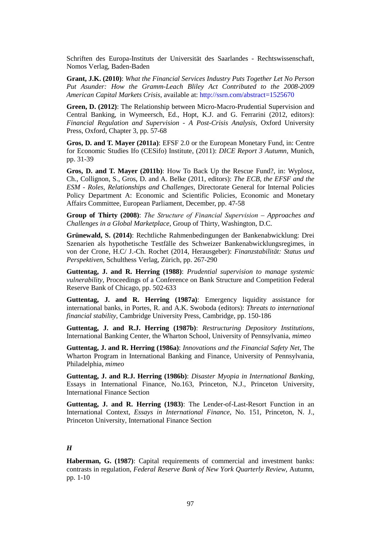Schriften des Europa-Instituts der Universität des Saarlandes - Rechtswissenschaft, Nomos Verlag, Baden-Baden

**Grant, J.K. (2010)**: *What the Financial Services Industry Puts Together Let No Person Put Asunder: How the Gramm-Leach Bliley Act Contributed to the 2008-2009 American Capital Markets Crisis*, available at: [http://ssrn.com/abstract=1525670](http://papers.ssrn.com/sol3/papers.cfm?abstract_id=2435847) 

**Green, D. (2012)**: The Relationship between Micro-Macro-Prudential Supervision and Central Banking, in Wymeersch, Ed., Hopt, K.J. and G. Ferrarini (2012, editors): *Financial Regulation and Supervision - A Post-Crisis Analysis*, Oxford University Press, Oxford, Chapter 3, pp. 57-68

**Gros, D. and T. Mayer (2011a)**: EFSF 2.0 or the European Monetary Fund, in: Centre for Economic Studies Ifo (CESifo) Institute, (2011): *DICE Report 3 Autumn*, Munich, pp. 31-39

**Gros, D. and T. Mayer (2011b)**: How To Back Up the Rescue Fund?, in: Wyplosz, Ch., Collignon, S., Gros, D. and A. Belke (2011, editors): *The ECB, the EFSF and the ESM - Roles, Relationships and Challenges*, Directorate General for Internal Policies Policy Department A: Economic and Scientific Policies, Economic and Monetary Affairs Committee, European Parliament, December, pp. 47-58

**Group of Thirty (2008)**: *Τhe Structure of Financial Supervision – Approaches and Challenges in a Global Marketplace*, Group of Thirty, Washington, D.C.

**Grünewald, S. (2014)**: Rechtliche Rahmenbedingungen der Bankenabwicklung: Drei Szenarien als hypothetische Testfälle des Schweizer Bankenabwicklungsregimes, in von der Crone, H.C/ J.-Ch. Rochet (2014, Herausgeber): *Finanzstabilität: Status und Perspektiven,* Schulthess Verlag, Zürich, pp. 267-290

**Guttentag, J. and R. Herring (1988)**: *Prudential supervision to manage systemic vulnerability*, Proceedings of a Conference on Bank Structure and Competition Federal Reserve Bank of Chicago, pp. 502-633

**Guttentag, J. and R. Herring (1987a)**: Emergency liquidity assistance for international banks, in Portes, R. and A.K. Swoboda (editors): *Threats to international financial stability*, Cambridge University Press, Cambridge, pp. 150-186

**Guttentag, J. and R.J. Herring (1987b)**: *Restructuring Depository Institutions*, International Banking Center, the Wharton School, University of Pennsylvania, *mimeo*

**Guttentag, J. and R. Herring (1986a)**: *Innovations and the Financial Safety Net*, The Wharton Program in International Banking and Finance, University of Pennsylvania, Philadelphia, *mimeo*

**Guttentag, J. and R.J. Herring (1986b)**: *Disaster Myopia in International Banking*, Essays in International Finance, No.163, Princeton, N.J., Princeton University, International Finance Section

**Guttentag, J. and R. Herring (1983)**: The Lender-of-Last-Resort Function in an International Context, *Essays in International Finance*, No. 151, Princeton, N. J., Princeton University, International Finance Section

## *H*

**Haberman, G. (1987)**: Capital requirements of commercial and investment banks: contrasts in regulation, *Federal Reserve Bank of New York Quarterly Review*, Autumn, pp. 1-10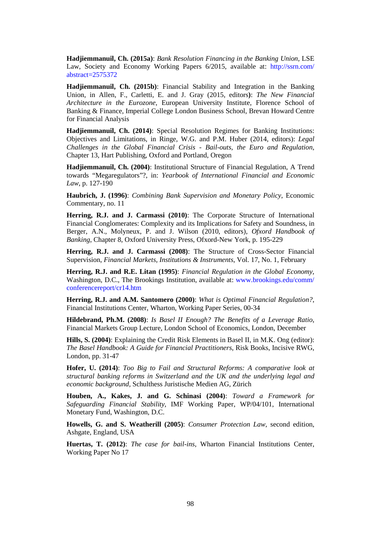**Hadjiemmanuil, Ch. (2015a)**: *Bank Resolution Financing in the Banking Union,* LSE Law, Society and Economy Working Papers 6/2015, available at: [http://ssrn.com/](http://ssrn.com/abstract=2575372)  [abstract=2575372](http://ssrn.com/abstract=2575372)

**Hadjiemmanuil, Ch. (2015b)**: Financial Stability and Integration in the Banking Union, in Allen, F., Carletti, E. and J. Gray (2015, editors**)**: *The New Financial Architecture in the Eurozone*, European University Institute, Florence School of Banking & Finance, Imperial College London Business School, Brevan Howard Centre for Financial Analysis

**Hadjiemmanuil, Ch. (2014)**: Special Resolution Regimes for Banking Institutions: Objectives and Limitations, in Ringe, W.G. and P.M. Huber (2014, editors): *Legal Challenges in the Global Financial Crisis - Bail-outs, the Euro and Regulation*, Chapter 13, Hart Publishing, Oxford and Portland, Oregon

**Hadjiemmanuil, Ch. (2004)**: Institutional Structure of Financial Regulation, A Trend towards "Megaregulators"?, in: *Yearbook of International Financial and Economic Law*, p. 127-190

**Haubrich, J. (1996)**: *Combining Bank Supervision and Monetary Policy*, Economic Commentary, no. 11

**Herring, R.J. and J. Carmassi (2010)**: The Corporate Structure of International Financial Conglomerates: Complexity and its Implications for Safety and Soundness, in Berger, A.N., Molyneux, P. and J. Wilson (2010, editors), *Ofxord Handbook of Banking*, Chapter 8, Oxford University Press, Ofxord-New York, p. 195-229

**Herring, R.J. and J. Carmassi (2008)**: The Structure of Cross-Sector Financial Supervision, *Financial Markets, Institutions & Instruments*, Vol. 17, No. 1, February

**Herring, R.J. and R.E. Litan (1995)**: *Financial Regulation in the Global Economy*, Washington, D.C., The Brookings Institution, available at: [www.brookings.edu/comm/](http://www.brookings.edu/comm/%20conferencereport/cr14.htm)  [conferencereport/cr14.htm](http://www.brookings.edu/comm/%20conferencereport/cr14.htm) 

**Herring, R.J. and A.M. Santomero (2000)**: *What is Optimal Financial Regulation?*, Financial Institutions Center, Wharton, Working Paper Series, 00-34

**Hildebrand, Ph.M. (2008)**: *Is Basel II Enough? The Benefits of a Leverage Ratio*, Financial Markets Group Lecture, London School of Economics, London, December

**Hills, S. (2004)**: Explaining the Credit Risk Elements in Basel II, in Μ.Κ. Ong (editor): *The Basel Handbook: A Guide for Financial Practitioners*, Risk Books, Incisive RWG, London, pp. 31-47

**Hofer, U. (2014)**: *Too Big to Fail and Structural Reforms: A comparative look at structural banking reforms in Switzerland and the UK and the underlying legal and economic background,* Schulthess Juristische Medien AG, Zürich

**Houben, A., Kakes, J. and G. Schinasi (2004)**: *Toward a Framework for Safeguarding Financial Stability*, IMF Working Paper, WP/04/101, International Monetary Fund, Washington, D.C.

**Howells, G. and S. Weatherill (2005)**: *Consumer Protection Law*, second edition, Ashgate, England, USA

**Huertas, T. (2012)**: *The case for bail-ins*, Wharton Financial Institutions Center, Working Paper No 17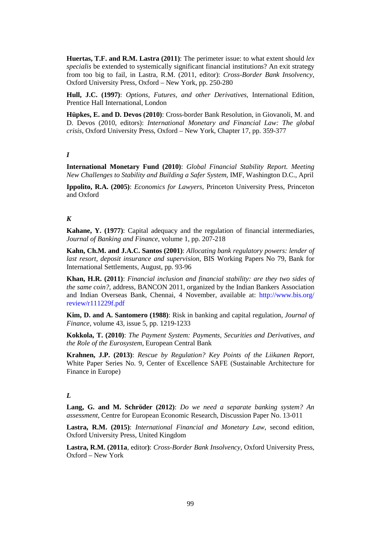**Huertas, T.F. and R.M. Lastra (2011)**: The perimeter issue: to what extent should *lex specialis* be extended to systemically significant financial institutions? An exit strategy from too big to fail, in Lastra, R.M. (2011, editor): *Cross-Border Bank Insolvency*, Oxford University Press, Oxford – New York, pp. 250-280

**Hull, J.C. (1997)**: *Options, Futures, and other Derivatives*, International Edition, Prentice Hall International, London

**Hüpkes, E. and D. Devos (2010)**: Cross-border Bank Resolution, in Giovanoli, M. and D. Devos (2010, editors): *International Monetary and Financial Law: The global crisis*, Oxford University Press, Oxford – New York, Chapter 17, pp. 359-377

# *I*

**International Monetary Fund (2010)**: *Global Financial Stability Report. Meeting New Challenges to Stability and Building a Safer System*, IMF, Washington D.C., April

**Ippolito, R.A. (2005)**: *Economics for Lawyers*, Princeton University Press, Princeton and Oxford

# *K*

**Kahane, Y. (1977)**: Capital adequacy and the regulation of financial intermediaries, *Journal of Banking and Finance*, volume 1, pp. 207-218

**Kahn, Ch.M. and J.A.C. Santos (2001)**: *Allocating bank regulatory powers: lender of last resort, deposit insurance and supervision*, BIS Working Papers No 79, Bank for International Settlements, August, pp. 93-96

**Khan, H.R. (2011)**: *Financial inclusion and financial stability: are they two sides of the same coin?*, address, BANCON 2011, organized by the Indian Bankers Association and Indian Overseas Bank, Chennai, 4 November, available at: [http://www.bis.org/](http://www.bis.org/review/r111229f.pdf)  [review/r111229f.pdf](http://www.bis.org/review/r111229f.pdf)

**Kim, D. and A. Santomero (1988)**: Risk in banking and capital regulation, *Journal of Finance*, volume 43, issue 5, pp. 1219-1233

**Kokkola, T. (2010)**: *The Payment System: Payments, Securities and Derivatives, and the Role of the Eurosystem*, European Central Bank

**Krahnen, J.P. (2013)**: *Rescue by Regulation? Key Points of the Liikanen Report*, White Paper Series No. 9, Center of Excellence SAFE (Sustainable Architecture for Finance in Europe)

## *L*

**Lang, G. and M. Schröder (2012)**: *Do we need a separate banking system? An assessment*, Centre for European Economic Research, Discussion Paper No. 13-011

**Lastra, R.M. (2015)**: *International Financial and Monetary Law*, second edition, Oxford University Press, United Kingdom

**Lastra, R.M. (2011a**, editor**)**: *Cross-Border Bank Insolvency*, Oxford University Press, Oxford – New York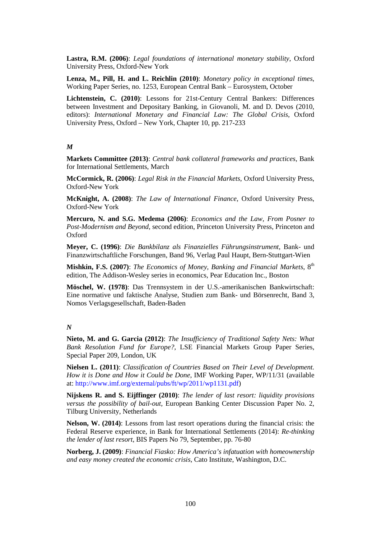**Lastra, R.M. (2006)**: *Legal foundations of international monetary stability*, Oxford University Press, Oxford-New York

**Lenza, M., Pill, H. and L. Reichlin (2010)**: *Monetary policy in exceptional times*, Working Paper Series, no. 1253, European Central Bank – Eurosystem, October

**Lichtenstein, C. (2010)**: Lessons for 21st-Century Central Bankers: Differences between Investment and Depositary Banking, in Giovanoli, M. and D. Devos (2010, editors): *International Monetary and Financial Law: The Global Crisis*, Oxford University Press, Oxford – New York, Chapter 10, pp. 217-233

### *M*

**Markets Committee (2013)**: *Central bank collateral frameworks and practices*, Bank for International Settlements, March

**McCormick, R. (2006)**: *Legal Risk in the Financial Markets*, Oxford University Press, Oxford-New York

**McKnight, A. (2008)**: *The Law of International Finance*, Oxford University Press, Oxford-New York

**Mercuro, N. and S.G. Medema (2006)**: *Economics and the Law, From Posner to Post-Modernism and Beyond*, second edition, Princeton University Press, Princeton and Oxford

**Meyer, C. (1996)**: *Die Bankbilanz als Finanzielles Führungsinstrument*, Bank- und Finanzwirtschaftliche Forschungen, Band 96, Verlag Paul Haupt, Bern-Stuttgart-Wien

**Mishkin, F.S. (2007)**: *The Economics of Money, Banking and Financial Markets*,  $8<sup>th</sup>$ edition, The Addison-Wesley series in economics, Pear Education Inc., Boston

**Möschel, W. (1978)**: Das Trennsystem in der U.S.-amerikanischen Bankwirtschaft: Eine normative und faktische Analyse, Studien zum Bank- und Börsenrecht, Band 3, Nomos Verlagsgesellschaft, Baden-Baden

## *N*

**Nieto, M. and G. Garcia (2012)**: *The Insufficiency of Traditional Safety Nets: What Bank Resolution Fund for Europe?,* LSE Financial Markets Group Paper Series, Special Paper 209, London, UK

**Nielsen L. (2011)**: *Classification of Countries Based on Their Level of Development. How it is Done and How it Could be Done*, IMF Working Paper, WP/11/31 (available at: [http://www.imf.org/external/pubs/ft/wp/2011/wp1131.pdf\)](http://www.imf.org/external/pubs/ft/wp8011/wp1131.pdf)

**Nijskens R. and S. Eijffinger (2010)**: *The lender of last resort: liquidity provisions versus the possibility of bail-out,* European Banking Center Discussion Paper No. 2, Tilburg University, Netherlands

**Nelson, W. (2014)**: Lessons from last resort operations during the financial crisis: the Federal Reserve experience, in Bank for International Settlements (2014): *Re-thinking the lender of last resort*, BIS Papers No 79, September, pp. 76-80

**Norberg, J. (2009)**: *Financial Fiasko: How America's infatuation with homeownership and easy money created the economic crisis*, Cato Institute, Washington, D.C.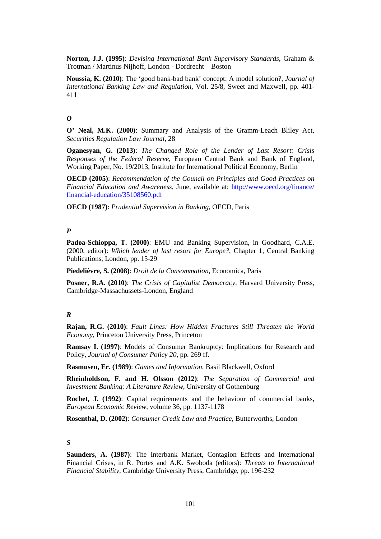**Norton, J.J. (1995)**: *Devising International Bank Supervisory Standards*, Graham & Trotman / Martinus Nijhoff, London - Dordrecht – Boston

**Noussia, K. (2010)**: The 'good bank-bad bank' concept: A model solution?, *Journal of International Banking Law and Regulation,* Vol. 25/8, Sweet and Maxwell, pp. 401- 411

## *O*

**O' Neal, M.K. (2000)**: Summary and Analysis of the Gramm-Leach Bliley Act, *Securities Regulation Law Journal*, 28

**Oganesyan, G. (2013)**: *The Changed Role of the Lender of Last Resort: Crisis Responses of the Federal Reserve*, European Central Bank and Bank of England, Working Paper, No. 19/2013, Institute for International Political Economy, Berlin

**OECD (2005)**: *Recommendation of the Council on Principles and Good Practices on Financial Education and Awareness*, June, available at: [http://www.oecd.org/finance/](http://www.oecd.org/finance/financial-education/35108560.pdf)  [financial-education/35108560.pdf](http://www.oecd.org/finance/financial-education/35108560.pdf)

**OECD (1987)**: *Prudential Supervision in Banking*, OECD, Paris

# *P*

**Padoa-Schioppa, T. (2000)**: EMU and Banking Supervision, in Goodhard, C.A.E. (2000, editor): *Which lender of last resort for Europe?*, Chapter 1, Central Banking Publications, London, pp. 15-29

**Piedelièvre, S. (2008)**: *Droit de la Consommation*, Economica, Paris

**Posner, R.A. (2010)**: *The Crisis of Capitalist Democracy*, Harvard University Press, Cambridge-Massachussets-London, England

# *R*

**Rajan, R.G. (2010)**: *Fault Lines: How Hidden Fractures Still Threaten the World Economy*, Princeton University Press, Princeton

**Ramsay I. (1997)**: Models of Consumer Bankruptcy: Implications for Research and Policy, *Journal of Consumer Policy 20*, pp. 269 ff.

**Rasmusen, Er. (1989)**: *Games and Information*, Basil Blackwell, Oxford

**Rheinholdson, F. and H. Olsson (2012)**: *The Separation of Commercial and Investment Banking: A Literature Review*, University of Gothenburg

**Rochet, J. (1992)**: Capital requirements and the behaviour of commercial banks, *European Economic Review*, volume 36, pp. 1137-1178

**Rosenthal, D. (2002)**: *Consumer Credit Law and Practice*, Butterworths, London

## *S*

**Saunders, A. (1987)**: The Interbank Market, Contagion Effects and International Financial Crises, in R. Portes and A.K. Swoboda (editors): *Threats to International Financial Stability*, Cambridge University Press, Cambridge, pp. 196-232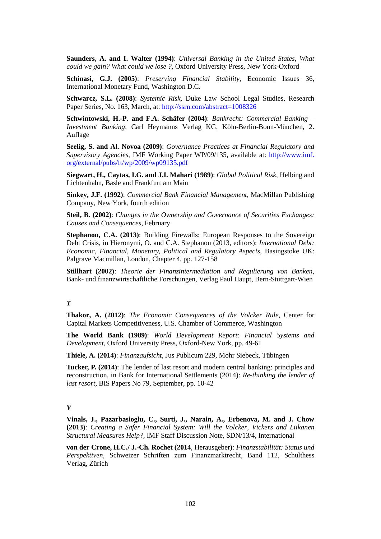**Saunders, A. and I. Walter (1994)**: *Universal Banking in the United States, What could we gain? What could we lose ?,* Oxford University Press, New York-Oxford

**Schinasi, G.J. (2005)**: *Preserving Financial Stability*, Economic Issues 36, International Monetary Fund, Washington D.C.

**Schwarcz, S.L. (2008)**: *Systemic Risk*, Duke Law School Legal Studies, Research Paper Series, No. 163, March, at: http://ssrn.com/abstract=1008326

**Schwintowski, H.-P. and F.A. Schäfer (2004)**: *Bankrecht: Commercial Banking – Investment Banking,* Carl Heymanns Verlag KG, Köln-Berlin-Bonn-München, 2. Auflage

**Seelig, S. and Al. Novoa (2009)**: *Governance Practices at Financial Regulatory and Supervisory Agencies*, IMF Working Paper WP/09/135, available at: http://www.imf. org/external/pubs/ft/wp/2009/wp09135.pdf

**Siegwart, H., Caytas, I.G. and J.I. Mahari (1989)**: *Global Political Risk*, Helbing and Lichtenhahn, Basle and Frankfurt am Main

**Sinkey, J.F. (1992)**: *Commercial Bank Financial Management*, MacMillan Publishing Company, New York, fourth edition

**Steil, B. (2002)**: *Changes in the Ownership and Governance of Securities Exchanges: Causes and Consequences*, February

**Stephanou, C.A. (2013)**: Building Firewalls: European Responses to the Sovereign Debt Crisis, in Hieronymi, O. and C.A. Stephanou (2013, editors): *International Debt: Economic, Financial, Monetary, Political and Regulatory Aspects*, Basingstoke UK: Palgrave Macmillan, London, Chapter 4, pp. 127-158

**Stillhart (2002)**: *Theorie der Finanzintermediation und Regulierung von Banken*, Bank- und finanzwirtschaftliche Forschungen, Verlag Paul Haupt, Bern-Stuttgart-Wien

## *T*

**Thakor, A. (2012)**: *The Economic Consequences of the Volcker Rule*, Center for Capital Markets Competitiveness, U.S. Chamber of Commerce, Washington

**The World Bank (1989)**: *World Development Report: Financial Systems and Development*, Oxford University Press, Oxford-New York, pp. 49-61

**Thiele, A. (2014)**: *Finanzaufsicht*, Jus Publicum 229, Mohr Siebeck, Tübingen

**Tucker, P. (2014)**: The lender of last resort and modern central banking: principles and reconstruction, in Bank for International Settlements (2014): *Re-thinking the lender of last resort*, BIS Papers No 79, September, pp. 10-42

#### *V*

**Vinals, J., Pazarbasioglu, C., Surti, J., Narain, A., Erbenova, M. and J. Chow (2013)**: *Creating a Safer Financial System: Will the Volcker, Vickers and Liikanen Structural Measures Help?*, IMF Staff Discussion Note, SDN/13/4, International

**von der Crone, H.C./ J.-Ch. Rochet (2014**, Herausgeber**)**: *Finanzstabilität: Status und Perspektiven*, Schweizer Schriften zum Finanzmarktrecht, Band 112, Schulthess Verlag, Zürich